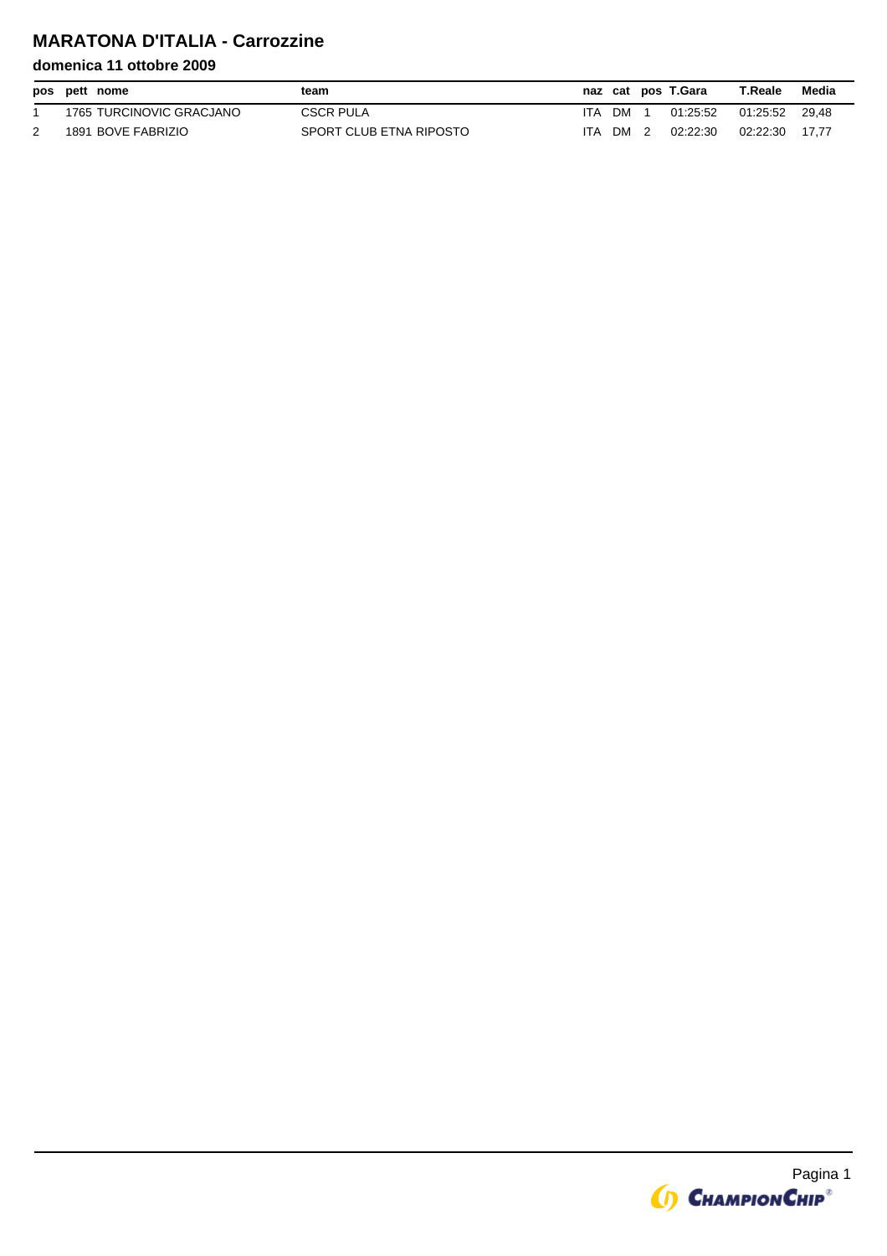# **MARATONA D'ITALIA - Carrozzine**

|  | pos pett nome            | team                    |      |      | naz cat pos T.Gara | T.Reale  | Media |
|--|--------------------------|-------------------------|------|------|--------------------|----------|-------|
|  | 1765 TURCINOVIC GRACJANO | <b>CSCR PULA</b>        | ITA. | DM   | 01:25:52           | 01.25.52 | 29.48 |
|  | 1891 BOVE FABRIZIO       | SPORT CLUB ETNA RIPOSTO | ITA. | DM 2 | 02:22:30           | 02.22.30 | 17.77 |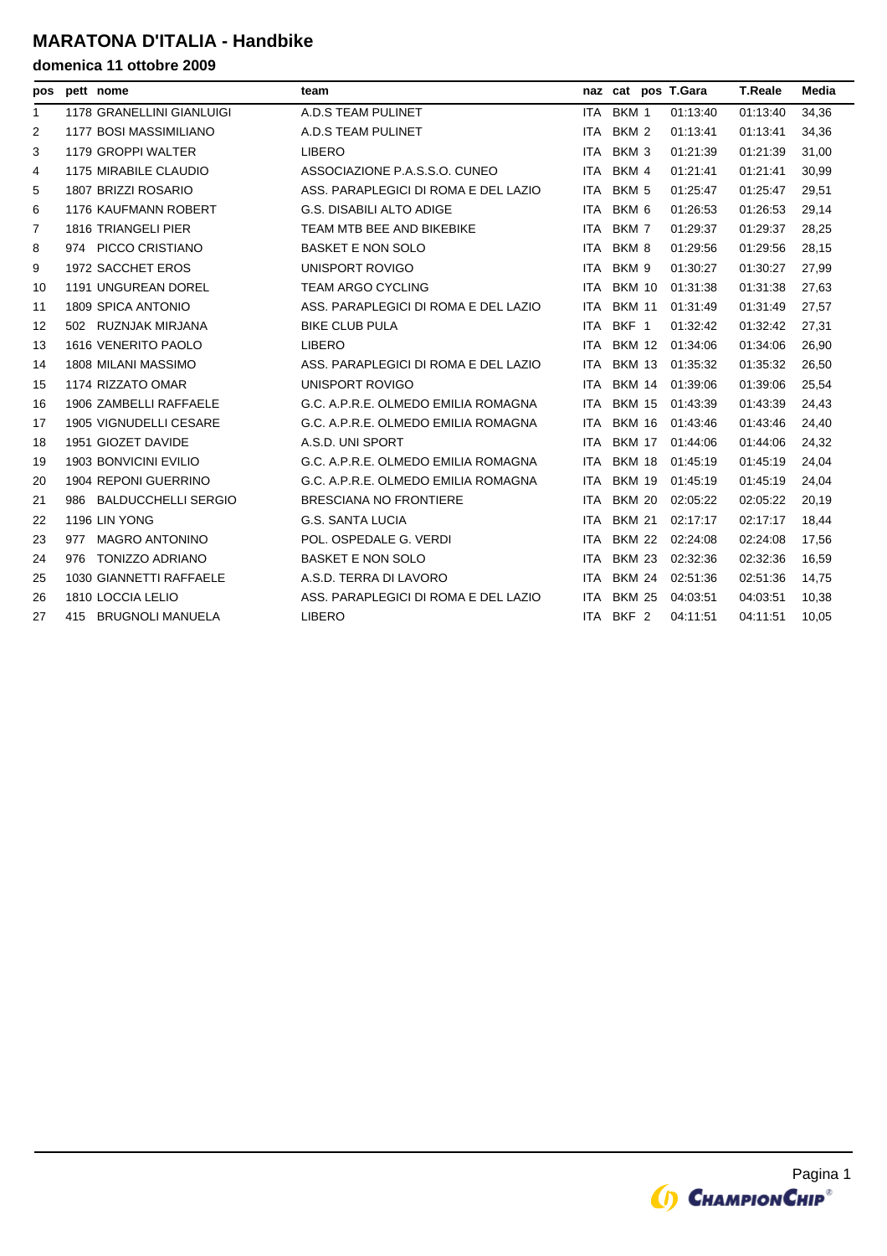### **MARATONA D'ITALIA - Handbike**

| pos          | pett nome                     | team                                 |            |                  | naz cat pos T.Gara | <b>T.Reale</b> | Media |
|--------------|-------------------------------|--------------------------------------|------------|------------------|--------------------|----------------|-------|
| $\mathbf{1}$ | 1178 GRANELLINI GIANLUIGI     | A.D.S TEAM PULINET                   | ITA I      | BKM 1            | 01:13:40           | 01:13:40       | 34,36 |
| 2            | <b>1177 BOSI MASSIMILIANO</b> | A.D.S TEAM PULINET                   | ITA        | BKM 2            | 01:13:41           | 01:13:41       | 34,36 |
| 3            | 1179 GROPPI WALTER            | <b>LIBERO</b>                        | <b>ITA</b> | BKM 3            | 01:21:39           | 01:21:39       | 31,00 |
| 4            | 1175 MIRABILE CLAUDIO         | ASSOCIAZIONE P.A.S.S.O. CUNEO        | ITA        | BKM 4            | 01:21:41           | 01:21:41       | 30,99 |
| 5            | 1807 BRIZZI ROSARIO           | ASS. PARAPLEGICI DI ROMA E DEL LAZIO |            | ITA BKM 5        | 01:25:47           | 01:25:47       | 29,51 |
| 6            | <b>1176 KAUFMANN ROBERT</b>   | <b>G.S. DISABILI ALTO ADIGE</b>      | <b>ITA</b> | BKM <sub>6</sub> | 01:26:53           | 01:26:53       | 29.14 |
| 7            | <b>1816 TRIANGELI PIER</b>    | TEAM MTB BEE AND BIKEBIKE            | ITA I      | BKM 7            | 01:29:37           | 01:29:37       | 28,25 |
| 8            | 974 PICCO CRISTIANO           | <b>BASKET E NON SOLO</b>             |            | ITA BKM 8        | 01:29:56           | 01:29:56       | 28,15 |
| 9            | 1972 SACCHET EROS             | UNISPORT ROVIGO                      | <b>ITA</b> | BKM 9            | 01:30:27           | 01:30:27       | 27.99 |
| 10           | 1191 UNGUREAN DOREL           | <b>TEAM ARGO CYCLING</b>             |            | ITA BKM 10       | 01:31:38           | 01:31:38       | 27,63 |
| 11           | 1809 SPICA ANTONIO            | ASS. PARAPLEGICI DI ROMA E DEL LAZIO |            | ITA BKM 11       | 01:31:49           | 01:31:49       | 27,57 |
| 12           | 502 RUZNJAK MIRJANA           | <b>BIKE CLUB PULA</b>                | ITA        | BKF 1            | 01:32:42           | 01:32:42       | 27,31 |
| 13           | 1616 VENERITO PAOLO           | <b>LIBERO</b>                        |            | ITA BKM 12       | 01:34:06           | 01:34:06       | 26,90 |
| 14           | 1808 MILANI MASSIMO           | ASS. PARAPLEGICI DI ROMA E DEL LAZIO | ITA I      | BKM 13           | 01:35:32           | 01:35:32       | 26,50 |
| 15           | 1174 RIZZATO OMAR             | UNISPORT ROVIGO                      |            | ITA BKM 14       | 01:39:06           | 01:39:06       | 25,54 |
| 16           | 1906 ZAMBELLI RAFFAELE        | G.C. A.P.R.E. OLMEDO EMILIA ROMAGNA  |            | ITA BKM 15       | 01:43:39           | 01:43:39       | 24,43 |
| 17           | 1905 VIGNUDELLI CESARE        | G.C. A.P.R.E. OLMEDO EMILIA ROMAGNA  |            | ITA BKM 16       | 01:43:46           | 01:43:46       | 24,40 |
| 18           | 1951 GIOZET DAVIDE            | A.S.D. UNI SPORT                     |            | ITA BKM 17       | 01:44:06           | 01:44:06       | 24,32 |
| 19           | <b>1903 BONVICINI EVILIO</b>  | G.C. A.P.R.E. OLMEDO EMILIA ROMAGNA  |            | ITA BKM 18       | 01:45:19           | 01:45:19       | 24,04 |
| 20           | 1904 REPONI GUERRINO          | G.C. A.P.R.E. OLMEDO EMILIA ROMAGNA  | <b>ITA</b> | <b>BKM 19</b>    | 01:45:19           | 01:45:19       | 24,04 |
| 21           | 986 BALDUCCHELLI SERGIO       | <b>BRESCIANA NO FRONTIERE</b>        | ITA I      | <b>BKM 20</b>    | 02:05:22           | 02:05:22       | 20,19 |
| 22           | 1196 LIN YONG                 | <b>G.S. SANTA LUCIA</b>              | ITA        | <b>BKM 21</b>    | 02:17:17           | 02:17:17       | 18,44 |
| 23           | 977 MAGRO ANTONINO            | POL. OSPEDALE G. VERDI               |            | ITA BKM 22       | 02:24:08           | 02:24:08       | 17,56 |
| 24           | 976 TONIZZO ADRIANO           | <b>BASKET E NON SOLO</b>             |            | ITA BKM 23       | 02:32:36           | 02:32:36       | 16,59 |
| 25           | 1030 GIANNETTI RAFFAELE       | A.S.D. TERRA DI LAVORO               | <b>ITA</b> | BKM 24           | 02:51:36           | 02:51:36       | 14,75 |
| 26           | 1810 LOCCIA LELIO             | ASS. PARAPLEGICI DI ROMA E DEL LAZIO | ITA I      | BKM 25           | 04:03:51           | 04:03:51       | 10,38 |
| 27           | 415 BRUGNOLI MANUELA          | <b>LIBERO</b>                        |            | ITA BKF 2        | 04:11:51           | 04:11:51       | 10,05 |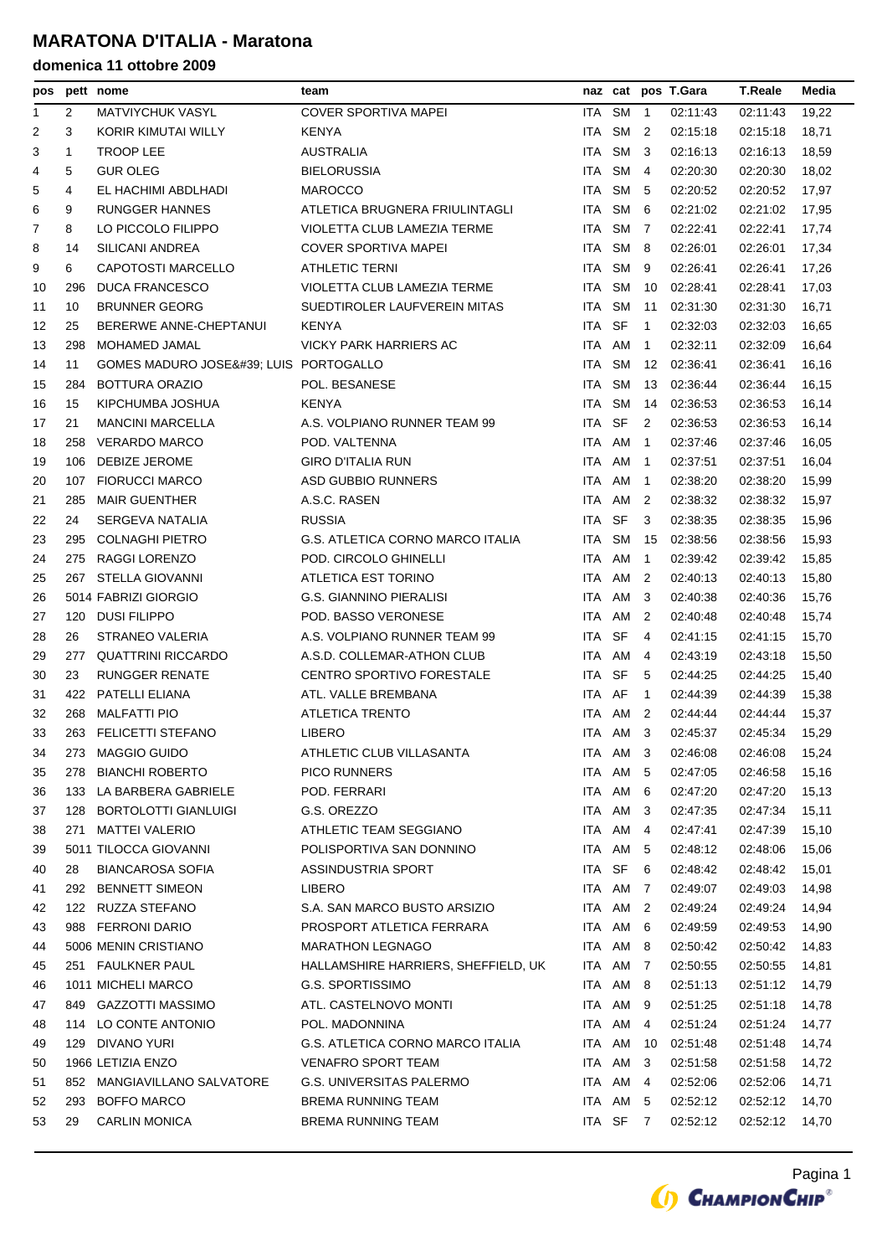| pos |     | pett nome                          | team                                    |        |           |                | naz cat pos T.Gara        | <b>T.Reale</b> | Media |
|-----|-----|------------------------------------|-----------------------------------------|--------|-----------|----------------|---------------------------|----------------|-------|
| 1   | 2   | <b>MATVIYCHUK VASYL</b>            | COVER SPORTIVA MAPEI                    |        | ITA SM    | $\overline{1}$ | 02:11:43                  | 02:11:43       | 19,22 |
| 2   | 3   | KORIR KIMUTAI WILLY                | <b>KENYA</b>                            |        | ITA SM 2  |                | 02:15:18                  | 02:15:18       | 18,71 |
| 3   | 1   | <b>TROOP LEE</b>                   | <b>AUSTRALIA</b>                        | ITA    | SM        | -3             | 02:16:13                  | 02:16:13       | 18,59 |
| 4   | 5   | <b>GUR OLEG</b>                    | <b>BIELORUSSIA</b>                      | ITA    | SM 4      |                | 02:20:30                  | 02:20:30       | 18,02 |
| 5   | 4   | EL HACHIMI ABDLHADI                | <b>MAROCCO</b>                          | ITA I  | SM        | -5             | 02:20:52                  | 02:20:52       | 17,97 |
| 6   | 9   | <b>RUNGGER HANNES</b>              | ATLETICA BRUGNERA FRIULINTAGLI          | ITA.   | <b>SM</b> | 6              | 02:21:02                  | 02:21:02       | 17,95 |
| 7   | 8   | LO PICCOLO FILIPPO                 | VIOLETTA CLUB LAMEZIA TERME             |        | ITA SM 7  |                | 02.22.41                  | 02:22:41       | 17,74 |
| 8   | 14  | SILICANI ANDREA                    | <b>COVER SPORTIVA MAPEI</b>             |        | ITA SM    | -8             | 02:26:01                  | 02:26:01       | 17,34 |
| 9   | 6   | <b>CAPOTOSTI MARCELLO</b>          | <b>ATHLETIC TERNI</b>                   | ITA    | SM        | -9             | 02:26:41                  | 02:26:41       | 17,26 |
| 10  | 296 | <b>DUCA FRANCESCO</b>              | VIOLETTA CLUB LAMEZIA TERME             | ITA SM |           | 10             | 02:28:41                  | 02:28:41       | 17,03 |
| 11  | 10  | <b>BRUNNER GEORG</b>               | SUEDTIROLER LAUFVEREIN MITAS            | ITA.   | SM        | 11             | 02:31:30                  | 02:31:30       | 16,71 |
| 12  | 25  | BERERWE ANNE-CHEPTANUI             | <b>KENYA</b>                            | ITA SF |           | $\overline{1}$ | 02:32:03                  | 02:32:03       | 16,65 |
| 13  | 298 | MOHAMED JAMAL                      | VICKY PARK HARRIERS AC                  | ITA AM |           | $\overline{1}$ | 02:32:11                  | 02:32:09       | 16,64 |
| 14  | 11  | GOMES MADURO JOSE' LUIS PORTOGALLO |                                         | ITA SM |           | 12             | 02:36:41                  | 02:36:41       | 16,16 |
| 15  | 284 | BOTTURA ORAZIO                     | POL. BESANESE                           | ITA    | SM        | 13             | 02:36:44                  | 02:36:44       | 16,15 |
| 16  | 15  | KIPCHUMBA JOSHUA                   | <b>KENYA</b>                            | ITA I  | SM        | 14             | 02:36:53                  | 02:36:53       | 16,14 |
| 17  | 21  | <b>MANCINI MARCELLA</b>            | A.S. VOLPIANO RUNNER TEAM 99            | ITA SF |           | 2              | 02:36:53                  | 02:36:53       | 16,14 |
| 18  | 258 | <b>VERARDO MARCO</b>               | POD. VALTENNA                           | ITA    | AM        | $\mathbf{1}$   | 02:37:46                  | 02:37:46       | 16,05 |
| 19  | 106 | DEBIZE JEROME                      | <b>GIRO D'ITALIA RUN</b>                |        | ITA AM    | $\overline{1}$ | 02:37:51                  | 02:37:51       | 16,04 |
| 20  | 107 | <b>FIORUCCI MARCO</b>              | <b>ASD GUBBIO RUNNERS</b>               | ITA    | AM        | $\overline{1}$ | 02:38:20                  | 02:38:20       | 15,99 |
| 21  | 285 | <b>MAIR GUENTHER</b>               | A.S.C. RASEN                            | ITA    | AM        | 2              | 02:38:32                  | 02:38:32       | 15,97 |
| 22  | 24  | SERGEVA NATALIA                    | <b>RUSSIA</b>                           | ITA SF |           | 3              | 02:38:35                  | 02:38:35       | 15,96 |
| 23  | 295 | <b>COLNAGHI PIETRO</b>             | G.S. ATLETICA CORNO MARCO ITALIA        | ITA I  | SM        | 15             | 02:38:56                  | 02:38:56       | 15,93 |
| 24  | 275 | RAGGI LORENZO                      | POD. CIRCOLO GHINELLI                   | ITA.   | AM        | $\mathbf{1}$   | 02:39:42                  | 02:39:42       | 15,85 |
| 25  |     | 267 STELLA GIOVANNI                | ATLETICA EST TORINO                     |        | ITA AM 2  |                | 02:40:13                  | 02:40:13       | 15,80 |
| 26  |     | 5014 FABRIZI GIORGIO               | <b>G.S. GIANNINO PIERALISI</b>          |        | ITA AM    | -3             | 02:40:38                  | 02:40:36       | 15,76 |
| 27  | 120 | <b>DUSI FILIPPO</b>                | POD. BASSO VERONESE                     | ITA    | AM        | 2              | 02:40:48                  | 02:40:48       | 15,74 |
| 28  | 26  | STRANEO VALERIA                    | A.S. VOLPIANO RUNNER TEAM 99            | ITA SF |           | 4              | 02:41:15                  | 02:41:15       | 15,70 |
| 29  | 277 | <b>QUATTRINI RICCARDO</b>          | A.S.D. COLLEMAR-ATHON CLUB              | ITA AM |           | 4              | 02:43:19                  | 02:43:18       | 15,50 |
| 30  | 23  | RUNGGER RENATE                     | CENTRO SPORTIVO FORESTALE               | ITA    | <b>SF</b> | 5              | 02:44:25                  | 02:44:25       | 15,40 |
| 31  | 422 | PATELLI ELIANA                     | ATL. VALLE BREMBANA                     | ITA AF |           | $\mathbf{1}$   | 02:44:39                  | 02:44:39       | 15,38 |
| 32  | 268 | <b>MALFATTI PIO</b>                | <b>ATLETICA TRENTO</b>                  | ITA AM |           | 2              | 02:44:44                  | 02:44:44       | 15,37 |
| 33  |     | 263 FELICETTI STEFANO              | <b>LIBERO</b>                           |        | ITA AM 3  |                | 02.45.37                  | 02:45:34       | 15,29 |
| 34  |     | 273 MAGGIO GUIDO                   | ATHLETIC CLUB VILLASANTA                |        | ITA AM 3  |                | 02:46:08  02:46:08  15,24 |                |       |
| 35  | 278 | <b>BIANCHI ROBERTO</b>             | <b>PICO RUNNERS</b>                     |        | ITA AM    | -5             | 02:47:05                  | 02:46:58       | 15,16 |
| 36  | 133 | LA BARBERA GABRIELE                | POD. FERRARI                            | ITA AM |           | -6             | 02:47:20                  | 02:47:20       | 15,13 |
| 37  | 128 | <b>BORTOLOTTI GIANLUIGI</b>        | G.S. OREZZO                             |        | ITA AM 3  |                | 02:47:35                  | 02:47:34       | 15,11 |
| 38  | 271 | <b>MATTEI VALERIO</b>              | ATHLETIC TEAM SEGGIANO                  |        | ITA AM    | 4              | 02:47:41                  | 02:47:39       | 15,10 |
| 39  |     | 5011 TILOCCA GIOVANNI              | POLISPORTIVA SAN DONNINO                |        | ITA AM    | -5             | 02:48:12                  | 02:48:06       | 15,06 |
| 40  | 28  | <b>BIANCAROSA SOFIA</b>            | ASSINDUSTRIA SPORT                      | ITA SF |           | -6             | 02:48:42                  | 02:48:42       | 15,01 |
| 41  | 292 | <b>BENNETT SIMEON</b>              | <b>LIBERO</b>                           |        | ITA AM 7  |                | 02:49:07                  | 02:49:03       | 14,98 |
| 42  |     | 122 RUZZA STEFANO                  | S.A. SAN MARCO BUSTO ARSIZIO            |        | ITA AM    | -2             | 02:49:24                  | 02:49:24       | 14,94 |
| 43  |     | 988 FERRONI DARIO                  | PROSPORT ATLETICA FERRARA               |        | ITA AM 6  |                | 02:49:59                  | 02:49:53       | 14,90 |
| 44  |     | 5006 MENIN CRISTIANO               | <b>MARATHON LEGNAGO</b>                 |        | ITA AM 8  |                | 02:50:42                  | 02:50:42       | 14,83 |
| 45  |     | 251 FAULKNER PAUL                  | HALLAMSHIRE HARRIERS, SHEFFIELD, UK     |        | ITA AM 7  |                | 02:50:55                  | 02:50:55       | 14,81 |
| 46  |     | 1011 MICHELI MARCO                 | G.S. SPORTISSIMO                        |        | ITA AM 8  |                | 02:51:13                  | 02:51:12       | 14,79 |
| 47  |     | 849 GAZZOTTI MASSIMO               | ATL. CASTELNOVO MONTI                   |        | ITA AM    | - 9            | 02:51:25                  | 02:51:18       | 14,78 |
| 48  | 114 | LO CONTE ANTONIO                   | POL. MADONNINA                          | ITA AM |           | 4              | 02:51:24                  | 02:51:24       | 14,77 |
| 49  |     | 129 DIVANO YURI                    | <b>G.S. ATLETICA CORNO MARCO ITALIA</b> | ITA AM |           | 10             | 02:51:48                  | 02:51:48       | 14,74 |
| 50  |     | 1966 LETIZIA ENZO                  | <b>VENAFRO SPORT TEAM</b>               |        | ITA AM    | 3              | 02:51:58                  | 02:51:58       | 14,72 |
| 51  | 852 | MANGIAVILLANO SALVATORE            | G.S. UNIVERSITAS PALERMO                |        | ITA AM    | 4              | 02:52:06                  | 02:52:06       | 14,71 |
| 52  | 293 | <b>BOFFO MARCO</b>                 | <b>BREMA RUNNING TEAM</b>               |        | ITA AM    | - 5            | 02:52:12                  | 02:52:12       | 14,70 |
| 53  | 29  | <b>CARLIN MONICA</b>               | <b>BREMA RUNNING TEAM</b>               |        | ITA SF 7  |                | 02:52:12                  | 02:52:12       | 14,70 |
|     |     |                                    |                                         |        |           |                |                           |                |       |

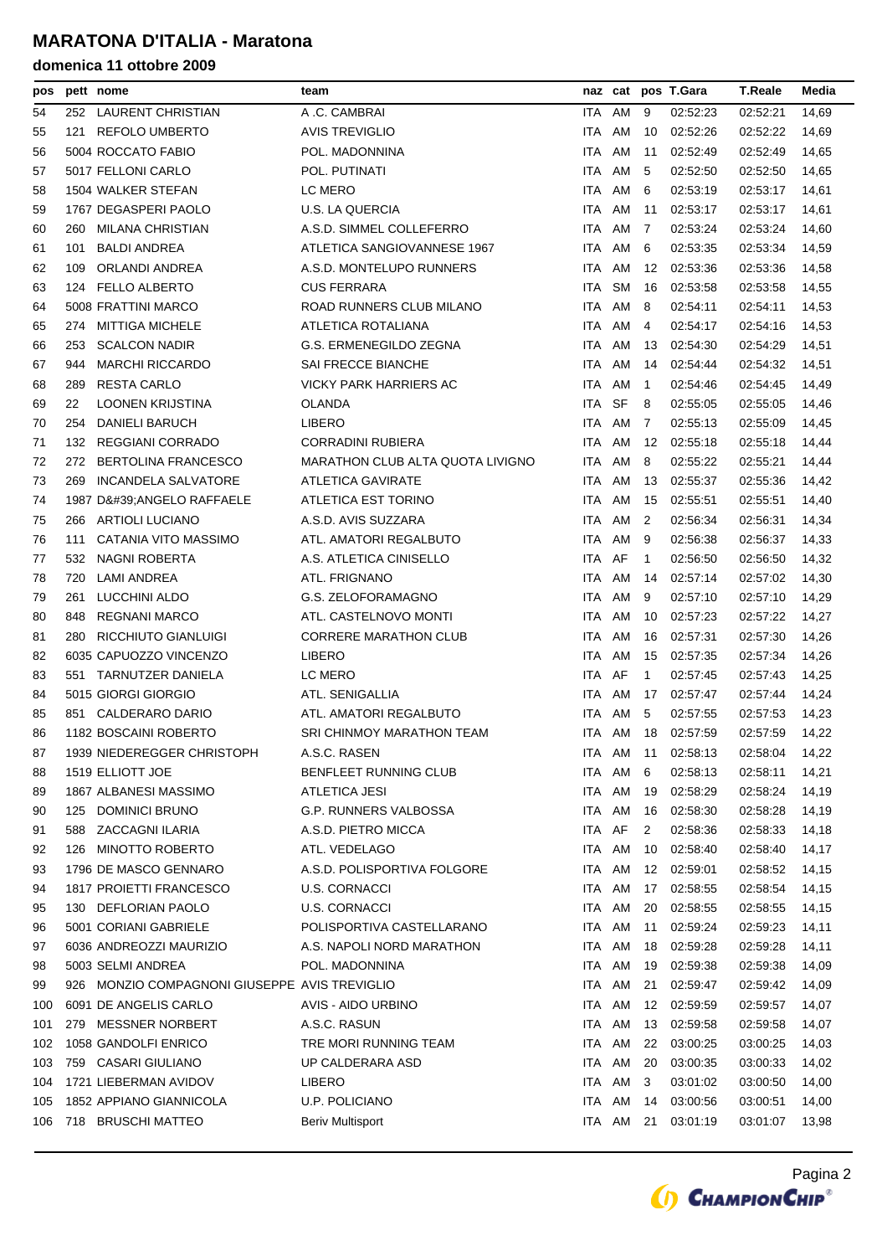| pos |     | pett nome                                     | team                             |            | naz cat   |              | pos T.Gara | <b>T.Reale</b> | Media |
|-----|-----|-----------------------------------------------|----------------------------------|------------|-----------|--------------|------------|----------------|-------|
| 54  |     | 252 LAURENT CHRISTIAN                         | A .C. CAMBRAI                    | ITA.       | AM        | 9            | 02:52:23   | 02:52:21       | 14,69 |
| 55  | 121 | <b>REFOLO UMBERTO</b>                         | <b>AVIS TREVIGLIO</b>            | ITA.       | AM        | 10           | 02:52:26   | 02:52:22       | 14,69 |
| 56  |     | 5004 ROCCATO FABIO                            | POL. MADONNINA                   | ITA        | AM        | 11           | 02:52:49   | 02:52:49       | 14,65 |
| 57  |     | 5017 FELLONI CARLO                            | POL. PUTINATI                    | ITA.       | AM        | 5            | 02.52:50   | 02:52:50       | 14,65 |
| 58  |     | 1504 WALKER STEFAN                            | LC MERO                          | <b>ITA</b> | AM        | 6            | 02:53:19   | 02:53:17       | 14,61 |
| 59  |     | 1767 DEGASPERI PAOLO                          | <b>U.S. LA QUERCIA</b>           | ITA        | AM        | 11           | 02:53:17   | 02:53:17       | 14,61 |
| 60  | 260 | <b>MILANA CHRISTIAN</b>                       | A.S.D. SIMMEL COLLEFERRO         | ITA.       | AM        | 7            | 02.53:24   | 02:53:24       | 14,60 |
| 61  | 101 | <b>BALDI ANDREA</b>                           | ATLETICA SANGIOVANNESE 1967      | ITA.       | AM        | 6            | 02:53:35   | 02:53:34       | 14,59 |
| 62  | 109 | ORLANDI ANDREA                                | A.S.D. MONTELUPO RUNNERS         | ITA        | AM        | 12           | 02:53:36   | 02:53:36       | 14,58 |
| 63  | 124 | <b>FELLO ALBERTO</b>                          | <b>CUS FERRARA</b>               | ITA.       | <b>SM</b> | 16           | 02:53:58   | 02:53:58       | 14,55 |
| 64  |     | 5008 FRATTINI MARCO                           | ROAD RUNNERS CLUB MILANO         | ITA.       | AM        | 8            | 02:54:11   | 02:54:11       | 14,53 |
| 65  | 274 | <b>MITTIGA MICHELE</b>                        | ATLETICA ROTALIANA               | ITA        | AM        | 4            | 02.54:17   | 02:54:16       | 14,53 |
| 66  | 253 | <b>SCALCON NADIR</b>                          | G.S. ERMENEGILDO ZEGNA           | ITA.       | AM        | 13           | 02:54:30   | 02:54:29       | 14,51 |
| 67  | 944 | <b>MARCHI RICCARDO</b>                        | SAI FRECCE BIANCHE               | ITA.       | AM        | 14           | 02:54:44   | 02:54:32       | 14,51 |
| 68  | 289 | <b>RESTA CARLO</b>                            | <b>VICKY PARK HARRIERS AC</b>    | ITA        | AM        | $\mathbf{1}$ | 02:54:46   | 02:54:45       | 14,49 |
| 69  | 22  | LOONEN KRIJSTINA                              | OLANDA                           | ITA.       | SF        | 8            | 02:55:05   | 02:55:05       | 14,46 |
| 70  | 254 | <b>DANIELI BARUCH</b>                         | <b>LIBERO</b>                    | ITA.       | AM        | 7            | 02:55:13   | 02:55:09       | 14,45 |
| 71  | 132 | <b>REGGIANI CORRADO</b>                       | <b>CORRADINI RUBIERA</b>         | ITA        | AM        | 12           | 02:55:18   | 02:55:18       | 14,44 |
| 72  | 272 | <b>BERTOLINA FRANCESCO</b>                    | MARATHON CLUB ALTA QUOTA LIVIGNO | ITA        | AM        | 8            | 02:55:22   | 02:55:21       | 14,44 |
| 73  | 269 | <b>INCANDELA SALVATORE</b>                    | <b>ATLETICA GAVIRATE</b>         | ITA.       | AM        | 13           | 02:55:37   | 02:55:36       | 14,42 |
| 74  |     | 1987 D'ANGELO RAFFAELE                        | ATLETICA EST TORINO              | ITA        | AM        | 15           | 02:55:51   | 02:55:51       | 14,40 |
| 75  | 266 | <b>ARTIOLI LUCIANO</b>                        | A.S.D. AVIS SUZZARA              | ITA.       | AM        | 2            | 02:56:34   | 02:56:31       | 14,34 |
| 76  | 111 | CATANIA VITO MASSIMO                          | ATL. AMATORI REGALBUTO           | <b>ITA</b> | AM        | 9            | 02:56:38   | 02:56:37       | 14,33 |
| 77  | 532 | NAGNI ROBERTA                                 | A.S. ATLETICA CINISELLO          | ITA AF     |           | $\mathbf{1}$ | 02:56:50   | 02:56:50       | 14,32 |
| 78  | 720 | LAMI ANDREA                                   | ATL. FRIGNANO                    | ITA AM     |           | 14           | 02:57:14   | 02.57.02       | 14,30 |
| 79  | 261 | LUCCHINI ALDO                                 | G.S. ZELOFORAMAGNO               | ITA.       | AM        | 9            | 02.57:10   | 02:57:10       | 14,29 |
| 80  | 848 | <b>REGNANI MARCO</b>                          | ATL. CASTELNOVO MONTI            | ITA        | AM        | 10           | 02:57:23   | 02:57:22       | 14,27 |
| 81  | 280 | RICCHIUTO GIANLUIGI                           | <b>CORRERE MARATHON CLUB</b>     | ITA        | AM        | 16           | 02:57:31   | 02:57:30       | 14,26 |
| 82  |     | 6035 CAPUOZZO VINCENZO                        | <b>LIBERO</b>                    | ITA.       | AM        | 15           | 02:57:35   | 02:57:34       | 14,26 |
| 83  |     | 551 TARNUTZER DANIELA                         | LC MERO                          | ITA AF     |           | $\mathbf{1}$ | 02:57:45   | 02:57:43       | 14,25 |
| 84  |     | 5015 GIORGI GIORGIO                           | ATL. SENIGALLIA                  | ITA.       | AM        | 17           | 02.57:47   | 02.57.44       | 14,24 |
| 85  | 851 | CALDERARO DARIO                               | ATL. AMATORI REGALBUTO           | ITA.       | AM        | 5            | 02:57:55   | 02:57:53       | 14,23 |
| 86  |     | 1182 BOSCAINI ROBERTO                         | SRI CHINMOY MARATHON TEAM        | ITA AM     |           | 18           | 02:57:59   | 02.57.59       | 14,22 |
| 87  |     | 1939 NIEDEREGGER CHRISTOPH                    | A.S.C. RASEN                     | ITA        |           | AM 11        | 02:58:13   | 02:58:04       | 14,22 |
| 88  |     | 1519 ELLIOTT JOE                              | BENFLEET RUNNING CLUB            | ITA        | AM        | 6            | 02:58:13   | 02:58:11       | 14,21 |
| 89  |     | 1867 ALBANESI MASSIMO                         | ATLETICA JESI                    | ITA AM     |           | 19           | 02:58:29   | 02:58:24       | 14,19 |
| 90  | 125 | <b>DOMINICI BRUNO</b>                         | <b>G.P. RUNNERS VALBOSSA</b>     | ITA AM     |           | 16           | 02:58:30   | 02:58:28       | 14,19 |
| 91  | 588 | ZACCAGNI ILARIA                               | A.S.D. PIETRO MICCA              | ITA AF     |           | 2            | 02:58:36   | 02:58:33       | 14,18 |
| 92  | 126 | <b>MINOTTO ROBERTO</b>                        | ATL. VEDELAGO                    | ITA AM     |           | 10           | 02:58:40   | 02:58:40       | 14,17 |
| 93  |     | 1796 DE MASCO GENNARO                         | A.S.D. POLISPORTIVA FOLGORE      | ITA AM     |           | 12           | 02:59:01   | 02:58:52       | 14,15 |
| 94  |     | 1817 PROIETTI FRANCESCO                       | <b>U.S. CORNACCI</b>             | ITA        | AM        | 17           | 02:58:55   | 02:58:54       | 14,15 |
| 95  |     | 130 DEFLORIAN PAOLO                           | <b>U.S. CORNACCI</b>             | ITA AM     |           | 20           | 02:58:55   | 02:58:55       | 14,15 |
| 96  |     | 5001 CORIANI GABRIELE                         | POLISPORTIVA CASTELLARANO        | ITA AM     |           | 11           | 02:59:24   | 02:59:23       | 14,11 |
| 97  |     | 6036 ANDREOZZI MAURIZIO                       | A.S. NAPOLI NORD MARATHON        | ITA AM     |           | 18           | 02:59:28   | 02:59:28       | 14,11 |
| 98  |     | 5003 SELMI ANDREA                             | POL. MADONNINA                   | ITA AM     |           | 19           | 02:59:38   | 02:59:38       | 14,09 |
| 99  |     | 926 MONZIO COMPAGNONI GIUSEPPE AVIS TREVIGLIO |                                  | ITA AM     |           | 21           | 02:59:47   | 02:59:42       | 14,09 |
| 100 |     | 6091 DE ANGELIS CARLO                         | AVIS - AIDO URBINO               | ITA        | AM        | 12           | 02:59:59   | 02:59:57       | 14,07 |
| 101 | 279 | <b>MESSNER NORBERT</b>                        | A.S.C. RASUN                     | ITA AM     |           | 13           | 02:59:58   | 02:59:58       | 14,07 |
| 102 |     | 1058 GANDOLFI ENRICO                          | TRE MORI RUNNING TEAM            | ITA AM     |           | 22           | 03:00:25   | 03:00:25       | 14,03 |
| 103 | 759 | <b>CASARI GIULIANO</b>                        | UP CALDERARA ASD                 | ITA        | AM        | 20           | 03:00:35   | 03:00:33       | 14,02 |
| 104 |     | 1721 LIEBERMAN AVIDOV                         | LIBERO                           | ITA AM     |           | 3            | 03:01:02   | 03:00:50       | 14,00 |
| 105 |     | 1852 APPIANO GIANNICOLA                       | U.P. POLICIANO                   | ITA AM     |           | 14           | 03:00:56   | 03:00:51       | 14,00 |
| 106 |     | 718 BRUSCHI MATTEO                            | <b>Beriv Multisport</b>          |            | ITA AM    | 21           | 03:01:19   | 03:01:07       | 13,98 |
|     |     |                                               |                                  |            |           |              |            |                |       |

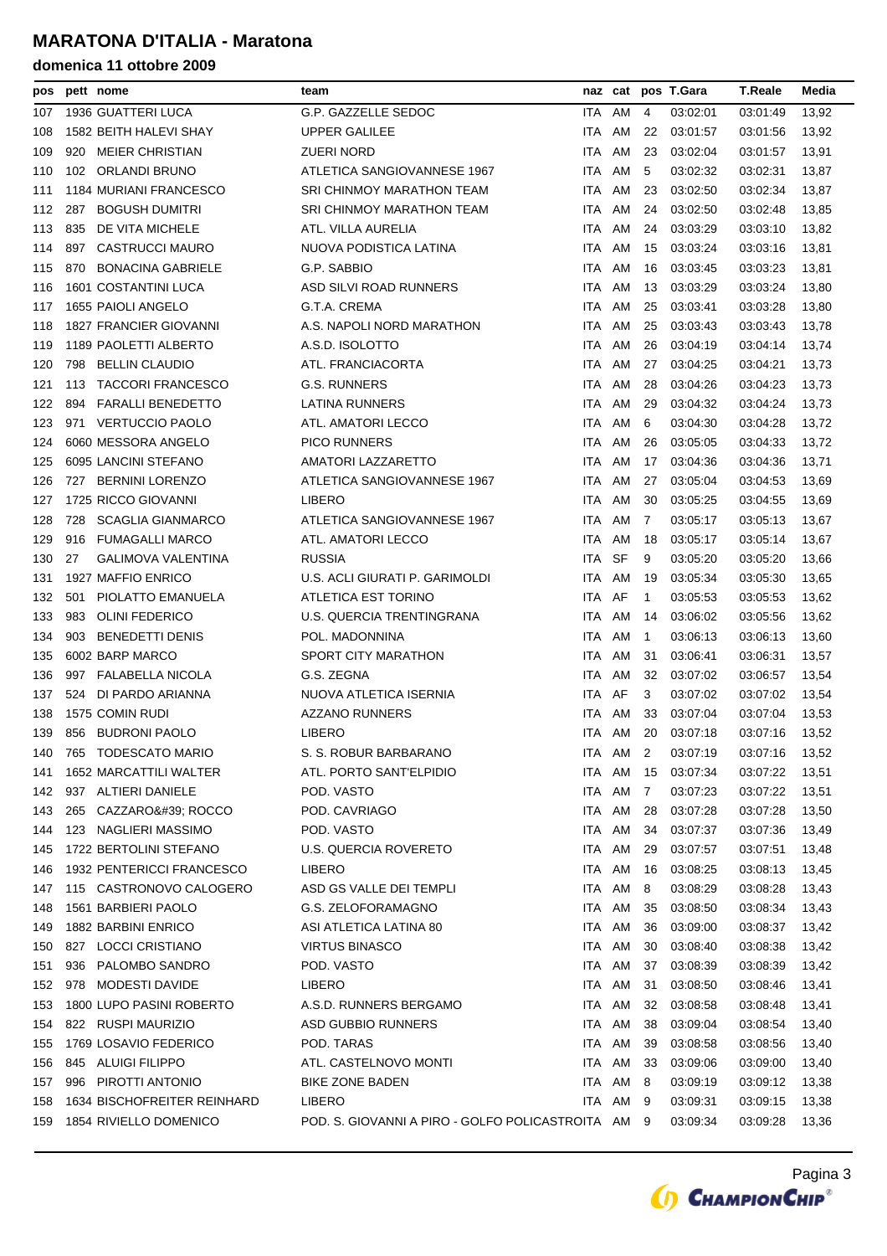| pos |     | pett nome                   | team                                               |        | naz cat  |              | pos T.Gara  | <b>T.Reale</b> | Media |
|-----|-----|-----------------------------|----------------------------------------------------|--------|----------|--------------|-------------|----------------|-------|
| 107 |     | 1936 GUATTERI LUCA          | G.P. GAZZELLE SEDOC                                | ITA AM |          | 4            | 03:02:01    | 03:01:49       | 13,92 |
| 108 |     | 1582 BEITH HALEVI SHAY      | <b>UPPER GALILEE</b>                               | ITA.   | AM       | 22           | 03:01:57    | 03:01:56       | 13,92 |
| 109 | 920 | MEIER CHRISTIAN             | ZUERI NORD                                         | ITA.   | AM       | 23           | 03:02:04    | 03:01:57       | 13,91 |
| 110 |     | 102 ORLANDI BRUNO           | ATLETICA SANGIOVANNESE 1967                        | ITA AM |          | 5            | 03:02:32    | 03:02:31       | 13,87 |
| 111 |     | 1184 MURIANI FRANCESCO      | SRI CHINMOY MARATHON TEAM                          | ITA.   | AM       | 23           | 03:02:50    | 03:02:34       | 13,87 |
| 112 |     | 287 BOGUSH DUMITRI          | SRI CHINMOY MARATHON TEAM                          | ITA    | AM       | 24           | 03:02:50    | 03:02:48       | 13,85 |
| 113 | 835 | DE VITA MICHELE             | ATL. VILLA AURELIA                                 | ITA AM |          | 24           | 03:03:29    | 03:03:10       | 13,82 |
| 114 | 897 | <b>CASTRUCCI MAURO</b>      | NUOVA PODISTICA LATINA                             | ITA.   | AM       | 15           | 03:03:24    | 03:03:16       | 13,81 |
| 115 | 870 | BONACINA GABRIELE           | G.P. SABBIO                                        | ITA.   | AM       | 16           | 03:03:45    | 03:03:23       | 13,81 |
| 116 |     | <b>1601 COSTANTINI LUCA</b> | ASD SILVI ROAD RUNNERS                             | ITA    | AM       | 13           | 03:03:29    | 03:03:24       | 13,80 |
| 117 |     | 1655 PAIOLI ANGELO          | G.T.A. CREMA                                       | ITA.   | AM       | 25           | 03:03:41    | 03:03:28       | 13,80 |
| 118 |     | 1827 FRANCIER GIOVANNI      | A.S. NAPOLI NORD MARATHON                          | ITA.   | AM       | 25           | 03:03:43    | 03:03:43       | 13,78 |
| 119 |     | 1189 PAOLETTI ALBERTO       | A.S.D. ISOLOTTO                                    | ITA AM |          | 26           | 03:04:19    | 03:04:14       | 13,74 |
| 120 |     | 798 BELLIN CLAUDIO          | ATL. FRANCIACORTA                                  | ITA.   | AM       | 27           | 03:04:25    | 03:04:21       | 13,73 |
| 121 | 113 | <b>TACCORI FRANCESCO</b>    | G.S. RUNNERS                                       | ITA.   | AM       | 28           | 03:04:26    | 03:04:23       | 13,73 |
| 122 | 894 | FARALLI BENEDETTO           | LATINA RUNNERS                                     | ITA    | AM       | 29           | 03:04:32    | 03:04:24       | 13,73 |
| 123 |     | 971 VERTUCCIO PAOLO         | ATL. AMATORI LECCO                                 | ITA.   | AM       | 6            | 03:04:30    | 03:04:28       | 13,72 |
| 124 |     | 6060 MESSORA ANGELO         | <b>PICO RUNNERS</b>                                | ITA.   | AM       | 26           | 03:05:05    | 03:04:33       | 13,72 |
| 125 |     | 6095 LANCINI STEFANO        | AMATORI LAZZARETTO                                 | ITA    | AM       | 17           | 03:04:36    | 03:04:36       | 13,71 |
| 126 |     | 727 BERNINI LORENZO         | ATLETICA SANGIOVANNESE 1967                        | ITA.   | AM       | 27           | 03.05:04    | 03:04:53       | 13,69 |
| 127 |     | 1725 RICCO GIOVANNI         | LIBERO                                             | ITA.   | AM       | 30           | 03:05:25    | 03:04:55       | 13,69 |
| 128 | 728 | <b>SCAGLIA GIANMARCO</b>    | ATLETICA SANGIOVANNESE 1967                        | ITA.   | AM       | 7            | 03.05:17    | 03:05:13       | 13,67 |
| 129 | 916 | <b>FUMAGALLI MARCO</b>      | ATL. AMATORI LECCO                                 | ITA.   | AM       | 18           | 03:05:17    | 03:05:14       | 13,67 |
| 130 | 27  | GALIMOVA VALENTINA          | <b>RUSSIA</b>                                      | ITA    | SF       | 9            | 03.05:20    | 03:05:20       | 13,66 |
| 131 |     | 1927 MAFFIO ENRICO          | U.S. ACLI GIURATI P. GARIMOLDI                     | ITA AM |          | 19           | 03.05:34    | 03:05:30       | 13,65 |
| 132 | 501 | PIOLATTO EMANUELA           | ATLETICA EST TORINO                                | ITA AF |          | $\mathbf{1}$ | 03.05:53    | 03:05:53       | 13,62 |
| 133 | 983 | <b>OLINI FEDERICO</b>       | U.S. QUERCIA TRENTINGRANA                          | ITA    | AM       | 14           | 03:06:02    | 03:05:56       | 13,62 |
| 134 | 903 | BENEDETTI DENIS             | POL. MADONNINA                                     | ITA    | AM       | -1           | 03:06:13    | 03:06:13       | 13,60 |
| 135 |     | 6002 BARP MARCO             | SPORT CITY MARATHON                                | ITA    | AM       | 31           | 03:06:41    | 03:06:31       | 13,57 |
| 136 |     | 997 FALABELLA NICOLA        | G.S. ZEGNA                                         | ITA.   | AM       | 32           | 03:07:02    | 03:06:57       | 13,54 |
| 137 | 524 | DI PARDO ARIANNA            | NUOVA ATLETICA ISERNIA                             | ITA AF |          | 3            | 03:07:02    | 03:07:02       | 13,54 |
| 138 |     | 1575 COMIN RUDI             | <b>AZZANO RUNNERS</b>                              | ITA.   | AM       | 33           | 03:07:04    | 03:07:04       | 13,53 |
| 139 |     | 856 BUDRONI PAOLO           | <b>LIBERO</b>                                      | ITA AM |          |              | 20 03:07:18 | 03:07:16       | 13,52 |
| 140 |     | 765 TODESCATO MARIO         | S. S. ROBUR BARBARANO                              |        | ITA AM 2 |              | 03:07:19    | 03:07:16       | 13,52 |
| 141 |     | 1652 MARCATTILI WALTER      | ATL. PORTO SANT'ELPIDIO                            | ITA.   | AM       | 15           | 03:07:34    | 03:07:22       | 13,51 |
| 142 |     | 937 ALTIERI DANIELE         | POD. VASTO                                         | ITA AM |          | 7            | 03:07:23    | 03:07:22       | 13,51 |
| 143 | 265 | CAZZARO': ROCCO             | POD. CAVRIAGO                                      | ITA AM |          | 28           | 03:07:28    | 03:07:28       | 13,50 |
| 144 |     | 123 NAGLIERI MASSIMO        | POD. VASTO                                         | ITA    | AM       | 34           | 03:07:37    | 03:07:36       | 13,49 |
| 145 |     | 1722 BERTOLINI STEFANO      | U.S. QUERCIA ROVERETO                              | ITA AM |          | 29           | 03:07:57    | 03:07:51       | 13,48 |
| 146 |     | 1932 PENTERICCI FRANCESCO   | <b>LIBERO</b>                                      | ITA AM |          | 16           | 03:08:25    | 03:08:13       | 13,45 |
| 147 |     | 115 CASTRONOVO CALOGERO     | ASD GS VALLE DEI TEMPLI                            | ITA    | AM       | 8            | 03:08:29    | 03:08:28       | 13,43 |
| 148 |     | 1561 BARBIERI PAOLO         | G.S. ZELOFORAMAGNO                                 | ITA AM |          | 35           | 03:08:50    | 03:08:34       | 13,43 |
| 149 |     | 1882 BARBINI ENRICO         | ASI ATLETICA LATINA 80                             | ITA AM |          | 36           | 03:09:00    | 03:08:37       | 13,42 |
| 150 |     | 827 LOCCI CRISTIANO         | <b>VIRTUS BINASCO</b>                              | ITA    | AM       | 30           | 03:08:40    | 03:08:38       | 13,42 |
| 151 | 936 | PALOMBO SANDRO              | POD. VASTO                                         | ITA AM |          | 37           | 03:08:39    | 03:08:39       | 13,42 |
| 152 | 978 | MODESTI DAVIDE              | LIBERO                                             | ITA AM |          | 31           | 03:08:50    | 03:08:46       | 13,41 |
| 153 |     | 1800 LUPO PASINI ROBERTO    | A.S.D. RUNNERS BERGAMO                             | ITA    | AM       | 32           | 03:08:58    | 03:08:48       | 13,41 |
| 154 |     | 822 RUSPI MAURIZIO          | ASD GUBBIO RUNNERS                                 | ITA AM |          | 38           | 03:09:04    | 03:08:54       | 13,40 |
| 155 |     | 1769 LOSAVIO FEDERICO       | POD. TARAS                                         | ITA AM |          | 39           | 03:08:58    | 03:08:56       | 13,40 |
| 156 |     | 845 ALUIGI FILIPPO          | ATL. CASTELNOVO MONTI                              | ITA AM |          | 33           | 03:09:06    | 03:09:00       | 13,40 |
| 157 |     | 996 PIROTTI ANTONIO         | <b>BIKE ZONE BADEN</b>                             | ITA AM |          | 8            | 03:09:19    | 03:09:12       | 13,38 |
| 158 |     | 1634 BISCHOFREITER REINHARD | <b>LIBERO</b>                                      |        | ITA AM   | 9            | 03:09:31    | 03:09:15       | 13,38 |
| 159 |     | 1854 RIVIELLO DOMENICO      | POD. S. GIOVANNI A PIRO - GOLFO POLICASTROITA AM 9 |        |          |              | 03:09:34    | 03:09:28       | 13,36 |

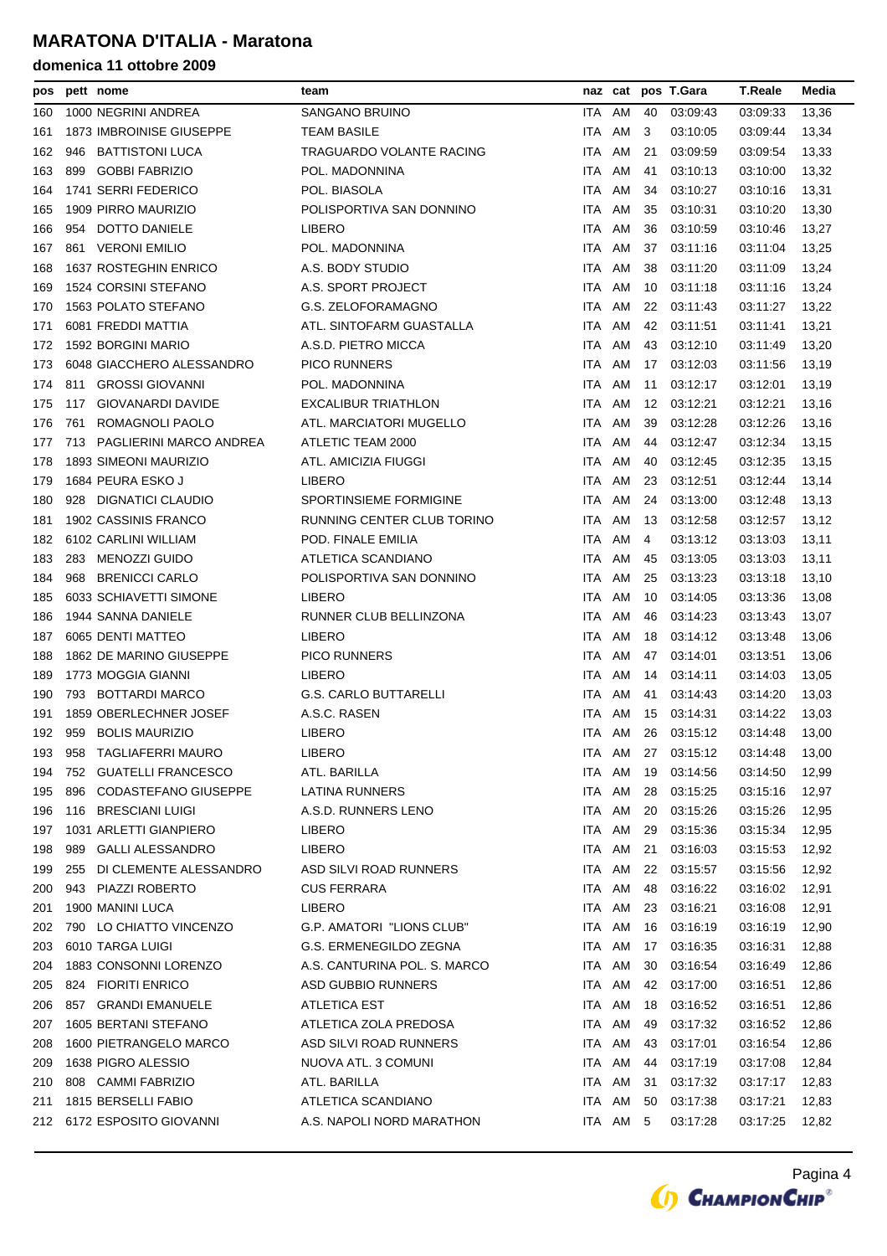| pos |     | pett nome                       | team                         |        | naz cat  |    | pos T.Gara         | <b>T.Reale</b> | Media |
|-----|-----|---------------------------------|------------------------------|--------|----------|----|--------------------|----------------|-------|
| 160 |     | 1000 NEGRINI ANDREA             | SANGANO BRUINO               | ITA    | AM       | 40 | 03:09:43           | 03:09:33       | 13,36 |
| 161 |     | <b>1873 IMBROINISE GIUSEPPE</b> | TEAM BASILE                  | ITA AM |          | 3  | 03:10:05           | 03:09:44       | 13,34 |
| 162 | 946 | <b>BATTISTONI LUCA</b>          | TRAGUARDO VOLANTE RACING     | ITA    | AM       | 21 | 03:09:59           | 03:09:54       | 13,33 |
| 163 | 899 | <b>GOBBI FABRIZIO</b>           | POL. MADONNINA               | ITA    | AM       | 41 | 03:10:13           | 03:10:00       | 13,32 |
| 164 |     | 1741 SERRI FEDERICO             | POL. BIASOLA                 | ITA    | AM       | 34 | 03:10:27           | 03:10:16       | 13,31 |
| 165 |     | 1909 PIRRO MAURIZIO             | POLISPORTIVA SAN DONNINO     | ITA.   | AM       | 35 | 03:10:31           | 03:10:20       | 13,30 |
| 166 | 954 | DOTTO DANIELE                   | LIBERO                       | ITA    | AM       | 36 | 03:10:59           | 03:10:46       | 13,27 |
| 167 | 861 | <b>VERONI EMILIO</b>            | POL. MADONNINA               | ITA.   | AM       | 37 | 03:11:16           | 03:11:04       | 13,25 |
| 168 |     | 1637 ROSTEGHIN ENRICO           | A.S. BODY STUDIO             | ITA.   | AM       | 38 | 03:11:20           | 03:11:09       | 13,24 |
| 169 |     | 1524 CORSINI STEFANO            | A.S. SPORT PROJECT           | ITA    | AM       | 10 | 03:11:18           | 03:11:16       | 13,24 |
| 170 |     | 1563 POLATO STEFANO             | G.S. ZELOFORAMAGNO           | ITA AM |          | 22 | 03:11:43           | 03:11:27       | 13,22 |
| 171 |     | 6081 FREDDI MATTIA              | ATL. SINTOFARM GUASTALLA     | ITA AM |          | 42 | 03:11:51           | 03:11:41       | 13,21 |
| 172 |     | 1592 BORGINI MARIO              | A.S.D. PIETRO MICCA          | ITA AM |          | 43 | 03:12:10           | 03:11:49       | 13,20 |
| 173 |     | 6048 GIACCHERO ALESSANDRO       | <b>PICO RUNNERS</b>          | ITA    | AM       | 17 | 03:12:03           | 03:11:56       | 13,19 |
| 174 | 811 | <b>GROSSI GIOVANNI</b>          | POL. MADONNINA               | ITA    | AM       | 11 | 03:12:17           | 03:12:01       | 13,19 |
| 175 | 117 | GIOVANARDI DAVIDE               | EXCALIBUR TRIATHLON          | ITA    | AM       | 12 | 03:12:21           | 03:12:21       | 13,16 |
| 176 | 761 | ROMAGNOLI PAOLO                 | ATL. MARCIATORI MUGELLO      | ITA    | AM       | 39 | 03:12:28           | 03:12:26       | 13,16 |
| 177 |     | 713 PAGLIERINI MARCO ANDREA     | ATLETIC TEAM 2000            | ITA.   | AM       | 44 | 03:12:47           | 03:12:34       | 13,15 |
| 178 |     | 1893 SIMEONI MAURIZIO           | ATL. AMICIZIA FIUGGI         | ITA AM |          | 40 | 03:12:45           | 03:12:35       | 13,15 |
| 179 |     | 1684 PEURA ESKO J               | <b>LIBERO</b>                | ITA    | AM       | 23 | 03:12:51           | 03:12:44       | 13,14 |
| 180 |     | 928 DIGNATICI CLAUDIO           | SPORTINSIEME FORMIGINE       | ITA.   | AM       | 24 | 03:13:00           | 03:12:48       | 13,13 |
| 181 |     | 1902 CASSINIS FRANCO            | RUNNING CENTER CLUB TORINO   | ITA    | AM       | 13 | 03:12:58           | 03:12:57       | 13,12 |
| 182 |     | 6102 CARLINI WILLIAM            | POD. FINALE EMILIA           | ITA AM |          | 4  | 03:13:12           | 03:13:03       | 13,11 |
| 183 |     | 283 MENOZZI GUIDO               | ATLETICA SCANDIANO           | ITA AM |          | 45 | 03:13:05           | 03:13:03       | 13,11 |
| 184 | 968 | <b>BRENICCI CARLO</b>           | POLISPORTIVA SAN DONNINO     | ITA AM |          | 25 | 03:13:23           | 03:13:18       | 13,10 |
| 185 |     | 6033 SCHIAVETTI SIMONE          | <b>LIBERO</b>                | ITA AM |          | 10 | 03:14:05           | 03:13:36       | 13,08 |
| 186 |     | 1944 SANNA DANIELE              | RUNNER CLUB BELLINZONA       | ITA    | AM       | 46 | 03:14:23           | 03:13:43       | 13,07 |
| 187 |     | 6065 DENTI MATTEO               | <b>LIBERO</b>                | ITA.   | AM       | 18 | 03:14:12           | 03:13:48       | 13,06 |
| 188 |     | 1862 DE MARINO GIUSEPPE         | <b>PICO RUNNERS</b>          | ITA    | AM       | 47 | 03:14:01           | 03:13:51       | 13,06 |
| 189 |     | 1773 MOGGIA GIANNI              | <b>LIBERO</b>                | ITA.   | AM       | 14 | 03:14:11           | 03:14:03       | 13,05 |
| 190 |     | 793 BOTTARDI MARCO              | <b>G.S. CARLO BUTTARELLI</b> | ITA    | AM       | 41 | 03:14:43           | 03:14:20       | 13,03 |
| 191 |     | 1859 OBERLECHNER JOSEF          | A.S.C. RASEN                 | ITA AM |          | 15 | 03:14:31           | 03:14:22       | 13,03 |
| 192 |     | 959 BOLIS MAURIZIO              | <b>LIBERO</b>                |        | ITA AM   |    | 26 03:15:12        | 03:14:48       | 13,00 |
| 193 |     | 958 TAGLIAFERRI MAURO           | LIBERO                       |        |          |    | ITA AM 27 03:15:12 | 03:14:48       | 13,00 |
| 194 | 752 | <b>GUATELLI FRANCESCO</b>       | ATL. BARILLA                 | ITA AM |          | 19 | 03:14:56           | 03:14:50       | 12,99 |
| 195 | 896 | CODASTEFANO GIUSEPPE            | <b>LATINA RUNNERS</b>        | ITA AM |          | 28 | 03:15:25           | 03:15:16       | 12,97 |
| 196 |     | 116 BRESCIANI LUIGI             | A.S.D. RUNNERS LENO          | ITA AM |          | 20 | 03:15:26           | 03:15:26       | 12,95 |
| 197 |     | 1031 ARLETTI GIANPIERO          | LIBERO                       | ITA AM |          | 29 | 03:15:36           | 03:15:34       | 12,95 |
| 198 | 989 | <b>GALLI ALESSANDRO</b>         | LIBERO                       | ITA AM |          | 21 | 03:16:03           | 03:15:53       | 12,92 |
| 199 | 255 | DI CLEMENTE ALESSANDRO          | ASD SILVI ROAD RUNNERS       | ITA AM |          | 22 | 03:15:57           | 03:15:56       | 12,92 |
| 200 |     | 943 PIAZZI ROBERTO              | <b>CUS FERRARA</b>           | ITA AM |          | 48 | 03:16:22           | 03:16:02       | 12,91 |
| 201 |     | 1900 MANINI LUCA                | LIBERO                       | ITA AM |          | 23 | 03:16:21           | 03:16:08       | 12,91 |
| 202 |     | 790 LO CHIATTO VINCENZO         | G.P. AMATORI "LIONS CLUB"    | ITA AM |          | 16 | 03:16:19           | 03:16:19       | 12,90 |
| 203 |     | 6010 TARGA LUIGI                | G.S. ERMENEGILDO ZEGNA       | ITA AM |          | 17 | 03:16:35           | 03:16:31       | 12,88 |
| 204 |     | 1883 CONSONNI LORENZO           | A.S. CANTURINA POL. S. MARCO | ITA AM |          | 30 | 03:16:54           | 03:16:49       | 12,86 |
| 205 |     | 824 FIORITI ENRICO              | ASD GUBBIO RUNNERS           | ITA AM |          | 42 | 03:17:00           | 03:16:51       | 12,86 |
| 206 |     | 857 GRANDI EMANUELE             | ATLETICA EST                 | ITA AM |          | 18 | 03:16:52           | 03:16:51       | 12,86 |
| 207 |     | 1605 BERTANI STEFANO            | ATLETICA ZOLA PREDOSA        | ITA AM |          | 49 | 03:17:32           | 03:16:52       | 12,86 |
| 208 |     | 1600 PIETRANGELO MARCO          | ASD SILVI ROAD RUNNERS       | ITA AM |          | 43 | 03:17:01           | 03:16:54       | 12,86 |
| 209 |     | 1638 PIGRO ALESSIO              | NUOVA ATL. 3 COMUNI          | ITA AM |          | 44 | 03:17:19           | 03:17:08       | 12,84 |
| 210 |     | 808 CAMMI FABRIZIO              | ATL. BARILLA                 | ITA AM |          | 31 | 03:17:32           | 03:17:17       | 12,83 |
| 211 |     | 1815 BERSELLI FABIO             | ATLETICA SCANDIANO           | ITA AM |          | 50 | 03:17:38           | 03:17:21       | 12,83 |
| 212 |     | 6172 ESPOSITO GIOVANNI          | A.S. NAPOLI NORD MARATHON    |        | ITA AM 5 |    | 03:17:28           | 03:17:25       | 12,82 |
|     |     |                                 |                              |        |          |    |                    |                |       |

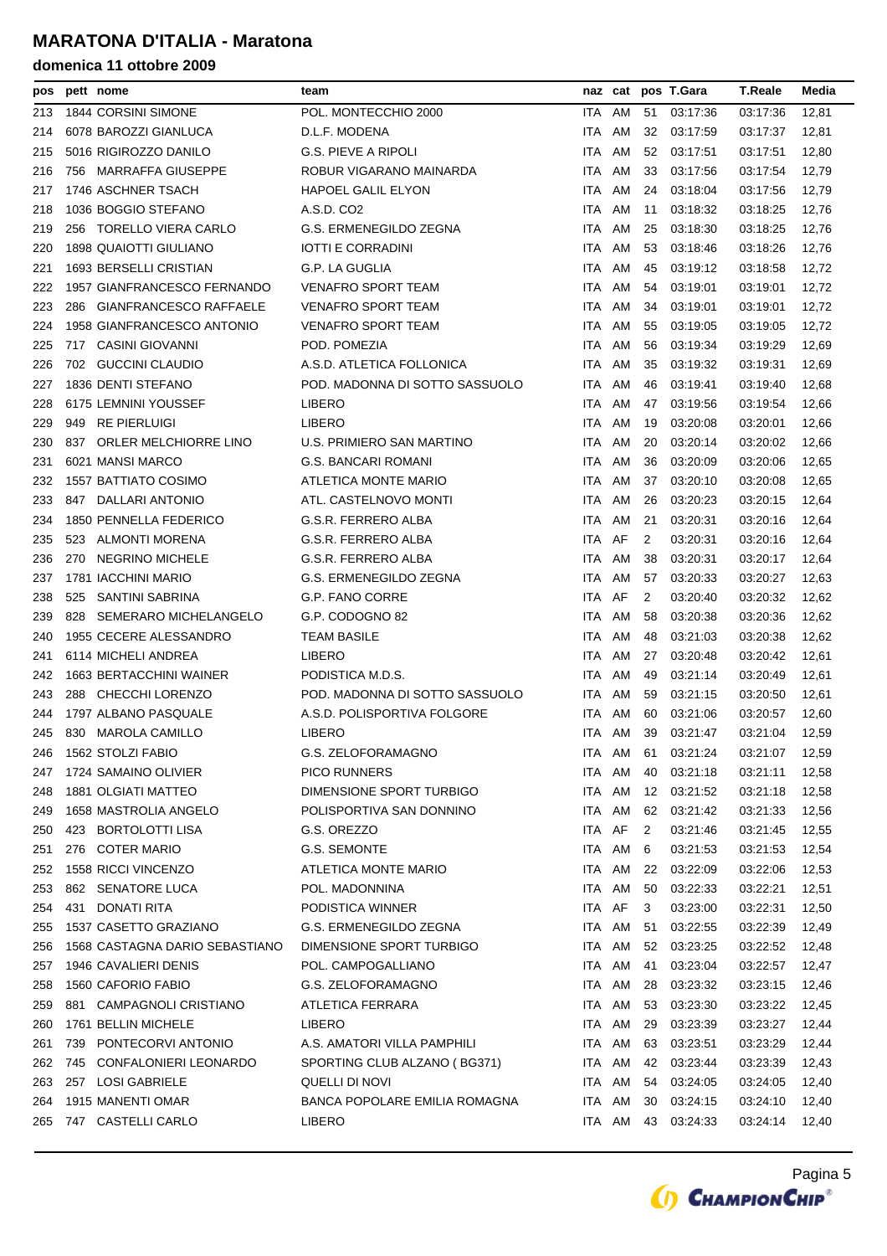| pos |     | pett nome                      | team                           |            |        |    | naz cat pos T.Gara | <b>T.Reale</b> | Media |
|-----|-----|--------------------------------|--------------------------------|------------|--------|----|--------------------|----------------|-------|
| 213 |     | 1844 CORSINI SIMONE            | POL. MONTECCHIO 2000           | ITA.       | AM     | 51 | 03:17:36           | 03:17:36       | 12,81 |
| 214 |     | 6078 BAROZZI GIANLUCA          | D.L.F. MODENA                  | ITA.       | AM     | 32 | 03:17:59           | 03:17:37       | 12,81 |
| 215 |     | 5016 RIGIROZZO DANILO          | <b>G.S. PIEVE A RIPOLI</b>     | ITA        | AM     | 52 | 03:17:51           | 03:17:51       | 12,80 |
| 216 |     | 756 MARRAFFA GIUSEPPE          | ROBUR VIGARANO MAINARDA        | ITA.       | AM     | 33 | 03:17:56           | 03:17:54       | 12,79 |
| 217 |     | 1746 ASCHNER TSACH             | <b>HAPOEL GALIL ELYON</b>      | ITA.       | AM     | 24 | 03:18:04           | 03:17:56       | 12,79 |
| 218 |     | 1036 BOGGIO STEFANO            | A.S.D. CO2                     | ITA        | AM     | 11 | 03:18:32           | 03:18:25       | 12,76 |
| 219 |     | 256 TORELLO VIERA CARLO        | G.S. ERMENEGILDO ZEGNA         | ITA.       | AM     | 25 | 03:18:30           | 03:18:25       | 12,76 |
| 220 |     | <b>1898 QUAIOTTI GIULIANO</b>  | <b>IOTTI E CORRADINI</b>       | ITA.       | AM     | 53 | 03:18:46           | 03:18:26       | 12,76 |
| 221 |     | <b>1693 BERSELLI CRISTIAN</b>  | G.P. LA GUGLIA                 | ITA        | AM     | 45 | 03:19:12           | 03:18:58       | 12,72 |
| 222 |     | 1957 GIANFRANCESCO FERNANDO    | <b>VENAFRO SPORT TEAM</b>      | ITA.       | AM     | 54 | 03:19:01           | 03:19:01       | 12,72 |
| 223 | 286 | GIANFRANCESCO RAFFAELE         | <b>VENAFRO SPORT TEAM</b>      | ITA.       | AM     | 34 | 03:19:01           | 03:19:01       | 12,72 |
| 224 |     | 1958 GIANFRANCESCO ANTONIO     | <b>VENAFRO SPORT TEAM</b>      | ITA        | AM     | 55 | 03:19:05           | 03:19:05       | 12,72 |
| 225 |     | 717 CASINI GIOVANNI            | POD. POMEZIA                   |            | ITA AM | 56 | 03:19:34           | 03:19:29       | 12,69 |
| 226 |     | 702 GUCCINI CLAUDIO            | A.S.D. ATLETICA FOLLONICA      | ITA.       | AM     | 35 | 03:19:32           | 03:19:31       | 12,69 |
| 227 |     | 1836 DENTI STEFANO             | POD. MADONNA DI SOTTO SASSUOLO | ITA.       | AM     | 46 | 03:19:41           | 03:19:40       | 12,68 |
| 228 |     | 6175 LEMNINI YOUSSEF           | <b>LIBERO</b>                  | ITA.       | AM     | 47 | 03:19:56           | 03:19:54       | 12,66 |
| 229 | 949 | RE PIERLUIGI                   | <b>LIBERO</b>                  | ITA        | AM     | 19 | 03:20:08           | 03:20:01       | 12,66 |
| 230 | 837 | ORLER MELCHIORRE LINO          | U.S. PRIMIERO SAN MARTINO      | ITA        | AM     | 20 | 03:20:14           | 03:20:02       | 12,66 |
| 231 |     | 6021 MANSI MARCO               | G.S. BANCARI ROMANI            | ITA.       | AM     | 36 | 03:20:09           | 03:20:06       | 12,65 |
| 232 |     | <b>1557 BATTIATO COSIMO</b>    | ATLETICA MONTE MARIO           | ITA        | AM     | 37 | 03:20:10           | 03:20:08       | 12,65 |
| 233 |     | 847 DALLARI ANTONIO            | ATL. CASTELNOVO MONTI          | ITA        | AM     | 26 | 03:20:23           | 03:20:15       | 12,64 |
| 234 |     | 1850 PENNELLA FEDERICO         | G.S.R. FERRERO ALBA            | ITA        | AM     | 21 | 03:20:31           | 03:20:16       | 12,64 |
| 235 | 523 | ALMONTI MORENA                 | G.S.R. FERRERO ALBA            | ITA.       | AF     | 2  | 03:20:31           | 03:20:16       | 12,64 |
| 236 | 270 | NEGRINO MICHELE                | G.S.R. FERRERO ALBA            | ITA        | AM     | 38 | 03:20:31           | 03:20:17       | 12,64 |
| 237 |     | 1781 IACCHINI MARIO            | G.S. ERMENEGILDO ZEGNA         | ITA.       | AM     | 57 | 03:20:33           | 03:20:27       | 12,63 |
| 238 | 525 | SANTINI SABRINA                | G.P. FANO CORRE                | ITA AF     |        | 2  | 03:20:40           | 03:20:32       | 12,62 |
| 239 | 828 | SEMERARO MICHELANGELO          | G.P. CODOGNO 82                | ITA        | AM     | 58 | 03:20:38           | 03:20:36       | 12,62 |
| 240 |     | 1955 CECERE ALESSANDRO         | <b>TEAM BASILE</b>             | ITA        | AM     | 48 | 03:21:03           | 03:20:38       | 12,62 |
| 241 |     | 6114 MICHELI ANDREA            | <b>LIBERO</b>                  | ITA        | AM     | 27 | 03:20:48           | 03:20:42       | 12,61 |
| 242 |     | 1663 BERTACCHINI WAINER        | PODISTICA M.D.S.               | ITA.       | AM     | 49 | 03:21:14           | 03:20:49       | 12,61 |
| 243 |     | 288 CHECCHI LORENZO            | POD. MADONNA DI SOTTO SASSUOLO | ITA.       | AM     | 59 | 03:21:15           | 03:20:50       | 12,61 |
| 244 |     | 1797 ALBANO PASQUALE           | A.S.D. POLISPORTIVA FOLGORE    | ITA        | AM     | 60 | 03:21:06           | 03:20:57       | 12,60 |
| 245 |     | 830 MAROLA CAMILLO             | <b>LIBERO</b>                  |            | ITA AM | 39 | 03:21:47           | 03:21:04       | 12,59 |
| 246 |     | 1562 STOLZI FABIO              | G.S. ZELOFORAMAGNO             | <b>ITA</b> | AM 61  |    | 03:21:24           | 03:21:07       | 12,59 |
| 247 |     | 1724 SAMAINO OLIVIER           | <b>PICO RUNNERS</b>            |            | ITA AM | 40 | 03:21:18           | 03:21:11       | 12,58 |
| 248 |     | <b>1881 OLGIATI MATTEO</b>     | DIMENSIONE SPORT TURBIGO       |            | ITA AM | 12 | 03:21:52           | 03:21:18       | 12,58 |
| 249 |     | 1658 MASTROLIA ANGELO          | POLISPORTIVA SAN DONNINO       |            | ITA AM | 62 | 03:21:42           | 03:21:33       | 12,56 |
| 250 |     | 423 BORTOLOTTI LISA            | G.S. OREZZO                    | ITA AF     |        | 2  | 03:21:46           | 03:21:45       | 12,55 |
| 251 | 276 | <b>COTER MARIO</b>             | G.S. SEMONTE                   |            | ITA AM | 6  | 03:21:53           | 03:21:53       | 12,54 |
| 252 |     | 1558 RICCI VINCENZO            | ATLETICA MONTE MARIO           |            | ITA AM | 22 | 03:22:09           | 03:22:06       | 12,53 |
| 253 |     | 862 SENATORE LUCA              | POL. MADONNINA                 | ITA        | AM     | 50 | 03:22:33           | 03:22:21       | 12,51 |
| 254 | 431 | DONATI RITA                    | PODISTICA WINNER               | ITA AF     |        | 3  | 03:23:00           | 03:22:31       | 12,50 |
| 255 |     | 1537 CASETTO GRAZIANO          | G.S. ERMENEGILDO ZEGNA         |            | ITA AM | 51 | 03:22:55           | 03:22:39       | 12,49 |
| 256 |     | 1568 CASTAGNA DARIO SEBASTIANO | DIMENSIONE SPORT TURBIGO       |            | ITA AM | 52 | 03:23:25           | 03:22:52       | 12,48 |
| 257 |     | 1946 CAVALIERI DENIS           | POL. CAMPOGALLIANO             |            | ITA AM | 41 | 03:23:04           | 03:22:57       | 12,47 |
| 258 |     | 1560 CAFORIO FABIO             | G.S. ZELOFORAMAGNO             |            | ITA AM | 28 | 03:23:32           | 03:23:15       | 12,46 |
| 259 | 881 | CAMPAGNOLI CRISTIANO           | ATLETICA FERRARA               |            | ITA AM | 53 | 03:23:30           | 03:23:22       | 12,45 |
| 260 |     | 1761 BELLIN MICHELE            | <b>LIBERO</b>                  |            | ITA AM | 29 | 03:23:39           | 03:23:27       | 12,44 |
| 261 | 739 | PONTECORVI ANTONIO             | A.S. AMATORI VILLA PAMPHILI    |            | ITA AM | 63 | 03:23:51           | 03:23:29       | 12,44 |
| 262 | 745 | CONFALONIERI LEONARDO          | SPORTING CLUB ALZANO (BG371)   |            | ITA AM | 42 | 03:23:44           | 03:23:39       | 12,43 |
| 263 |     | 257 LOSI GABRIELE              | QUELLI DI NOVI                 |            | ITA AM | 54 | 03:24:05           | 03:24:05       | 12,40 |
| 264 |     | 1915 MANENTI OMAR              | BANCA POPOLARE EMILIA ROMAGNA  |            | ITA AM | 30 | 03:24:15           |                |       |
|     |     | 747 CASTELLI CARLO             |                                |            |        |    |                    | 03:24:10       | 12,40 |
| 265 |     |                                | <b>LIBERO</b>                  |            | ITA AM | 43 | 03:24:33           | 03:24:14       | 12,40 |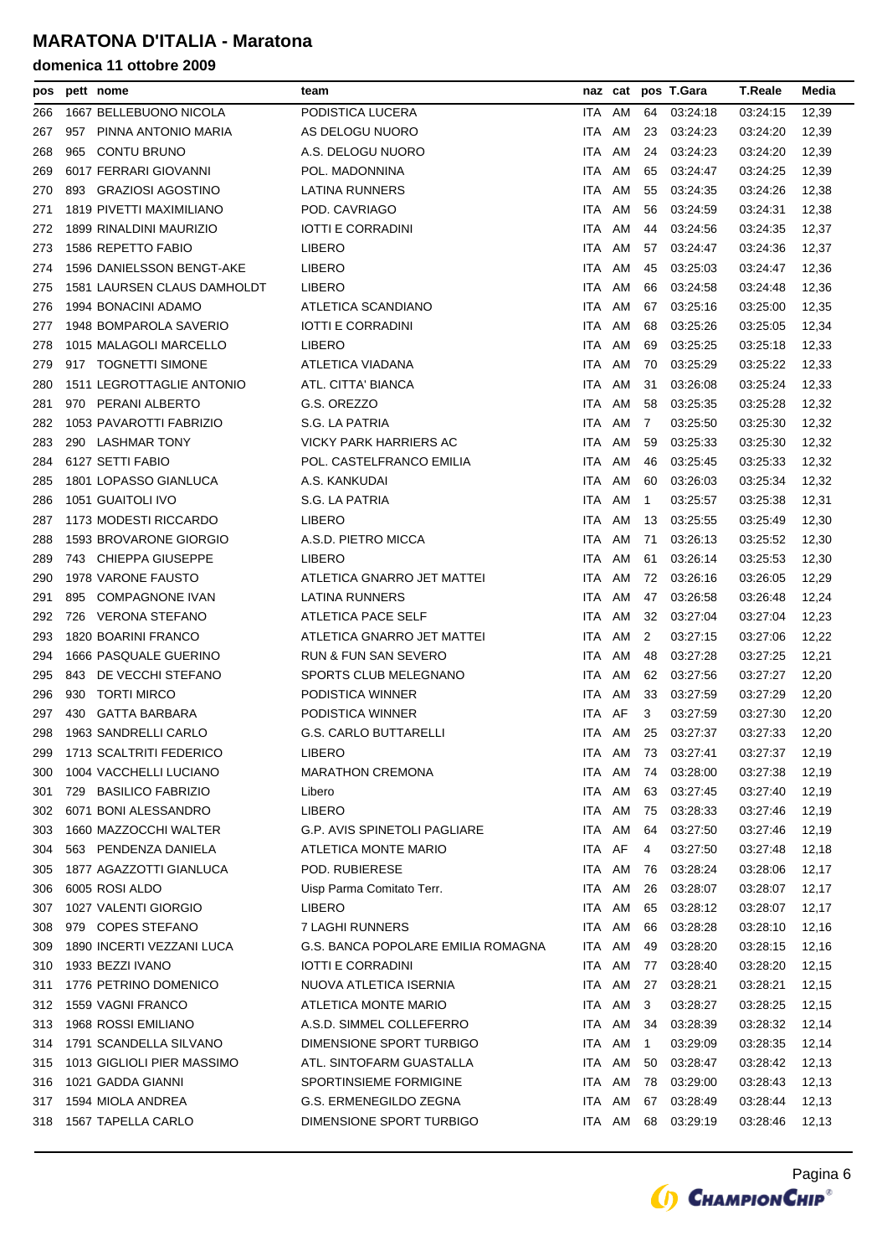| pos |     | pett nome                   | team                               |        |           |              | naz cat pos T.Gara | <b>T.Reale</b> | Media |
|-----|-----|-----------------------------|------------------------------------|--------|-----------|--------------|--------------------|----------------|-------|
| 266 |     | 1667 BELLEBUONO NICOLA      | PODISTICA LUCERA                   | ITA    | AM        | 64           | 03:24:18           | 03:24:15       | 12,39 |
| 267 | 957 | PINNA ANTONIO MARIA         | AS DELOGU NUORO                    | ITA AM |           | 23           | 03:24:23           | 03:24:20       | 12,39 |
| 268 | 965 | CONTU BRUNO                 | A.S. DELOGU NUORO                  | ITA    | AM        | 24           | 03:24:23           | 03:24:20       | 12,39 |
| 269 |     | 6017 FERRARI GIOVANNI       | POL. MADONNINA                     | ITA    | AM        | 65           | 03:24:47           | 03:24:25       | 12,39 |
| 270 |     | 893 GRAZIOSI AGOSTINO       | LATINA RUNNERS                     | ITA    | AM        | 55           | 03:24:35           | 03:24:26       | 12,38 |
| 271 |     | 1819 PIVETTI MAXIMILIANO    | POD. CAVRIAGO                      | ITA.   | AM        | 56           | 03:24:59           | 03:24:31       | 12,38 |
| 272 |     | 1899 RINALDINI MAURIZIO     | <b>IOTTI E CORRADINI</b>           | ITA AM |           | 44           | 03:24:56           | 03:24:35       | 12,37 |
| 273 |     | 1586 REPETTO FABIO          | <b>LIBERO</b>                      | ITA    | AM        | 57           | 03.24.47           | 03:24:36       | 12,37 |
| 274 |     | 1596 DANIELSSON BENGT-AKE   | LIBERO                             | ITA.   | AM        | 45           | 03:25:03           | 03:24:47       | 12,36 |
| 275 |     | 1581 LAURSEN CLAUS DAMHOLDT | <b>LIBERO</b>                      | ITA    | AM        | 66           | 03:24:58           | 03:24:48       | 12,36 |
| 276 |     | 1994 BONACINI ADAMO         | ATLETICA SCANDIANO                 | ITA AM |           | 67           | 03:25:16           | 03:25:00       | 12,35 |
| 277 |     | 1948 BOMPAROLA SAVERIO      | IOTTI E CORRADINI                  | ITA AM |           | 68           | 03:25:26           | 03:25:05       | 12,34 |
| 278 |     | 1015 MALAGOLI MARCELLO      | <b>LIBERO</b>                      | ITA AM |           | 69           | 03:25:25           | 03:25:18       | 12,33 |
| 279 |     | 917 TOGNETTI SIMONE         | ATLETICA VIADANA                   | ITA AM |           | 70           | 03:25:29           | 03:25:22       | 12,33 |
| 280 |     | 1511 LEGROTTAGLIE ANTONIO   | ATL. CITTA' BIANCA                 | ITA    | AM        | 31           | 03:26:08           | 03:25:24       | 12,33 |
| 281 |     | 970 PERANI ALBERTO          | G.S. OREZZO                        | ITA    | AM        | 58           | 03:25:35           | 03:25:28       | 12,32 |
| 282 |     | 1053 PAVAROTTI FABRIZIO     | S.G. LA PATRIA                     | ITA AM |           | 7            | 03:25:50           | 03:25:30       | 12,32 |
| 283 |     | 290 LASHMAR TONY            | VICKY PARK HARRIERS AC             | ITA.   | AM        | 59           | 03:25:33           | 03:25:30       | 12,32 |
| 284 |     | 6127 SETTI FABIO            | POL. CASTELFRANCO EMILIA           | ITA AM |           | 46           | 03:25:45           | 03:25:33       | 12,32 |
| 285 |     | 1801 LOPASSO GIANLUCA       | A.S. KANKUDAI                      | ITA    | AM        | 60           | 03:26:03           | 03:25:34       | 12,32 |
| 286 |     | 1051 GUAITOLI IVO           | S.G. LA PATRIA                     | ITA.   | AM        | $\mathbf{1}$ | 03:25:57           | 03:25:38       | 12,31 |
| 287 |     | 1173 MODESTI RICCARDO       | <b>LIBERO</b>                      | ITA.   | AM        | 13           | 03:25:55           | 03:25:49       | 12,30 |
| 288 |     | 1593 BROVARONE GIORGIO      | A.S.D. PIETRO MICCA                | ITA AM |           | 71           | 03:26:13           | 03:25:52       | 12,30 |
| 289 |     | 743 CHIEPPA GIUSEPPE        | <b>LIBERO</b>                      | ITA AM |           | 61           | 03.26.14           | 03:25:53       | 12,30 |
| 290 |     | 1978 VARONE FAUSTO          | ATLETICA GNARRO JET MATTEI         | ITA AM |           | 72           | 03:26:16           | 03:26:05       | 12,29 |
| 291 | 895 | COMPAGNONE IVAN             | LATINA RUNNERS                     | ITA AM |           | 47           | 03:26:58           | 03:26:48       | 12,24 |
| 292 |     | 726 VERONA STEFANO          | ATLETICA PACE SELF                 | ITA AM |           | 32           | 03:27:04           | 03:27:04       | 12,23 |
| 293 |     | 1820 BOARINI FRANCO         | ATLETICA GNARRO JET MATTEI         | ITA AM |           | 2            | 03:27:15           | 03:27:06       | 12,22 |
| 294 |     | 1666 PASQUALE GUERINO       | RUN & FUN SAN SEVERO               | ITA AM |           | 48           | 03:27:28           | 03:27:25       | 12,21 |
| 295 |     | 843 DE VECCHI STEFANO       | SPORTS CLUB MELEGNANO              | ITA AM |           | 62           | 03:27:56           | 03:27:27       | 12,20 |
| 296 | 930 | <b>TORTI MIRCO</b>          | PODISTICA WINNER                   | ITA AM |           | 33           | 03:27:59           | 03:27:29       | 12,20 |
| 297 | 430 | GATTA BARBARA               | PODISTICA WINNER                   | ITA AF |           | 3            | 03.27:59           | 03:27:30       | 12,20 |
| 298 |     | 1963 SANDRELLI CARLO        | <b>G.S. CARLO BUTTARELLI</b>       |        | ITA AM    |              | 25 03:27:37        | 03:27:33       | 12,20 |
| 299 |     | 1713 SCALTRITI FEDERICO     | LIBERO                             |        | ITA AM 73 |              | 03:27:41           | 03:27:37       | 12,19 |
| 300 |     | 1004 VACCHELLI LUCIANO      | <b>MARATHON CREMONA</b>            | ITA AM |           | 74           | 03:28:00           | 03:27:38       | 12,19 |
| 301 | 729 | <b>BASILICO FABRIZIO</b>    | Libero                             | ITA AM |           | 63           | 03:27:45           | 03:27:40       | 12,19 |
| 302 |     | 6071 BONI ALESSANDRO        | LIBERO                             | ITA AM |           | 75           | 03:28:33           | 03:27:46       | 12,19 |
| 303 |     | 1660 MAZZOCCHI WALTER       | G.P. AVIS SPINETOLI PAGLIARE       | ITA AM |           | 64           | 03:27:50           | 03:27:46       | 12,19 |
| 304 |     | 563 PENDENZA DANIELA        | ATLETICA MONTE MARIO               | ITA AF |           | 4            | 03:27:50           | 03:27:48       | 12,18 |
| 305 |     | 1877 AGAZZOTTI GIANLUCA     | POD. RUBIERESE                     | ITA AM |           | 76           | 03:28:24           | 03:28:06       | 12,17 |
| 306 |     | 6005 ROSI ALDO              | Uisp Parma Comitato Terr.          | ITA AM |           | 26           | 03:28:07           | 03:28:07       | 12,17 |
| 307 |     | 1027 VALENTI GIORGIO        | LIBERO                             | ITA AM |           | 65           | 03:28:12           | 03:28:07       | 12,17 |
| 308 |     | 979 COPES STEFANO           | 7 LAGHI RUNNERS                    | ITA AM |           | 66           | 03:28:28           | 03:28:10       | 12,16 |
| 309 |     | 1890 INCERTI VEZZANI LUCA   | G.S. BANCA POPOLARE EMILIA ROMAGNA | ITA AM |           | 49           | 03:28:20           | 03:28:15       | 12,16 |
| 310 |     | 1933 BEZZI IVANO            | <b>IOTTI E CORRADINI</b>           | ITA AM |           | 77           | 03:28:40           | 03:28:20       | 12,15 |
| 311 |     | 1776 PETRINO DOMENICO       | NUOVA ATLETICA ISERNIA             | ITA AM |           | 27           | 03:28:21           | 03:28:21       | 12,15 |
| 312 |     | 1559 VAGNI FRANCO           | ATLETICA MONTE MARIO               | ITA AM |           | 3            | 03:28:27           | 03:28:25       | 12,15 |
| 313 |     | 1968 ROSSI EMILIANO         | A.S.D. SIMMEL COLLEFERRO           | ITA AM |           | 34           | 03:28:39           | 03:28:32       | 12,14 |
| 314 |     | 1791 SCANDELLA SILVANO      | DIMENSIONE SPORT TURBIGO           | ITA AM |           | 1            | 03:29:09           | 03:28:35       | 12,14 |
| 315 |     | 1013 GIGLIOLI PIER MASSIMO  | ATL. SINTOFARM GUASTALLA           | ITA AM |           | 50           | 03:28:47           | 03:28:42       | 12,13 |
| 316 |     | 1021 GADDA GIANNI           | SPORTINSIEME FORMIGINE             | ITA AM |           | 78           | 03:29:00           | 03:28:43       | 12,13 |
| 317 |     | 1594 MIOLA ANDREA           | G.S. ERMENEGILDO ZEGNA             | ITA AM |           | 67           | 03:28:49           | 03:28:44       | 12,13 |
| 318 |     | 1567 TAPELLA CARLO          | DIMENSIONE SPORT TURBIGO           |        | ITA AM    | 68           | 03:29:19           | 03:28:46       | 12,13 |

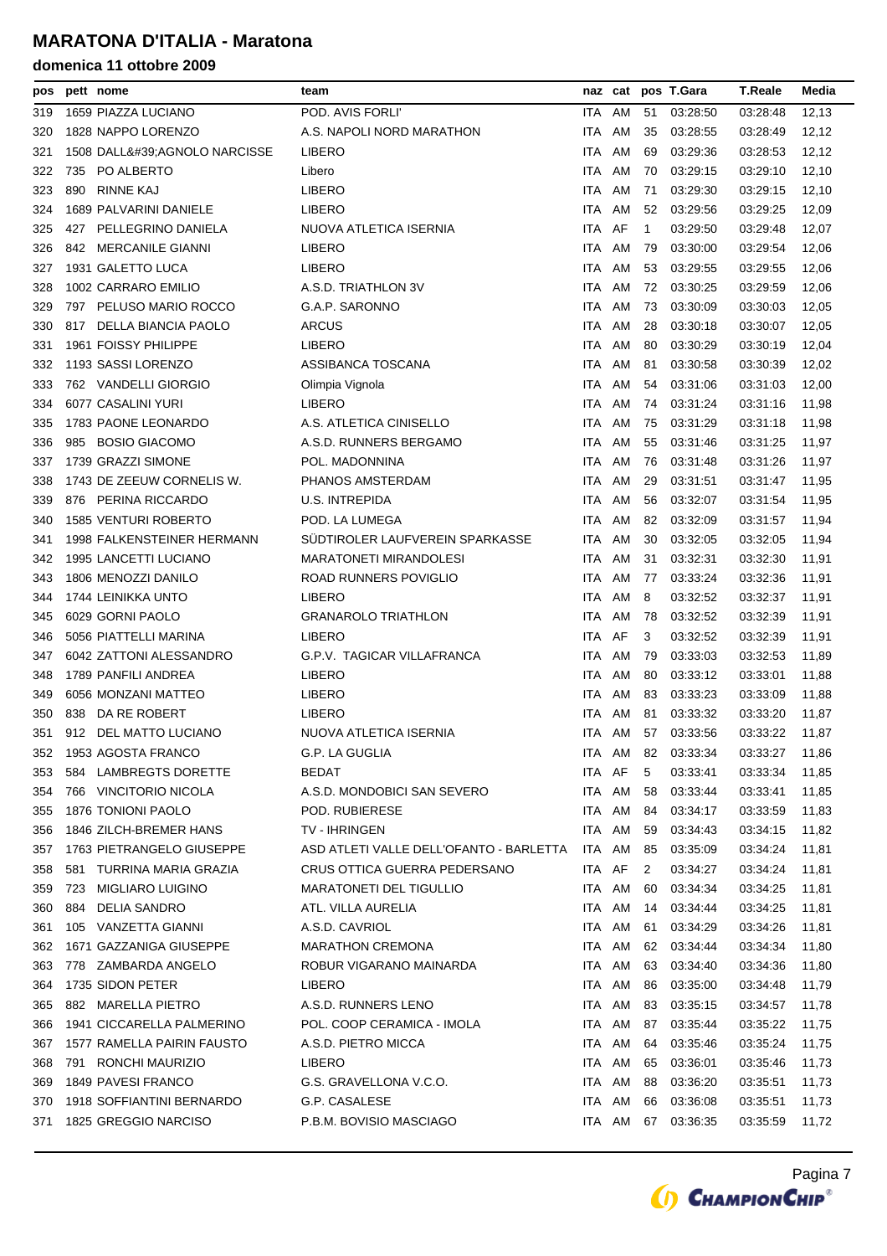| pos |     | pett nome                   | team                                    |            |        |              | naz cat pos T.Gara | <b>T.Reale</b> | Media |
|-----|-----|-----------------------------|-----------------------------------------|------------|--------|--------------|--------------------|----------------|-------|
| 319 |     | 1659 PIAZZA LUCIANO         | POD. AVIS FORLI'                        | ITA AM     |        | 51           | 03:28:50           | 03:28:48       | 12,13 |
| 320 |     | 1828 NAPPO LORENZO          | A.S. NAPOLI NORD MARATHON               | ITA        | AM     | 35           | 03:28:55           | 03:28:49       | 12,12 |
| 321 |     | 1508 DALL'AGNOLO NARCISSE   | <b>LIBERO</b>                           | ITA.       | AM     | 69           | 03:29:36           | 03:28:53       | 12,12 |
| 322 |     | 735 PO ALBERTO              | Libero                                  | ITA.       | AM     | 70           | 03:29:15           | 03:29:10       | 12,10 |
| 323 | 890 | <b>RINNE KAJ</b>            | <b>LIBERO</b>                           | ITA.       | AM     | 71           | 03:29:30           | 03:29:15       | 12,10 |
| 324 |     | 1689 PALVARINI DANIELE      | <b>LIBERO</b>                           | <b>ITA</b> | AM     | 52           | 03:29:56           | 03:29:25       | 12,09 |
| 325 |     | 427 PELLEGRINO DANIELA      | NUOVA ATLETICA ISERNIA                  | ITA AF     |        | $\mathbf{1}$ | 03:29:50           | 03:29:48       | 12,07 |
| 326 |     | 842 MERCANILE GIANNI        | <b>LIBERO</b>                           | ITA.       | AM     | 79           | 03:30:00           | 03:29:54       | 12,06 |
| 327 |     | 1931 GALETTO LUCA           | <b>LIBERO</b>                           | <b>ITA</b> | AM     | 53           | 03:29:55           | 03:29:55       | 12,06 |
| 328 |     | 1002 CARRARO EMILIO         | A.S.D. TRIATHLON 3V                     | ITA.       | AM     | 72           | 03:30:25           | 03:29:59       | 12,06 |
| 329 |     | 797 PELUSO MARIO ROCCO      | G.A.P. SARONNO                          | ITA.       | AM     | 73           | 03:30:09           | 03:30:03       | 12,05 |
| 330 |     | 817 DELLA BIANCIA PAOLO     | <b>ARCUS</b>                            | ITA.       | AM     | 28           | 03:30:18           | 03:30:07       | 12,05 |
| 331 |     | 1961 FOISSY PHILIPPE        | <b>LIBERO</b>                           | ITA.       | AM     | 80           | 03:30:29           | 03:30:19       | 12,04 |
| 332 |     | 1193 SASSI LORENZO          | ASSIBANCA TOSCANA                       | ITA.       | AM     | 81           | 03:30:58           | 03:30:39       | 12,02 |
| 333 |     | 762 VANDELLI GIORGIO        | Olimpia Vignola                         | ITA.       | AM     | 54           | 03:31:06           | 03:31:03       | 12,00 |
| 334 |     | 6077 CASALINI YURI          | <b>LIBERO</b>                           | ITA.       | AM     | 74           | 03:31:24           | 03:31:16       | 11,98 |
| 335 |     | 1783 PAONE LEONARDO         | A.S. ATLETICA CINISELLO                 | ITA.       | AM     | 75           | 03:31:29           | 03:31:18       | 11,98 |
| 336 |     | 985 BOSIO GIACOMO           | A.S.D. RUNNERS BERGAMO                  | ITA.       | AM     | 55           | 03:31:46           | 03:31:25       | 11,97 |
| 337 |     | 1739 GRAZZI SIMONE          | POL. MADONNINA                          | ITA        | AM     | 76           | 03:31:48           | 03:31:26       | 11,97 |
| 338 |     | 1743 DE ZEEUW CORNELIS W.   | PHANOS AMSTERDAM                        | ITA.       | AM     | 29           | 03:31:51           | 03:31:47       | 11,95 |
| 339 |     | 876 PERINA RICCARDO         | <b>U.S. INTREPIDA</b>                   | ITA.       | AM     | 56           | 03:32:07           | 03:31:54       | 11,95 |
| 340 |     | <b>1585 VENTURI ROBERTO</b> | POD. LA LUMEGA                          | ITA.       | AM     | 82           | 03:32:09           | 03:31:57       | 11,94 |
| 341 |     | 1998 FALKENSTEINER HERMANN  | SUDTIROLER LAUFVEREIN SPARKASSE         | ITA.       | AM     | 30           | 03:32:05           | 03:32:05       | 11,94 |
| 342 |     | 1995 LANCETTI LUCIANO       | <b>MARATONETI MIRANDOLESI</b>           | ITA.       | AM     | 31           | 03:32:31           | 03:32:30       | 11,91 |
| 343 |     | 1806 MENOZZI DANILO         | ROAD RUNNERS POVIGLIO                   | ITA AM     |        | 77           | 03.33.24           | 03:32:36       | 11,91 |
| 344 |     | 1744 LEINIKKA UNTO          | <b>LIBERO</b>                           | ITA        | AM     | 8            | 03:32:52           | 03:32:37       | 11,91 |
| 345 |     | 6029 GORNI PAOLO            | <b>GRANAROLO TRIATHLON</b>              | ITA.       | AM     | 78           | 03:32:52           | 03:32:39       | 11,91 |
| 346 |     | 5056 PIATTELLI MARINA       | <b>LIBERO</b>                           | ITA AF     |        | 3            | 03:32:52           | 03:32:39       | 11,91 |
| 347 |     | 6042 ZATTONI ALESSANDRO     | G.P.V. TAGICAR VILLAFRANCA              | ITA.       | AM     | 79           | 03:33:03           | 03:32:53       | 11,89 |
| 348 |     | 1789 PANFILI ANDREA         | <b>LIBERO</b>                           | ITA.       | AM     | 80           | 03:33:12           | 03:33:01       | 11,88 |
| 349 |     | 6056 MONZANI MATTEO         | <b>LIBERO</b>                           | ITA        | AM     | 83           | 03:33:23           | 03.33.09       | 11,88 |
| 350 | 838 | DA RE ROBERT                | <b>LIBERO</b>                           | ITA.       | AM     | 81           | 03:33:32           | 03:33:20       | 11,87 |
| 351 |     | 912 DEL MATTO LUCIANO       | NUOVA ATLETICA ISERNIA                  | ITA AM     |        |              | 57 03:33:56        | 03:33:22       | 11,87 |
| 352 |     | 1953 AGOSTA FRANCO          | G.P. LA GUGLIA                          | <b>ITA</b> | AM     | 82           | 03:33:34           | 03:33:27       | 11,86 |
| 353 | 584 | <b>LAMBREGTS DORETTE</b>    | BEDAT                                   | ITA AF     |        | 5            | 03:33:41           | 03:33:34       | 11,85 |
| 354 |     | 766 VINCITORIO NICOLA       | A.S.D. MONDOBICI SAN SEVERO             | ITA AM     |        | 58           | 03:33:44           | 03:33:41       | 11,85 |
| 355 |     | 1876 TONIONI PAOLO          | POD. RUBIERESE                          | ITA AM     |        | 84           | 03:34:17           | 03:33:59       | 11,83 |
| 356 |     | 1846 ZILCH-BREMER HANS      | <b>TV - IHRINGEN</b>                    | ITA AM     |        | 59           | 03:34:43           | 03:34:15       | 11,82 |
| 357 |     | 1763 PIETRANGELO GIUSEPPE   | ASD ATLETI VALLE DELL'OFANTO - BARLETTA | ITA AM     |        | 85           | 03:35:09           | 03:34:24       | 11,81 |
| 358 | 581 | TURRINA MARIA GRAZIA        | CRUS OTTICA GUERRA PEDERSANO            | ITA AF     |        | 2            | 03:34:27           | 03:34:24       | 11,81 |
| 359 | 723 | <b>MIGLIARO LUIGINO</b>     | <b>MARATONETI DEL TIGULLIO</b>          | ITA AM     |        | 60           | 03:34:34           | 03:34:25       | 11,81 |
| 360 | 884 | <b>DELIA SANDRO</b>         | ATL. VILLA AURELIA                      | ITA AM     |        | 14           | 03:34:44           | 03:34:25       | 11,81 |
| 361 |     | 105 VANZETTA GIANNI         | A.S.D. CAVRIOL                          | ITA AM     |        | 61           | 03:34:29           | 03:34:26       | 11,81 |
| 362 |     | 1671 GAZZANIGA GIUSEPPE     | <b>MARATHON CREMONA</b>                 | ITA AM     |        | 62           | 03:34:44           | 03:34:34       | 11,80 |
| 363 |     | 778 ZAMBARDA ANGELO         | ROBUR VIGARANO MAINARDA                 | ITA AM     |        | 63           | 03:34:40           | 03:34:36       | 11,80 |
| 364 |     | 1735 SIDON PETER            | LIBERO                                  | ITA AM     |        | 86           | 03:35:00           | 03:34:48       | 11,79 |
| 365 |     | 882 MARELLA PIETRO          | A.S.D. RUNNERS LENO                     | ITA AM     |        | 83           | 03:35:15           | 03:34:57       | 11,78 |
| 366 |     | 1941 CICCARELLA PALMERINO   | POL. COOP CERAMICA - IMOLA              | ITA AM     |        | 87           | 03:35:44           | 03:35:22       | 11,75 |
| 367 |     | 1577 RAMELLA PAIRIN FAUSTO  | A.S.D. PIETRO MICCA                     | ITA AM     |        | 64           | 03:35:46           | 03:35:24       | 11,75 |
| 368 |     | 791 RONCHI MAURIZIO         | <b>LIBERO</b>                           | ITA AM     |        | 65           | 03:36:01           | 03:35:46       | 11,73 |
| 369 |     | 1849 PAVESI FRANCO          | G.S. GRAVELLONA V.C.O.                  | ITA AM     |        | 88           | 03:36:20           | 03:35:51       | 11,73 |
| 370 |     | 1918 SOFFIANTINI BERNARDO   | G.P. CASALESE                           | ITA AM     |        | 66           | 03:36:08           | 03:35:51       | 11,73 |
| 371 |     | 1825 GREGGIO NARCISO        | P.B.M. BOVISIO MASCIAGO                 |            | ITA AM | 67           | 03:36:35           | 03:35:59       | 11,72 |
|     |     |                             |                                         |            |        |              |                    |                |       |

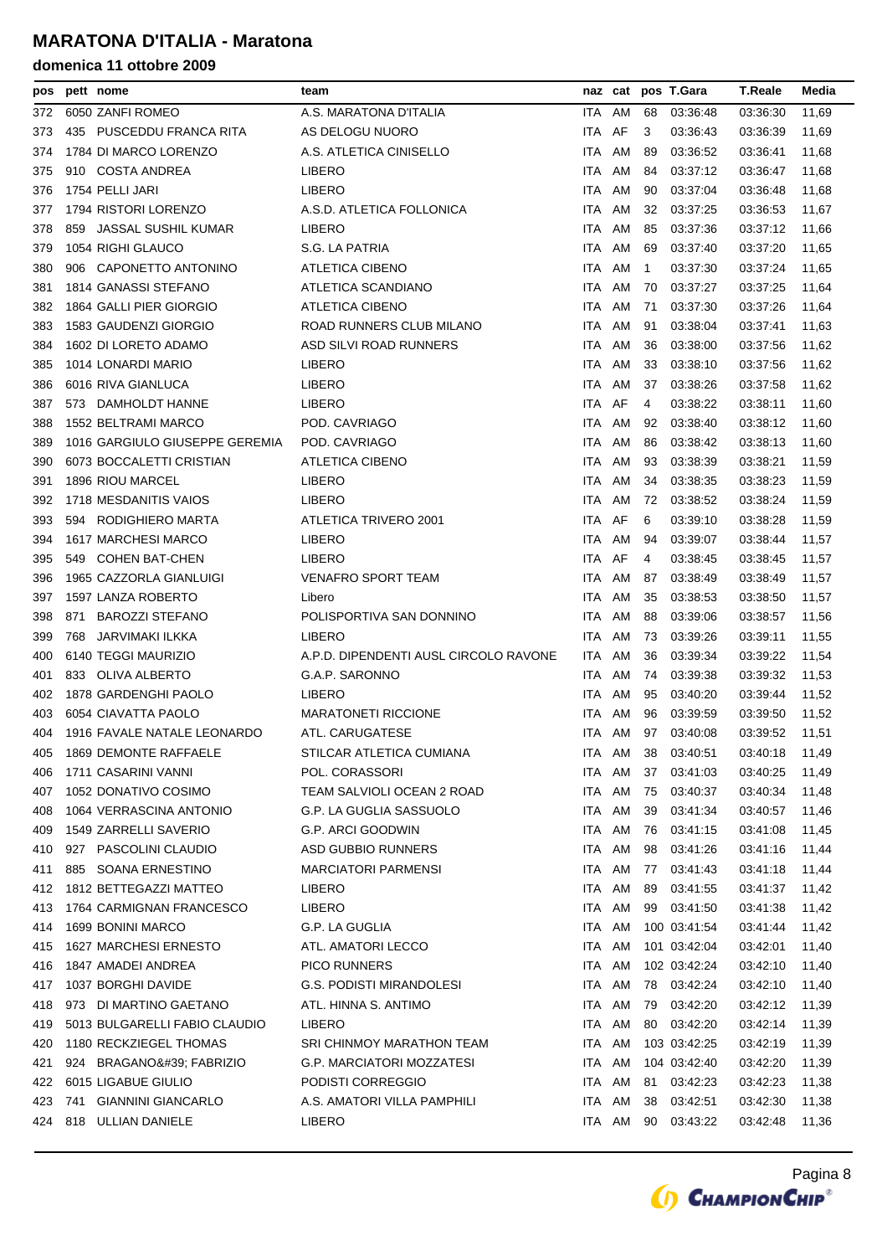| pos |     | pett nome                      | team                                  |            | naz cat |    | pos T.Gara   | <b>T.Reale</b> | Media |
|-----|-----|--------------------------------|---------------------------------------|------------|---------|----|--------------|----------------|-------|
| 372 |     | 6050 ZANFI ROMEO               | A.S. MARATONA D'ITALIA                | ITA.       | AM      | 68 | 03:36:48     | 03:36:30       | 11,69 |
| 373 |     | 435 PUSCEDDU FRANCA RITA       | AS DELOGU NUORO                       | ITA AF     |         | 3  | 03.36:43     | 03:36:39       | 11,69 |
| 374 |     | 1784 DI MARCO LORENZO          | A.S. ATLETICA CINISELLO               | ITA AM     |         | 89 | 03:36:52     | 03:36:41       | 11,68 |
| 375 |     | 910 COSTA ANDREA               | <b>LIBERO</b>                         | ITA.       | AM      | 84 | 03:37:12     | 03:36:47       | 11,68 |
| 376 |     | 1754 PELLI JARI                | LIBERO                                | ITA AM     |         | 90 | 03:37:04     | 03:36:48       | 11,68 |
| 377 |     | 1794 RISTORI LORENZO           | A.S.D. ATLETICA FOLLONICA             | ITA AM     |         | 32 | 03:37:25     | 03:36:53       | 11,67 |
| 378 |     | 859 JASSAL SUSHIL KUMAR        | <b>LIBERO</b>                         | ITA.       | AM      | 85 | 03:37:36     | 03:37:12       | 11,66 |
| 379 |     | 1054 RIGHI GLAUCO              | S.G. LA PATRIA                        | ITA.       | AM      | 69 | 03:37:40     | 03:37:20       | 11,65 |
| 380 |     | 906 CAPONETTO ANTONINO         | ATLETICA CIBENO                       | ITA AM     |         | -1 | 03.37:30     | 03:37:24       | 11,65 |
| 381 |     | 1814 GANASSI STEFANO           | ATLETICA SCANDIANO                    | ITA.       | AM      | 70 | 03:37:27     | 03:37:25       | 11,64 |
| 382 |     | 1864 GALLI PIER GIORGIO        | ATLETICA CIBENO                       | ITA AM     |         | 71 | 03:37:30     | 03:37:26       | 11,64 |
| 383 |     | 1583 GAUDENZI GIORGIO          | ROAD RUNNERS CLUB MILANO              | ITA AM     |         | 91 | 03:38:04     | 03:37:41       | 11,63 |
| 384 |     | 1602 DI LORETO ADAMO           | ASD SILVI ROAD RUNNERS                | ITA AM     |         | 36 | 03:38:00     | 03:37:56       | 11,62 |
| 385 |     | 1014 LONARDI MARIO             | LIBERO                                | ITA AM     |         | 33 | 03:38:10     | 03:37:56       | 11,62 |
| 386 |     | 6016 RIVA GIANLUCA             | LIBERO                                | ITA AM     |         | 37 | 03:38:26     | 03:37:58       | 11,62 |
| 387 |     | 573 DAMHOLDT HANNE             | LIBERO                                | ITA AF     |         | 4  | 03:38:22     | 03:38:11       | 11,60 |
| 388 |     | <b>1552 BELTRAMI MARCO</b>     | POD. CAVRIAGO                         | ITA        | AM      | 92 | 03:38:40     | 03:38:12       | 11,60 |
| 389 |     | 1016 GARGIULO GIUSEPPE GEREMIA | POD. CAVRIAGO                         | ITA AM     |         | 86 | 03:38:42     | 03:38:13       | 11,60 |
| 390 |     | 6073 BOCCALETTI CRISTIAN       | <b>ATLETICA CIBENO</b>                | ITA.       | AM      | 93 | 03:38:39     | 03:38:21       | 11,59 |
| 391 |     | 1896 RIOU MARCEL               | LIBERO                                | ITA.       | AM      | 34 | 03:38:35     | 03:38:23       | 11,59 |
| 392 |     | 1718 MESDANITIS VAIOS          | LIBERO                                | ITA AM     |         | 72 | 03:38:52     | 03:38:24       | 11,59 |
| 393 |     | 594 RODIGHIERO MARTA           | ATLETICA TRIVERO 2001                 | ITA        | AF      | 6  | 03:39:10     | 03:38:28       | 11,59 |
| 394 |     | 1617 MARCHESI MARCO            | LIBERO                                | ITA.       | AM      | 94 | 03:39:07     | 03:38:44       | 11,57 |
| 395 |     | 549 COHEN BAT-CHEN             | LIBERO                                | ITA AF     |         | 4  | 03:38:45     | 03:38:45       | 11,57 |
| 396 |     | 1965 CAZZORLA GIANLUIGI        | <b>VENAFRO SPORT TEAM</b>             | ITA AM     |         | 87 | 03:38:49     | 03:38:49       | 11,57 |
| 397 |     | 1597 LANZA ROBERTO             | Libero                                | ITA AM     |         | 35 | 03:38:53     | 03:38:50       | 11,57 |
| 398 | 871 | <b>BAROZZI STEFANO</b>         | POLISPORTIVA SAN DONNINO              | ITA AM     |         | 88 | 03:39:06     | 03:38:57       | 11,56 |
| 399 | 768 | JARVIMAKI ILKKA                | <b>LIBERO</b>                         | ITA        | AM      | 73 | 03:39:26     | 03:39:11       | 11,55 |
| 400 |     | 6140 TEGGI MAURIZIO            | A.P.D. DIPENDENTI AUSL CIRCOLO RAVONE | ITA AM     |         | 36 | 03.39.34     | 03:39:22       | 11,54 |
| 401 |     | 833 OLIVA ALBERTO              | G.A.P. SARONNO                        | ITA AM     |         | 74 | 03:39:38     | 03:39:32       | 11,53 |
| 402 |     | 1878 GARDENGHI PAOLO           | <b>LIBERO</b>                         | ITA.       | AM      | 95 | 03:40:20     | 03:39:44       | 11,52 |
| 403 |     | 6054 CIAVATTA PAOLO            | <b>MARATONETI RICCIONE</b>            | ITA.       | AM      | 96 | 03:39:59     | 03:39:50       | 11,52 |
| 404 |     | 1916 FAVALE NATALE LEONARDO    | ATL. CARUGATESE                       |            | ITA AM  |    | 97 03:40:08  | 03:39:52       | 11,51 |
| 405 |     | 1869 DEMONTE RAFFAELE          | STILCAR ATLETICA CUMIANA              | <b>ITA</b> | AM      | 38 | 03:40:51     | 03:40:18       | 11,49 |
| 406 |     | 1711 CASARINI VANNI            | POL. CORASSORI                        | ITA AM     |         | 37 | 03:41:03     | 03:40:25       | 11,49 |
| 407 |     | 1052 DONATIVO COSIMO           | TEAM SALVIOLI OCEAN 2 ROAD            | ITA AM     |         | 75 | 03:40:37     | 03:40:34       | 11,48 |
| 408 |     | 1064 VERRASCINA ANTONIO        | G.P. LA GUGLIA SASSUOLO               | ITA        | AM      | 39 | 03.41.34     | 03:40:57       | 11,46 |
| 409 |     | 1549 ZARRELLI SAVERIO          | G.P. ARCI GOODWIN                     | ITA AM     |         | 76 | 03:41:15     | 03:41:08       | 11,45 |
| 410 |     | 927 PASCOLINI CLAUDIO          | ASD GUBBIO RUNNERS                    | ITA AM     |         | 98 | 03:41:26     | 03:41:16       | 11,44 |
| 411 | 885 | SOANA ERNESTINO                | <b>MARCIATORI PARMENSI</b>            | ITA        | AM      | 77 | 03:41:43     | 03:41:18       | 11,44 |
| 412 |     | 1812 BETTEGAZZI MATTEO         | LIBERO                                | ITA AM     |         | 89 | 03:41:55     | 03:41:37       | 11,42 |
| 413 |     | 1764 CARMIGNAN FRANCESCO       | LIBERO                                | ITA AM     |         | 99 | 03:41:50     | 03:41:38       | 11,42 |
| 414 |     | 1699 BONINI MARCO              | G.P. LA GUGLIA                        | ITA AM     |         |    | 100 03:41:54 | 03:41:44       | 11,42 |
| 415 |     | 1627 MARCHESI ERNESTO          | ATL. AMATORI LECCO                    | ITA AM     |         |    | 101 03:42:04 | 03:42:01       | 11,40 |
| 416 |     | 1847 AMADEI ANDREA             | <b>PICO RUNNERS</b>                   | ITA AM     |         |    | 102 03:42:24 | 03:42:10       | 11,40 |
| 417 |     | 1037 BORGHI DAVIDE             | G.S. PODISTI MIRANDOLESI              | ITA        | AM      | 78 | 03:42:24     | 03:42:10       | 11,40 |
| 418 |     | 973 DI MARTINO GAETANO         | ATL. HINNA S. ANTIMO                  | ITA AM     |         | 79 | 03:42:20     | 03:42:12       | 11,39 |
| 419 |     | 5013 BULGARELLI FABIO CLAUDIO  | LIBERO                                | ITA AM     |         | 80 | 03:42:20     | 03:42:14       | 11,39 |
| 420 |     | 1180 RECKZIEGEL THOMAS         | SRI CHINMOY MARATHON TEAM             | ITA AM     |         |    | 103 03:42:25 | 03:42:19       | 11,39 |
| 421 |     | 924 BRAGANO' FABRIZIO          | <b>G.P. MARCIATORI MOZZATESI</b>      | ITA AM     |         |    | 104 03:42:40 | 03:42:20       | 11,39 |
| 422 |     | 6015 LIGABUE GIULIO            | PODISTI CORREGGIO                     | ITA AM     |         | 81 | 03:42:23     | 03:42:23       | 11,38 |
| 423 | 741 | <b>GIANNINI GIANCARLO</b>      | A.S. AMATORI VILLA PAMPHILI           | ITA AM     |         | 38 | 03:42:51     | 03:42:30       | 11,38 |
| 424 |     | 818 ULLIAN DANIELE             | <b>LIBERO</b>                         |            | ITA AM  |    | 90 03:43:22  | 03:42:48       | 11,36 |
|     |     |                                |                                       |            |         |    |              |                |       |

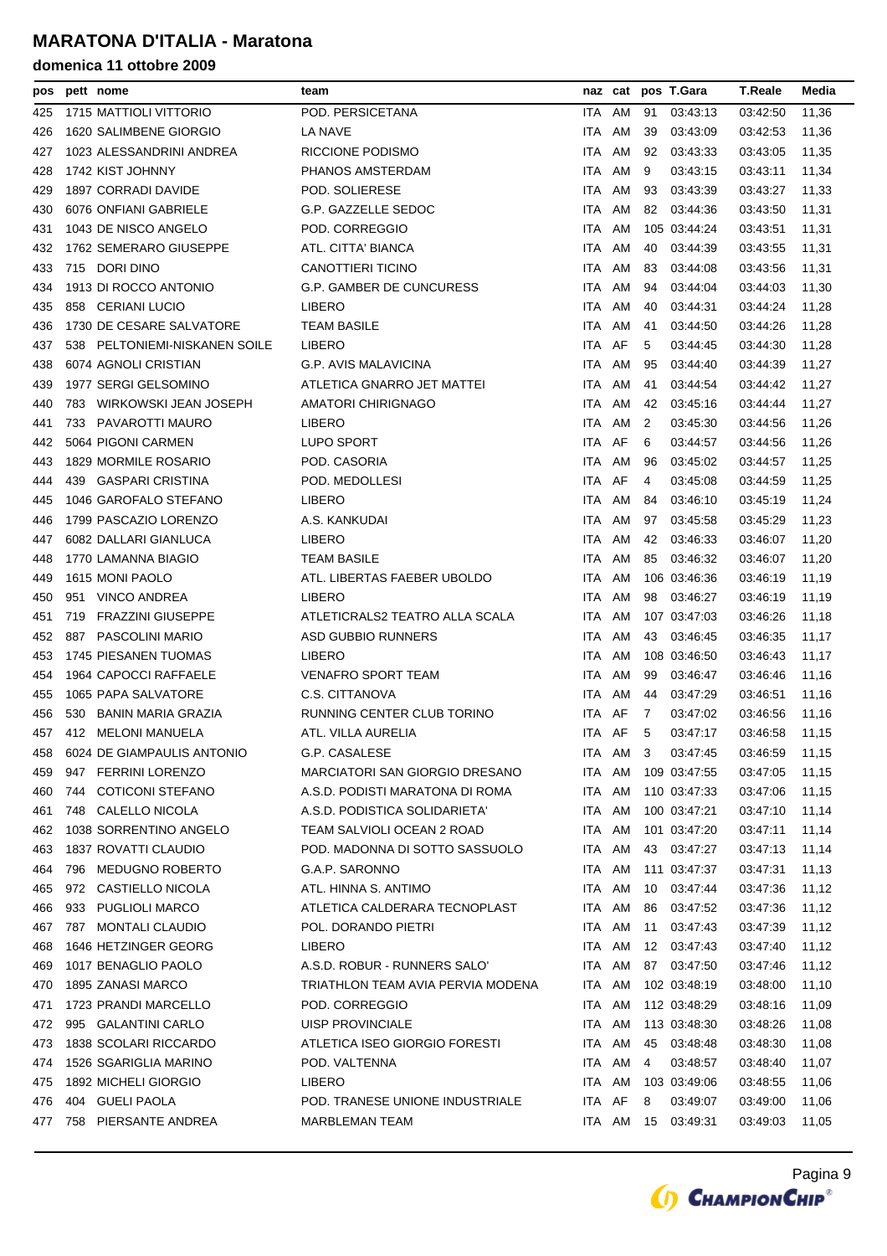| pos |     | pett nome                     | team                              |        |          |    | naz cat pos T.Gara | <b>T.Reale</b> | Media |
|-----|-----|-------------------------------|-----------------------------------|--------|----------|----|--------------------|----------------|-------|
| 425 |     | 1715 MATTIOLI VITTORIO        | POD. PERSICETANA                  | ITA AM |          | 91 | 03:43:13           | 03.42.50       | 11,36 |
| 426 |     | 1620 SALIMBENE GIORGIO        | LA NAVE                           | ITA AM |          | 39 | 03:43:09           | 03:42:53       | 11,36 |
| 427 |     | 1023 ALESSANDRINI ANDREA      | RICCIONE PODISMO                  | ITA.   | AM       | 92 | 03:43:33           | 03:43:05       | 11,35 |
| 428 |     | 1742 KIST JOHNNY              | PHANOS AMSTERDAM                  | ITA    | AM       | 9  | 03:43:15           | 03:43:11       | 11,34 |
| 429 |     | 1897 CORRADI DAVIDE           | POD. SOLIERESE                    | ITA AM |          | 93 | 03:43:39           | 03:43:27       | 11,33 |
| 430 |     | 6076 ONFIANI GABRIELE         | G.P. GAZZELLE SEDOC               | ITA.   | AM       | 82 | 03:44:36           | 03:43:50       | 11,31 |
| 431 |     | 1043 DE NISCO ANGELO          | POD. CORREGGIO                    | ITA.   | AM       |    | 105 03:44:24       | 03:43:51       | 11,31 |
| 432 |     | 1762 SEMERARO GIUSEPPE        | ATL. CITTA' BIANCA                | ITA AM |          | 40 | 03:44:39           | 03:43:55       | 11,31 |
| 433 |     | 715 DORI DINO                 | <b>CANOTTIERI TICINO</b>          | ITA.   | AM       | 83 | 03:44:08           | 03:43:56       | 11,31 |
| 434 |     | 1913 DI ROCCO ANTONIO         | G.P. GAMBER DE CUNCURESS          | ITA.   | AM       | 94 | 03:44:04           | 03:44:03       | 11,30 |
| 435 |     | 858 CERIANI LUCIO             | LIBERO                            | ITA.   | AM       | 40 | 03:44:31           | 03:44:24       | 11,28 |
| 436 |     | 1730 DE CESARE SALVATORE      | <b>TEAM BASILE</b>                | ITA.   | AM       | 41 | 03:44:50           | 03:44:26       | 11,28 |
| 437 |     | 538 PELTONIEMI-NISKANEN SOILE | LIBERO                            | ITA AF |          | 5  | 03:44:45           | 03:44:30       | 11,28 |
| 438 |     | 6074 AGNOLI CRISTIAN          | G.P. AVIS MALAVICINA              | ITA AM |          | 95 | 03:44:40           | 03:44:39       | 11,27 |
| 439 |     | 1977 SERGI GELSOMINO          | ATLETICA GNARRO JET MATTEI        | ITA    | AM       | 41 | 03:44:54           | 03:44:42       | 11,27 |
| 440 |     | 783 WIRKOWSKI JEAN JOSEPH     | AMATORI CHIRIGNAGO                | ITA AM |          | 42 | 03:45:16           | 03:44:44       | 11,27 |
| 441 |     | 733 PAVAROTTI MAURO           | LIBERO                            | ITA AM |          | 2  | 03:45:30           | 03:44:56       | 11,26 |
| 442 |     | 5064 PIGONI CARMEN            | LUPO SPORT                        | ITA    | AF       | 6  | 03:44:57           | 03:44:56       | 11,26 |
| 443 |     | 1829 MORMILE ROSARIO          | POD. CASORIA                      | ITA.   | AM       | 96 | 03:45:02           | 03:44:57       | 11,25 |
| 444 |     | 439 GASPARI CRISTINA          | POD. MEDOLLESI                    | ITA AF |          | 4  | 03:45:08           | 03:44:59       | 11,25 |
| 445 |     | 1046 GAROFALO STEFANO         | <b>LIBERO</b>                     | ITA.   | AM       | 84 | 03:46:10           | 03:45:19       | 11,24 |
| 446 |     | 1799 PASCAZIO LORENZO         | A.S. KANKUDAI                     | ITA.   | AM       | 97 | 03:45:58           | 03:45:29       | 11,23 |
| 447 |     | 6082 DALLARI GIANLUCA         | LIBERO                            | ITA AM |          | 42 | 03:46:33           | 03:46:07       | 11,20 |
| 448 |     | 1770 LAMANNA BIAGIO           | <b>TEAM BASILE</b>                | ITA.   | AM       | 85 | 03:46:32           | 03:46:07       | 11,20 |
| 449 |     | 1615 MONI PAOLO               | ATL. LIBERTAS FAEBER UBOLDO       | ITA AM |          |    | 106 03:46:36       | 03:46:19       | 11,19 |
| 450 |     | 951 VINCO ANDREA              | LIBERO                            | ITA AM |          | 98 | 03:46:27           | 03:46:19       | 11,19 |
| 451 | 719 | FRAZZINI GIUSEPPE             | ATLETICRALS2 TEATRO ALLA SCALA    | ITA AM |          |    | 107 03:47:03       | 03:46:26       | 11,18 |
| 452 |     | 887 PASCOLINI MARIO           | ASD GUBBIO RUNNERS                | ITA AM |          | 43 | 03:46:45           | 03:46:35       | 11,17 |
| 453 |     | 1745 PIESANEN TUOMAS          | LIBERO                            | ITA AM |          |    | 108 03:46:50       | 03:46:43       | 11,17 |
| 454 |     | 1964 CAPOCCI RAFFAELE         | <b>VENAFRO SPORT TEAM</b>         | ITA.   | AM       | 99 | 03:46:47           | 03 46 46       | 11,16 |
| 455 |     | 1065 PAPA SALVATORE           | C.S. CITTANOVA                    | ITA.   | AM       | 44 | 03:47:29           | 03:46:51       | 11,16 |
| 456 |     | 530 BANIN MARIA GRAZIA        | RUNNING CENTER CLUB TORINO        | ITA AF |          | 7  | 03.47:02           | 03:46:56       | 11,16 |
| 457 |     | 412 MELONI MANUELA            | ATL. VILLA AURELIA                | ITA AF |          | 5  | 03:47:17           | 03.46.58       | 11,15 |
| 458 |     | 6024 DE GIAMPAULIS ANTONIO    | G.P. CASALESE                     |        | ITA AM 3 |    | 03:47:45           | 03:46:59 11,15 |       |
| 459 |     | 947 FERRINI LORENZO           | MARCIATORI SAN GIORGIO DRESANO    | ITA AM |          |    | 109 03:47:55       | 03:47:05       | 11,15 |
| 460 | 744 | <b>COTICONI STEFANO</b>       | A.S.D. PODISTI MARATONA DI ROMA   | ITA AM |          |    | 110 03:47:33       | 03:47:06       | 11,15 |
| 461 |     | 748 CALELLO NICOLA            | A.S.D. PODISTICA SOLIDARIETA'     | ITA AM |          |    | 100 03:47:21       | 03:47:10       | 11,14 |
| 462 |     | 1038 SORRENTINO ANGELO        | TEAM SALVIOLI OCEAN 2 ROAD        | ITA AM |          |    | 101 03:47:20       | 03:47:11       | 11,14 |
| 463 |     | 1837 ROVATTI CLAUDIO          | POD. MADONNA DI SOTTO SASSUOLO    | ITA AM |          | 43 | 03:47:27           | 03:47:13       | 11,14 |
| 464 |     | 796 MEDUGNO ROBERTO           | G.A.P. SARONNO                    | ITA AM |          |    | 111 03:47:37       | 03:47:31       | 11,13 |
| 465 |     | 972 CASTIELLO NICOLA          | ATL. HINNA S. ANTIMO              | ITA AM |          |    | 10 03:47:44        | 03:47:36       | 11,12 |
| 466 |     | 933 PUGLIOLI MARCO            | ATLETICA CALDERARA TECNOPLAST     | ITA AM |          | 86 | 03:47:52           | 03:47:36       | 11,12 |
| 467 |     | 787 MONTALI CLAUDIO           | POL. DORANDO PIETRI               | ITA AM |          | 11 | 03:47:43           | 03:47:39       | 11,12 |
| 468 |     | 1646 HETZINGER GEORG          | <b>LIBERO</b>                     | ITA AM |          |    | 12 03:47:43        | 03:47:40       | 11,12 |
| 469 |     | 1017 BENAGLIO PAOLO           | A.S.D. ROBUR - RUNNERS SALO'      | ITA AM |          | 87 | 03:47:50           | 03:47:46       | 11,12 |
| 470 |     | 1895 ZANASI MARCO             | TRIATHLON TEAM AVIA PERVIA MODENA | ITA AM |          |    | 102 03:48:19       | 03:48:00       | 11,10 |
| 471 |     | 1723 PRANDI MARCELLO          | POD. CORREGGIO                    | ITA AM |          |    | 112 03:48:29       | 03:48:16       | 11,09 |
| 472 |     | 995 GALANTINI CARLO           | <b>UISP PROVINCIALE</b>           | ITA AM |          |    | 113 03:48:30       | 03:48:26       | 11,08 |
| 473 |     | 1838 SCOLARI RICCARDO         | ATLETICA ISEO GIORGIO FORESTI     | ITA AM |          | 45 | 03:48:48           | 03:48:30       | 11,08 |
| 474 |     | 1526 SGARIGLIA MARINO         | POD. VALTENNA                     | ITA AM |          | 4  | 03:48:57           | 03:48:40       | 11,07 |
| 475 |     | 1892 MICHELI GIORGIO          | LIBERO                            | ITA AM |          |    | 103 03:49:06       | 03:48:55       | 11,06 |
| 476 |     | 404 GUELI PAOLA               | POD. TRANESE UNIONE INDUSTRIALE   | ITA AF |          | 8  | 03:49:07           | 03:49:00       | 11,06 |
| 477 |     | 758 PIERSANTE ANDREA          | MARBLEMAN TEAM                    | ITA AM |          |    | 15 03:49:31        | 03:49:03       | 11,05 |
|     |     |                               |                                   |        |          |    |                    |                |       |

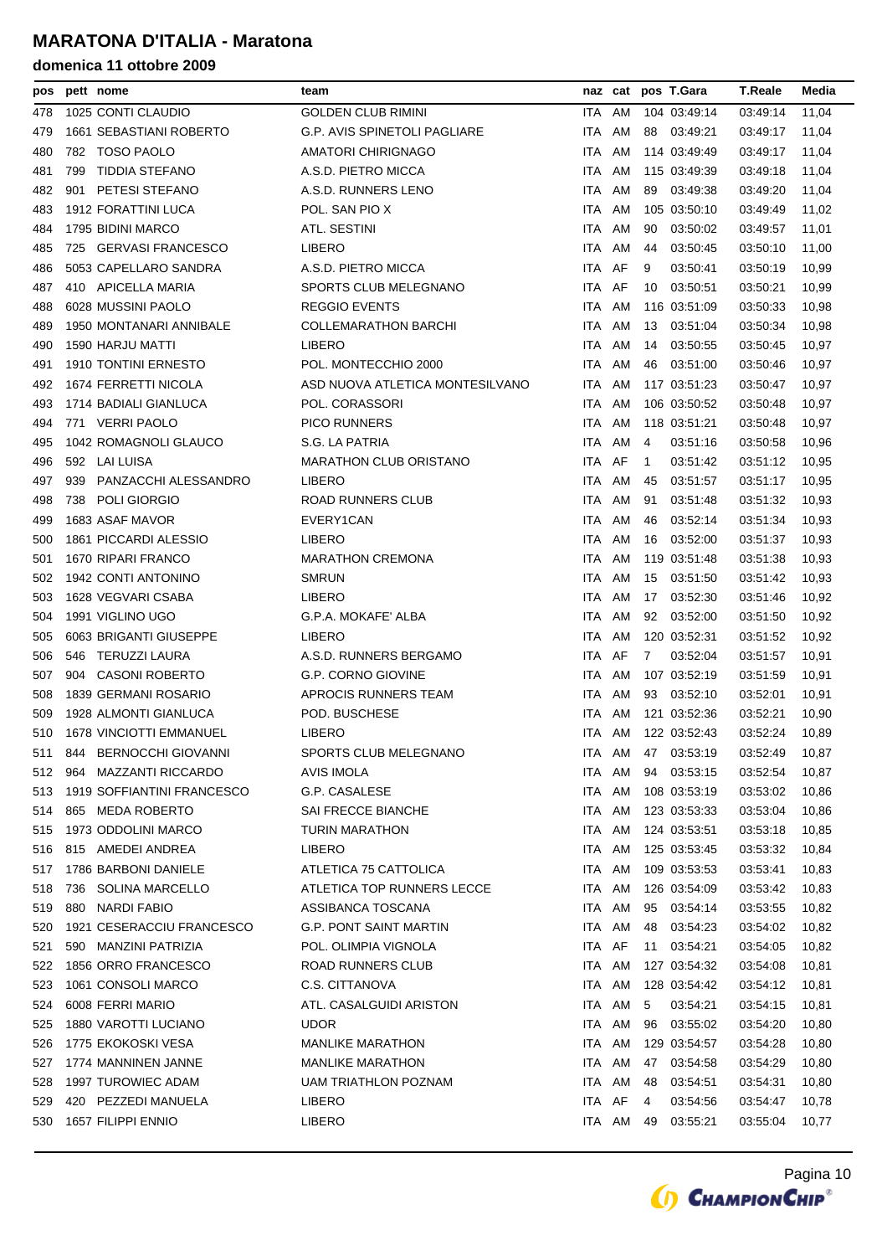| pos |     | pett nome                   | team                                |                  |        |              | naz cat pos T.Gara | <b>T.Reale</b> | Media |
|-----|-----|-----------------------------|-------------------------------------|------------------|--------|--------------|--------------------|----------------|-------|
| 478 |     | 1025 CONTI CLAUDIO          | GOLDEN CLUB RIMINI                  | ITA.             | AM     |              | 104 03:49:14       | 03:49:14       | 11,04 |
| 479 |     | 1661 SEBASTIANI ROBERTO     | <b>G.P. AVIS SPINETOLI PAGLIARE</b> | ITA              | AM     | 88           | 03:49:21           | 03:49:17       | 11,04 |
| 480 |     | 782 TOSO PAOLO              | AMATORI CHIRIGNAGO                  | ITA.             | AM     |              | 114 03:49:49       | 03:49:17       | 11,04 |
| 481 | 799 | TIDDIA STEFANO              | A.S.D. PIETRO MICCA                 | ITA              | AM     |              | 115 03:49:39       | 03:49:18       | 11,04 |
| 482 | 901 | PETESI STEFANO              | A.S.D. RUNNERS LENO                 | ITA              | AM     | 89           | 03:49:38           | 03:49:20       | 11,04 |
| 483 |     | 1912 FORATTINI LUCA         | POL. SAN PIO X                      | ITA.             | AM     |              | 105 03:50:10       | 03:49:49       | 11,02 |
| 484 |     | 1795 BIDINI MARCO           | ATL. SESTINI                        | ITA              | AM     | 90           | 03:50:02           | 03:49:57       | 11,01 |
| 485 |     | 725 GERVASI FRANCESCO       | LIBERO                              | ITA.             | AM     | 44           | 03:50:45           | 03:50:10       | 11,00 |
| 486 |     | 5053 CAPELLARO SANDRA       | A.S.D. PIETRO MICCA                 | ITA.             | AF     | 9            | 03:50:41           | 03:50:19       | 10,99 |
| 487 |     | 410 APICELLA MARIA          | SPORTS CLUB MELEGNANO               | ITA AF           |        | 10           | 03.50:51           | 03:50:21       | 10,99 |
| 488 |     | 6028 MUSSINI PAOLO          | <b>REGGIO EVENTS</b>                | ITA              | AM     |              | 116 03:51:09       | 03:50:33       | 10,98 |
| 489 |     | 1950 MONTANARI ANNIBALE     | COLLEMARATHON BARCHI                | ITA AM           |        | 13           | 03:51:04           | 03:50:34       | 10,98 |
| 490 |     | 1590 HARJU MATTI            | LIBERO                              | ITA AM           |        | 14           | 03:50:55           | 03:50:45       | 10,97 |
| 491 |     | <b>1910 TONTINI ERNESTO</b> | POL. MONTECCHIO 2000                | ITA AM           |        | 46           | 03:51:00           | 03:50:46       | 10,97 |
| 492 |     | 1674 FERRETTI NICOLA        | ASD NUOVA ATLETICA MONTESILVANO     | ITA AM           |        |              | 117 03:51:23       | 03:50:47       | 10,97 |
| 493 |     | 1714 BADIALI GIANLUCA       | POL. CORASSORI                      | ITA AM           |        |              | 106 03:50:52       | 03:50:48       | 10,97 |
| 494 |     | 771 VERRI PAOLO             | <b>PICO RUNNERS</b>                 | ITA              | AM     |              | 118 03:51:21       | 03:50:48       | 10,97 |
| 495 |     | 1042 ROMAGNOLI GLAUCO       | S.G. LA PATRIA                      | ITA.             | AM     | 4            | 03.51:16           | 03:50:58       | 10,96 |
| 496 |     | 592 LAI LUISA               | <b>MARATHON CLUB ORISTANO</b>       | ITA AF           |        | $\mathbf{1}$ | 03:51:42           | 03 51:12       | 10,95 |
| 497 | 939 | PANZACCHI ALESSANDRO        | <b>LIBERO</b>                       | ITA.             | AM     | 45           | 03:51:57           | 03:51:17       | 10,95 |
| 498 |     | 738 POLI GIORGIO            | ROAD RUNNERS CLUB                   | ITA.             | AM     | 91           | 03:51:48           | 03:51:32       | 10,93 |
| 499 |     | 1683 ASAF MAVOR             | EVERY1CAN                           | ITA.             | AM     | 46           | 03:52:14           | 03 51:34       | 10,93 |
| 500 |     | 1861 PICCARDI ALESSIO       | LIBERO                              | ITA              | AM     | 16           | 03:52:00           | 03:51:37       | 10,93 |
| 501 |     | 1670 RIPARI FRANCO          | <b>MARATHON CREMONA</b>             | ITA.             | AM     |              | 119 03:51:48       | 03:51:38       | 10,93 |
| 502 |     | 1942 CONTI ANTONINO         | <b>SMRUN</b>                        | ITA.             | AM     | 15           | 03:51:50           | 03 51:42       | 10,93 |
| 503 |     | 1628 VEGVARI CSABA          | <b>LIBERO</b>                       | ITA              | AM     | 17           | 03:52:30           | 03:51:46       | 10,92 |
| 504 |     | 1991 VIGLINO UGO            | G.P.A. MOKAFE' ALBA                 | ITA              | AM     | 92           | 03:52:00           | 03:51:50       | 10,92 |
| 505 |     | 6063 BRIGANTI GIUSEPPE      | <b>LIBERO</b>                       | ITA.             | AM     |              | 120 03:52:31       | 03.51:52       | 10,92 |
| 506 |     | 546 TERUZZI LAURA           | A.S.D. RUNNERS BERGAMO              | ITA AF           |        | 7            | 03:52:04           | 03:51:57       | 10,91 |
| 507 |     | 904 CASONI ROBERTO          | <b>G.P. CORNO GIOVINE</b>           | ITA.             | AM     |              | 107 03:52:19       | 03:51:59       | 10,91 |
| 508 |     | 1839 GERMANI ROSARIO        | APROCIS RUNNERS TEAM                | ITA              | AM     | 93           | 03:52:10           | 03:52:01       | 10,91 |
| 509 |     | 1928 ALMONTI GIANLUCA       | POD. BUSCHESE                       | ITA.             | AM     |              | 121 03:52:36       | 03:52:21       | 10,90 |
| 510 |     | 1678 VINCIOTTI EMMANUEL     | LIBERO                              | ITA AM           |        |              | 122 03:52:43       | 03:52:24       | 10,89 |
| 511 | 844 | <b>BERNOCCHI GIOVANNI</b>   | SPORTS CLUB MELEGNANO               | <b>ITA</b>       |        |              | AM 47 03:53:19     | 03:52:49       | 10,87 |
| 512 | 964 | <b>MAZZANTI RICCARDO</b>    | AVIS IMOLA                          | ITA.             | AM     | 94           | 03:53:15           | 03:52:54       | 10,87 |
| 513 |     | 1919 SOFFIANTINI FRANCESCO  | G.P. CASALESE                       | ITA AM           |        |              | 108 03:53:19       | 03:53:02       | 10,86 |
| 514 | 865 | <b>MEDA ROBERTO</b>         | SAI FRECCE BIANCHE                  | ITA AM           |        |              | 123 03:53:33       | 03:53:04       | 10,86 |
| 515 |     | 1973 ODDOLINI MARCO         | TURIN MARATHON                      | ITA AM           |        |              | 124 03:53:51       | 03:53:18       | 10,85 |
| 516 |     | 815 AMEDEI ANDREA           | LIBERO                              | ITA AM           |        |              | 125 03:53:45       | 03:53:32       | 10,84 |
| 517 |     | 1786 BARBONI DANIELE        | ATLETICA 75 CATTOLICA               | ITA AM           |        |              | 109 03:53:53       | 03:53:41       | 10,83 |
| 518 | 736 | <b>SOLINA MARCELLO</b>      | ATLETICA TOP RUNNERS LECCE          | ITA AM           |        |              | 126 03:54:09       | 03:53:42       | 10,83 |
| 519 | 880 | <b>NARDI FABIO</b>          | ASSIBANCA TOSCANA                   | ITA AM           |        | 95           | 03:54:14           | 03:53:55       | 10,82 |
| 520 |     | 1921 CESERACCIU FRANCESCO   | <b>G.P. PONT SAINT MARTIN</b>       | ITA AM           |        | 48           | 03:54:23           | 03:54:02       | 10,82 |
| 521 |     | 590 MANZINI PATRIZIA        | POL. OLIMPIA VIGNOLA                | ITA AF           |        | 11           | 03:54:21           | 03:54:05       | 10,82 |
| 522 |     | 1856 ORRO FRANCESCO         | ROAD RUNNERS CLUB                   | ITA AM           |        |              | 127 03:54:32       | 03:54:08       | 10,81 |
| 523 |     | 1061 CONSOLI MARCO          | C.S. CITTANOVA                      | ITA AM           |        |              | 128 03:54:42       | 03:54:12       | 10,81 |
| 524 |     | 6008 FERRI MARIO            | ATL. CASALGUIDI ARISTON             | ITA AM           |        | 5            | 03:54:21           | 03:54:15       | 10,81 |
| 525 |     | 1880 VAROTTI LUCIANO        | <b>UDOR</b>                         | ITA AM           |        | 96           | 03:55:02           | 03:54:20       | 10,80 |
| 526 |     | 1775 EKOKOSKI VESA          | <b>MANLIKE MARATHON</b>             | ITA AM           |        |              | 129 03:54:57       | 03:54:28       | 10,80 |
| 527 |     | 1774 MANNINEN JANNE         | <b>MANLIKE MARATHON</b>             | ITA AM           |        | 47           | 03:54:58           | 03:54:29       | 10,80 |
| 528 |     | 1997 TUROWIEC ADAM          | UAM TRIATHLON POZNAM                | ITA AM<br>ITA AF |        | 48           | 03:54:51           | 03:54:31       | 10,80 |
| 529 |     | 420 PEZZEDI MANUELA         | <b>LIBERO</b>                       |                  |        | 4            | 03:54:56           | 03:54:47       | 10,78 |
| 530 |     | 1657 FILIPPI ENNIO          | <b>LIBERO</b>                       |                  | ITA AM | 49           | 03:55:21           | 03:55:04       | 10,77 |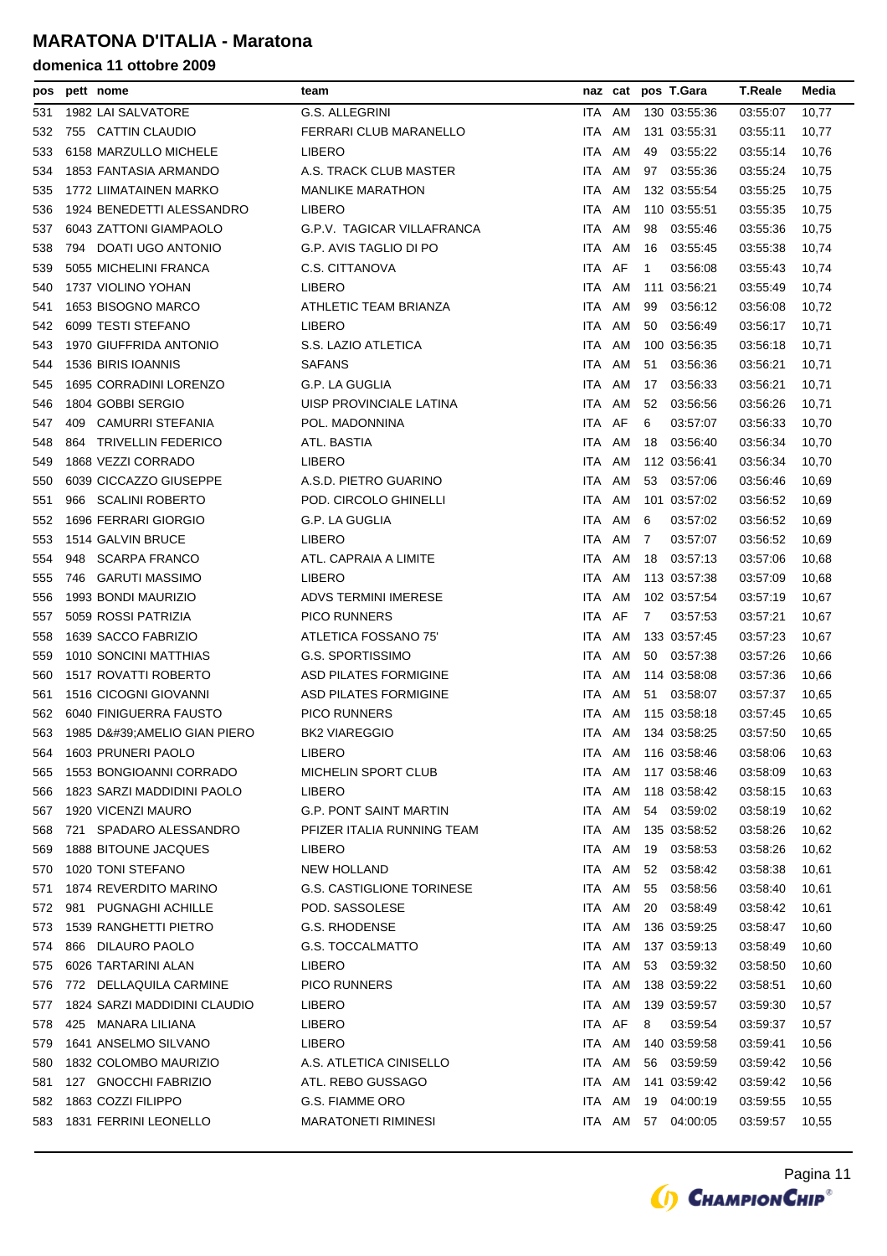| pos | pett nome                      | team                             |      |        | naz cat pos T.Gara       | <b>T.Reale</b> | Media |
|-----|--------------------------------|----------------------------------|------|--------|--------------------------|----------------|-------|
| 531 | 1982 LAI SALVATORE             | G.S. ALLEGRINI                   |      | ITA AM | 130 03:55:36             | 03 55:07       | 10,77 |
| 532 | 755 CATTIN CLAUDIO             | FERRARI CLUB MARANELLO           | ITA. | AM     | 131 03:55:31             | 03:55:11       | 10,77 |
| 533 | 6158 MARZULLO MICHELE          | LIBERO                           | ITA. | AM     | 49<br>03:55:22           | 03:55:14       | 10,76 |
| 534 | 1853 FANTASIA ARMANDO          | A.S. TRACK CLUB MASTER           |      | ITA AM | 97<br>03:55:36           | 03:55:24       | 10,75 |
| 535 | 1772 LIIMATAINEN MARKO         | <b>MANLIKE MARATHON</b>          | ITA  | AM     | 132 03:55:54             | 03:55:25       | 10,75 |
| 536 | 1924 BENEDETTI ALESSANDRO      | LIBERO                           |      | ITA AM | 110 03:55:51             | 03 55 35       | 10,75 |
| 537 | 6043 ZATTONI GIAMPAOLO         | G.P.V. TAGICAR VILLAFRANCA       |      | ITA AM | 98<br>03:55:46           | 03:55:36       | 10,75 |
| 538 | 794 DOATI UGO ANTONIO          | G.P. AVIS TAGLIO DI PO           | ITA. | AM     | 03:55:45<br>16           | 03:55:38       | 10,74 |
| 539 | 5055 MICHELINI FRANCA          | C.S. CITTANOVA                   | ITA. | AF     | $\mathbf{1}$<br>03.56:08 | 03:55:43       | 10,74 |
| 540 | 1737 VIOLINO YOHAN             | LIBERO                           |      | ITA AM | 111 03:56:21             | 03:55:49       | 10,74 |
| 541 | 1653 BISOGNO MARCO             | ATHLETIC TEAM BRIANZA            | ITA. | AM     | 99<br>03:56:12           | 03:56:08       | 10,72 |
| 542 | 6099 TESTI STEFANO             | <b>LIBERO</b>                    |      | ITA AM | 50<br>03:56:49           | 03.56:17       | 10,71 |
| 543 | 1970 GIUFFRIDA ANTONIO         | S.S. LAZIO ATLETICA              |      | ITA AM | 100 03:56:35             | 03:56:18       | 10,71 |
| 544 | 1536 BIRIS IOANNIS             | <b>SAFANS</b>                    | ITA  | AM     | 03:56:36<br>51           | 03:56:21       | 10,71 |
| 545 | 1695 CORRADINI LORENZO         | G.P. LA GUGLIA                   |      | ITA AM | 17<br>03:56:33           | 03:56:21       | 10,71 |
| 546 | 1804 GOBBI SERGIO              | UISP PROVINCIALE LATINA          |      | ITA AM | 52<br>03:56:56           | 03:56:26       | 10,71 |
| 547 | 409<br><b>CAMURRI STEFANIA</b> | POL. MADONNINA                   | ITA  | AF     | 6<br>03:57:07            | 03:56:33       | 10,70 |
| 548 | 864 TRIVELLIN FEDERICO         | ATL. BASTIA                      | ITA. | AM     | 18<br>03:56:40           | 03.56.34       | 10,70 |
| 549 | 1868 VEZZI CORRADO             | LIBERO                           |      | ITA AM | 112 03:56:41             | 03.56.34       | 10,70 |
| 550 | 6039 CICCAZZO GIUSEPPE         | A.S.D. PIETRO GUARINO            | ITA. | AM     | 53<br>03:57:06           | 03:56:46       | 10,69 |
| 551 | 966 SCALINI ROBERTO            | POD. CIRCOLO GHINELLI            | ITA. | AM     | 101 03:57:02             | 03.56:52       | 10,69 |
| 552 | 1696 FERRARI GIORGIO           | G.P. LA GUGLIA                   | ITA  | AM     | 03:57:02<br>6            | 03.56:52       | 10,69 |
| 553 | 1514 GALVIN BRUCE              | LIBERO                           | ITA. | AM     | 7<br>03:57:07            | 03:56:52       | 10,69 |
| 554 | 948<br><b>SCARPA FRANCO</b>    | ATL. CAPRAIA A LIMITE            | ITA  | AM     | 18<br>03:57:13           | 03:57:06       | 10,68 |
| 555 | 746 GARUTI MASSIMO             | LIBERO                           |      | ITA AM | 113 03:57:38             | 03:57:09       | 10,68 |
| 556 | 1993 BONDI MAURIZIO            | ADVS TERMINI IMERESE             | ITA. | AM     | 102 03:57:54             | 03:57:19       | 10,67 |
| 557 | 5059 ROSSI PATRIZIA            | <b>PICO RUNNERS</b>              |      | ITA AF | 7<br>03.57.53            | 03:57:21       | 10,67 |
| 558 | 1639 SACCO FABRIZIO            | ATLETICA FOSSANO 75'             | ITA  | AM     | 133 03:57:45             | 03:57:23       | 10,67 |
| 559 | 1010 SONCINI MATTHIAS          | <b>G.S. SPORTISSIMO</b>          | ITA. | AM     | 03:57:38<br>50           | 03:57:26       | 10,66 |
| 560 | 1517 ROVATTI ROBERTO           | <b>ASD PILATES FORMIGINE</b>     | ITA. | AM     | 114 03:58:08             | 03:57:36       | 10,66 |
| 561 | 1516 CICOGNI GIOVANNI          | <b>ASD PILATES FORMIGINE</b>     |      | ITA AM | 03:58:07<br>51           | 03.57:37       | 10,65 |
| 562 | 6040 FINIGUERRA FAUSTO         | <b>PICO RUNNERS</b>              | ITA. | AM     | 115 03:58:18             | 03:57:45       | 10,65 |
| 563 | 1985 D'AMELIO GIAN PIERO       | <b>BK2 VIAREGGIO</b>             |      | ITA AM | 134 03:58:25             | 03:57:50       | 10,65 |
| 564 | 1603 PRUNERI PAOLO             | <b>LIBERO</b>                    |      |        | ITA AM 116 03:58:46      | 03:58:06       | 10,63 |
| 565 | 1553 BONGIOANNI CORRADO        | MICHELIN SPORT CLUB              | ITA. | AM     | 117 03:58:46             | 03:58:09       | 10,63 |
| 566 | 1823 SARZI MADDIDINI PAOLO     | LIBERO                           |      | ITA AM | 118 03:58:42             | 03:58:15       | 10,63 |
| 567 | 1920 VICENZI MAURO             | <b>G.P. PONT SAINT MARTIN</b>    |      | ITA AM | 03:59:02<br>54           | 03:58:19       | 10,62 |
| 568 | SPADARO ALESSANDRO<br>721      | PFIZER ITALIA RUNNING TEAM       |      | ITA AM | 135 03:58:52             | 03:58:26       | 10,62 |
| 569 | 1888 BITOUNE JACQUES           | LIBERO                           |      | ITA AM | 19<br>03:58:53           | 03:58:26       | 10,62 |
| 570 | 1020 TONI STEFANO              | <b>NEW HOLLAND</b>               |      | ITA AM | 03:58:42<br>52           | 03:58:38       | 10,61 |
| 571 | 1874 REVERDITO MARINO          | <b>G.S. CASTIGLIONE TORINESE</b> |      | ITA AM | 03:58:56<br>55           | 03:58:40       | 10,61 |
| 572 | 981 PUGNAGHI ACHILLE           | POD. SASSOLESE                   |      | ITA AM | 20<br>03:58:49           | 03:58:42       | 10,61 |
| 573 | 1539 RANGHETTI PIETRO          | G.S. RHODENSE                    |      | ITA AM | 136 03:59:25             | 03:58:47       | 10,60 |
| 574 | 866 DILAURO PAOLO              | <b>G.S. TOCCALMATTO</b>          |      | ITA AM | 137 03:59:13             | 03:58:49       | 10,60 |
| 575 | 6026 TARTARINI ALAN            | LIBERO                           |      | ITA AM | 53<br>03:59:32           | 03:58:50       | 10,60 |
| 576 | 772 DELLAQUILA CARMINE         | <b>PICO RUNNERS</b>              |      | ITA AM | 138 03:59:22             | 03:58:51       | 10,60 |
| 577 | 1824 SARZI MADDIDINI CLAUDIO   | LIBERO                           | ITA  | AM     | 139 03:59:57             | 03:59:30       | 10,57 |
| 578 | 425 MANARA LILIANA             | LIBERO                           |      | ITA AF | 8<br>03:59:54            | 03:59:37       | 10,57 |
| 579 | 1641 ANSELMO SILVANO           | LIBERO                           |      | ITA AM | 140 03:59:58             | 03:59:41       | 10,56 |
| 580 | 1832 COLOMBO MAURIZIO          | A.S. ATLETICA CINISELLO          |      | ITA AM | 03:59:59<br>56           | 03:59:42       | 10,56 |
| 581 | 127 GNOCCHI FABRIZIO           | ATL. REBO GUSSAGO                |      | ITA AM | 141 03:59:42             | 03:59:42       | 10,56 |
| 582 | 1863 COZZI FILIPPO             | G.S. FIAMME ORO                  |      | ITA AM | 04:00:19<br>19           | 03:59:55       | 10,55 |
| 583 | 1831 FERRINI LEONELLO          | <b>MARATONETI RIMINESI</b>       |      | ITA AM | 57<br>04:00:05           | 03:59:57       | 10,55 |

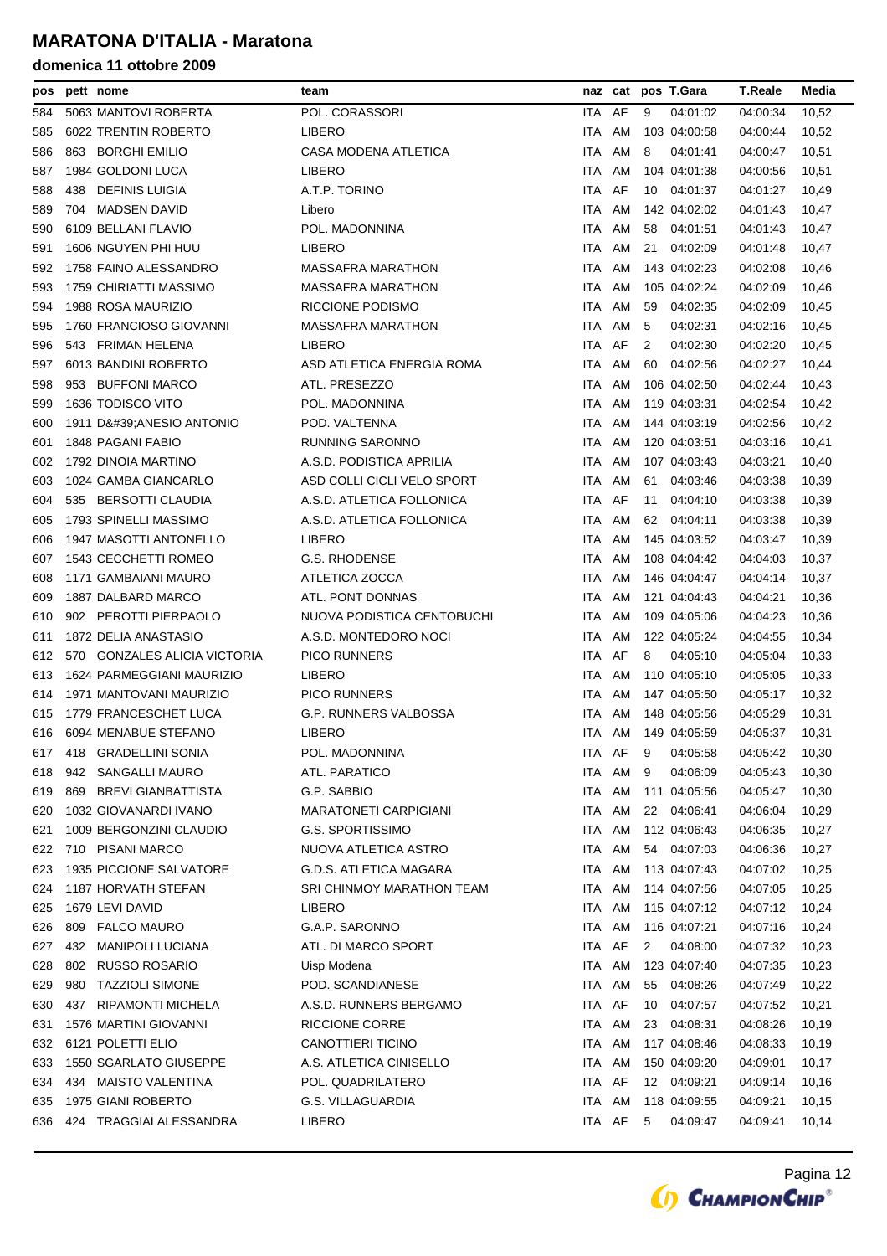| pos |     | pett nome                     | team                          |            |          |    | naz cat pos T.Gara | <b>T.Reale</b> | Media |
|-----|-----|-------------------------------|-------------------------------|------------|----------|----|--------------------|----------------|-------|
| 584 |     | 5063 MANTOVI ROBERTA          | POL. CORASSORI                | ITA AF     |          | 9  | 04:01:02           | 04:00:34       | 10,52 |
| 585 |     | 6022 TRENTIN ROBERTO          | LIBERO                        | ITA        | AM       |    | 103 04:00:58       | 04:00:44       | 10,52 |
| 586 | 863 | <b>BORGHI EMILIO</b>          | CASA MODENA ATLETICA          | ITA        | AM       | 8  | 04:01:41           | 04:00:47       | 10,51 |
| 587 |     | 1984 GOLDONI LUCA             | LIBERO                        | <b>ITA</b> | AM       |    | 104 04:01:38       | 04:00:56       | 10,51 |
| 588 | 438 | <b>DEFINIS LUIGIA</b>         | A.T.P. TORINO                 | ITA.       | AF       | 10 | 04:01:37           | 04:01:27       | 10,49 |
| 589 | 704 | <b>MADSEN DAVID</b>           | Libero                        | <b>ITA</b> | AM       |    | 142 04:02:02       | 04:01:43       | 10,47 |
| 590 |     | 6109 BELLANI FLAVIO           | POL. MADONNINA                | <b>ITA</b> | AM       | 58 | 04:01:51           | 04:01:43       | 10,47 |
| 591 |     | 1606 NGUYEN PHI HUU           | LIBERO                        | <b>ITA</b> | AM       | 21 | 04:02:09           | 04:01:48       | 10,47 |
| 592 |     | 1758 FAINO ALESSANDRO         | <b>MASSAFRA MARATHON</b>      | ITA        | AM       |    | 143 04:02:23       | 04:02:08       | 10,46 |
| 593 |     | 1759 CHIRIATTI MASSIMO        | MASSAFRA MARATHON             | <b>ITA</b> | AM       |    | 105 04:02:24       | 04:02:09       | 10,46 |
| 594 |     | 1988 ROSA MAURIZIO            | RICCIONE PODISMO              | ITA.       | AM       | 59 | 04:02:35           | 04:02:09       | 10,45 |
| 595 |     | 1760 FRANCIOSO GIOVANNI       | MASSAFRA MARATHON             | ITA.       | AM       | 5  | 04:02:31           | 04:02:16       | 10,45 |
| 596 |     | 543 FRIMAN HELENA             | LIBERO                        | ITA AF     |          | 2  | 04:02:30           | 04:02:20       | 10,45 |
| 597 |     | 6013 BANDINI ROBERTO          | ASD ATLETICA ENERGIA ROMA     | ITA.       | AM       | 60 | 04:02:56           | 04:02:27       | 10,44 |
| 598 | 953 | <b>BUFFONI MARCO</b>          | ATL. PRESEZZO                 | ITA        | AM       |    | 106 04:02:50       | 04:02:44       | 10,43 |
| 599 |     | 1636 TODISCO VITO             | POL. MADONNINA                | <b>ITA</b> | AM       |    | 119 04:03:31       | 04:02:54       | 10,42 |
| 600 |     | 1911 D' ANESIO ANTONIO        | POD. VALTENNA                 | <b>ITA</b> | AM       |    | 144 04:03:19       | 04:02:56       | 10,42 |
| 601 |     | 1848 PAGANI FABIO             | <b>RUNNING SARONNO</b>        | <b>ITA</b> | AM       |    | 120 04:03:51       | 04:03:16       | 10,41 |
| 602 |     | 1792 DINOIA MARTINO           | A.S.D. PODISTICA APRILIA      | ITA        | AM       |    | 107 04:03:43       | 04:03:21       | 10,40 |
| 603 |     | 1024 GAMBA GIANCARLO          | ASD COLLI CICLI VELO SPORT    | ITA.       | AM       | 61 | 04:03:46           | 04:03:38       | 10,39 |
| 604 |     | 535 BERSOTTI CLAUDIA          | A.S.D. ATLETICA FOLLONICA     | <b>ITA</b> | AF       | 11 | 04:04:10           | 04:03:38       | 10,39 |
| 605 |     | 1793 SPINELLI MASSIMO         | A.S.D. ATLETICA FOLLONICA     | <b>ITA</b> | AM       | 62 | 04:04:11           | 04:03:38       | 10,39 |
| 606 |     | 1947 MASOTTI ANTONELLO        | LIBERO                        | <b>ITA</b> | AM       |    | 145 04:03:52       | 04:03:47       | 10,39 |
| 607 |     | 1543 CECCHETTI ROMEO          | G.S. RHODENSE                 | <b>ITA</b> | AM       |    | 108 04:04:42       | 04:04:03       | 10,37 |
| 608 |     | 1171 GAMBAIANI MAURO          | ATLETICA ZOCCA                | ITA.       | AM       |    | 146 04:04:47       | 04:04:14       | 10,37 |
| 609 |     | 1887 DALBARD MARCO            | ATL. PONT DONNAS              | ITA.       | AM       |    | 121 04:04:43       | 04:04:21       | 10,36 |
| 610 |     | 902 PEROTTI PIERPAOLO         | NUOVA PODISTICA CENTOBUCHI    | <b>ITA</b> | AM       |    | 109 04:05:06       | 04:04:23       | 10,36 |
| 611 |     | 1872 DELIA ANASTASIO          | A.S.D. MONTEDORO NOCI         | <b>ITA</b> | AM       |    | 122 04:05:24       | 04:04:55       | 10,34 |
| 612 |     | 570 GONZALES ALICIA VICTORIA  | <b>PICO RUNNERS</b>           | ITA        | AF       | 8  | 04:05:10           | 04:05:04       | 10,33 |
| 613 |     | 1624 PARMEGGIANI MAURIZIO     | <b>LIBERO</b>                 | <b>ITA</b> | AM       |    | 110 04:05:10       | 04:05:05       | 10,33 |
| 614 |     | 1971 MANTOVANI MAURIZIO       | <b>PICO RUNNERS</b>           | ITA        | AM       |    | 147 04:05:50       | 04:05:17       | 10,32 |
| 615 |     | 1779 FRANCESCHET LUCA         | G.P. RUNNERS VALBOSSA         | ITA.       | AM       |    | 148 04:05:56       | 04:05:29       | 10,31 |
| 616 |     | 6094 MENABUE STEFANO          | LIBERO                        | ITA.       | AM       |    | 149 04:05:59       | 04:05:37       | 10,31 |
| 617 |     | 418 GRADELLINI SONIA          | POL. MADONNINA                |            | ITA AF 9 |    | 04:05:58           | 04:05:42       | 10,30 |
| 618 |     | 942 SANGALLI MAURO            | ATL. PARATICO                 | ITA.       | AM       | 9  | 04:06:09           | 04:05:43       | 10,30 |
| 619 | 869 | <b>BREVI GIANBATTISTA</b>     | G.P. SABBIO                   | ITA        | AM       |    | 111 04:05:56       | 04:05:47       | 10,30 |
| 620 |     | 1032 GIOVANARDI IVANO         | <b>MARATONETI CARPIGIANI</b>  |            | ITA AM   | 22 | 04:06:41           | 04:06:04       | 10,29 |
| 621 |     | 1009 BERGONZINI CLAUDIO       | <b>G.S. SPORTISSIMO</b>       | ITA.       | AM       |    | 112 04:06:43       | 04:06:35       | 10,27 |
| 622 |     | 710 PISANI MARCO              | NUOVA ATLETICA ASTRO          | ITA.       | AM       | 54 | 04:07:03           | 04:06:36       | 10,27 |
| 623 |     | 1935 PICCIONE SALVATORE       | <b>G.D.S. ATLETICA MAGARA</b> | <b>ITA</b> | AM       |    | 113 04:07:43       | 04:07:02       | 10,25 |
| 624 |     | 1187 HORVATH STEFAN           | SRI CHINMOY MARATHON TEAM     | ITA        | AM       |    | 114 04:07:56       | 04:07:05       | 10,25 |
| 625 |     | 1679 LEVI DAVID               | LIBERO                        | ITA        | AM       |    | 115 04:07:12       | 04:07:12       | 10,24 |
| 626 | 809 | <b>FALCO MAURO</b>            | G.A.P. SARONNO                | ITA AM     |          |    | 116 04:07:21       | 04:07:16       | 10,24 |
| 627 | 432 | <b>MANIPOLI LUCIANA</b>       | ATL. DI MARCO SPORT           | ITA AF     |          | 2  | 04:08:00           | 04:07:32       | 10,23 |
| 628 | 802 | <b>RUSSO ROSARIO</b>          | Uisp Modena                   | ITA.       | AM       |    | 123 04:07:40       | 04:07:35       | 10,23 |
| 629 | 980 | <b>TAZZIOLI SIMONE</b>        | POD. SCANDIANESE              | ITA AM     |          | 55 | 04:08:26           | 04:07:49       | 10,22 |
| 630 | 437 | <b>RIPAMONTI MICHELA</b>      | A.S.D. RUNNERS BERGAMO        | ITA AF     |          | 10 | 04:07:57           | 04:07:52       | 10,21 |
| 631 |     | 1576 MARTINI GIOVANNI         | RICCIONE CORRE                | ITA AM     |          | 23 | 04:08:31           | 04:08:26       | 10,19 |
| 632 |     | 6121 POLETTI ELIO             | <b>CANOTTIERI TICINO</b>      | ITA AM     |          |    | 117 04:08:46       | 04:08:33       | 10,19 |
| 633 |     | <b>1550 SGARLATO GIUSEPPE</b> | A.S. ATLETICA CINISELLO       | ITA.       | AM       |    | 150 04:09:20       | 04:09:01       | 10,17 |
| 634 | 434 | <b>MAISTO VALENTINA</b>       | POL. QUADRILATERO             | ITA AF     |          | 12 | 04:09:21           | 04:09:14       | 10,16 |
| 635 |     | 1975 GIANI ROBERTO            | G.S. VILLAGUARDIA             | ITA.       | AM       |    | 118 04:09:55       | 04:09:21       |       |
|     |     |                               |                               | ITA AF     |          |    |                    |                | 10,15 |
| 636 |     | 424 TRAGGIAI ALESSANDRA       | <b>LIBERO</b>                 |            |          | 5  | 04:09:47           | 04:09:41       | 10,14 |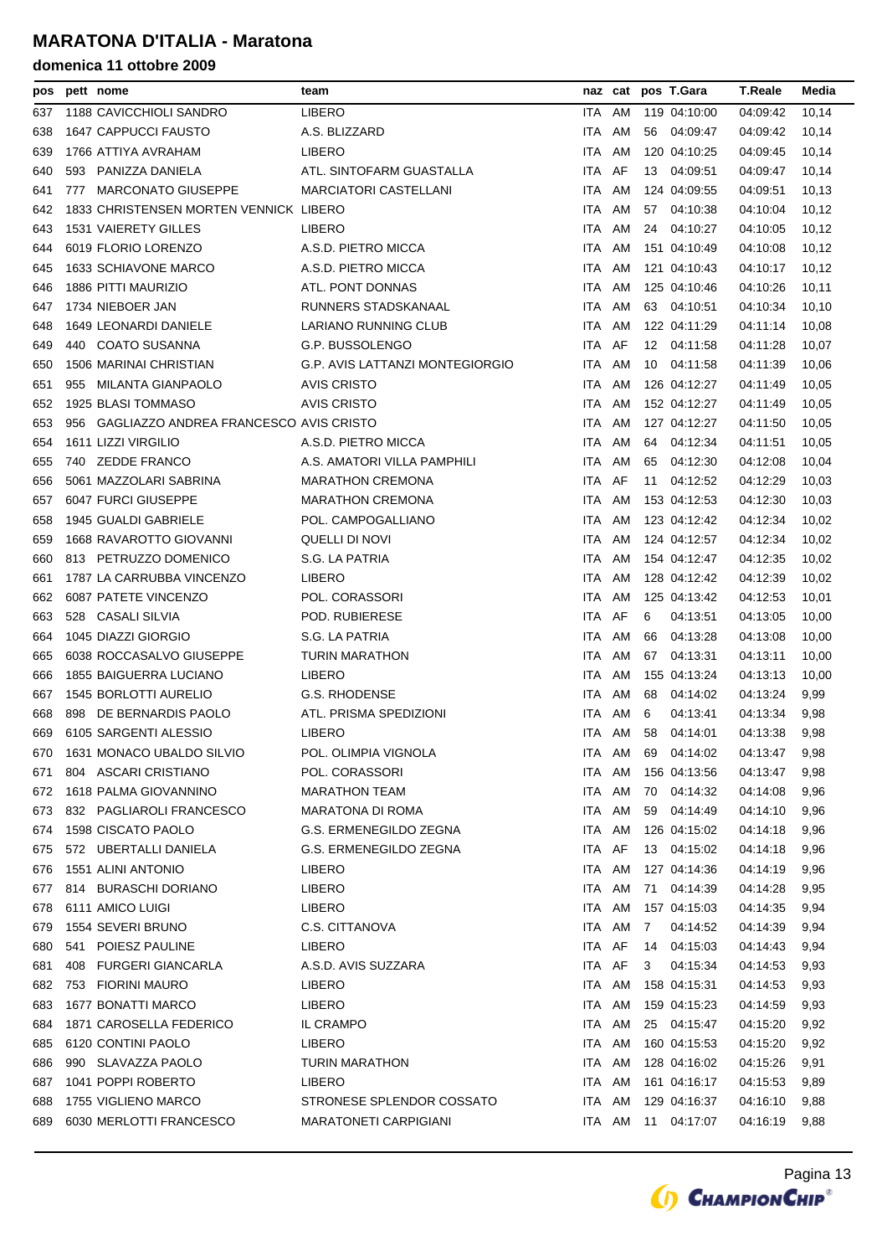| pos | pett nome                                  | team                            |            | naz cat | pos T.Gara     | <b>T.Reale</b> | Media |
|-----|--------------------------------------------|---------------------------------|------------|---------|----------------|----------------|-------|
| 637 | 1188 CAVICCHIOLI SANDRO                    | <b>LIBERO</b>                   | ITA        | AM      | 119 04:10:00   | 04:09:42       | 10,14 |
| 638 | <b>1647 CAPPUCCI FAUSTO</b>                | A.S. BLIZZARD                   | <b>ITA</b> | AM      | 04:09:47<br>56 | 04:09:42       | 10.14 |
| 639 | 1766 ATTIYA AVRAHAM                        | <b>LIBERO</b>                   | ITA        | AM      | 120 04:10:25   | 04:09:45       | 10,14 |
| 640 | 593 PANIZZA DANIELA                        | ATL. SINTOFARM GUASTALLA        | ITA.       | AF      | 13<br>04:09:51 | 04:09:47       | 10,14 |
| 641 | 777 MARCONATO GIUSEPPE                     | <b>MARCIATORI CASTELLANI</b>    | ITA        | AM      | 124 04:09:55   | 04:09:51       | 10,13 |
| 642 | 1833 CHRISTENSEN MORTEN VENNICK LIBERO     |                                 | ITA.       | AM      | 04:10:38<br>57 | 04:10:04       | 10,12 |
| 643 | 1531 VAIERETY GILLES                       | <b>LIBERO</b>                   | <b>ITA</b> | AM      | 04:10:27<br>24 | 04:10:05       | 10,12 |
| 644 | 6019 FLORIO LORENZO                        | A.S.D. PIETRO MICCA             | <b>ITA</b> | AM      | 151 04:10:49   | 04:10:08       | 10,12 |
| 645 | <b>1633 SCHIAVONE MARCO</b>                | A.S.D. PIETRO MICCA             | ITA.       | AM      | 121 04:10:43   | 04:10:17       | 10,12 |
| 646 | 1886 PITTI MAURIZIO                        | ATL. PONT DONNAS                | ITA.       | AM      | 125 04:10:46   | 04:10:26       | 10,11 |
| 647 | 1734 NIEBOER JAN                           | RUNNERS STADSKANAAL             | ITA        | AM      | 63<br>04:10:51 | 04:10:34       | 10,10 |
| 648 | 1649 LEONARDI DANIELE                      | LARIANO RUNNING CLUB            | ITA AM     |         | 122 04:11:29   | 04:11:14       | 10,08 |
| 649 | 440 COATO SUSANNA                          | G.P. BUSSOLENGO                 | ITA AF     |         | 12 04:11:58    | 04:11:28       | 10,07 |
| 650 | 1506 MARINAI CHRISTIAN                     | G.P. AVIS LATTANZI MONTEGIORGIO | ITA        | AM      | 04:11:58<br>10 | 04:11:39       | 10,06 |
| 651 | 955 MILANTA GIANPAOLO                      | <b>AVIS CRISTO</b>              | ITA.       | AM      | 126 04:12:27   | 04:11:49       | 10,05 |
| 652 | 1925 BLASI TOMMASO                         | <b>AVIS CRISTO</b>              | <b>ITA</b> | AM      | 152 04:12:27   | 04:11:49       | 10,05 |
| 653 | 956 GAGLIAZZO ANDREA FRANCESCO AVIS CRISTO |                                 | ITA        | AM      | 127 04:12:27   | 04:11:50       | 10,05 |
| 654 | 1611 LIZZI VIRGILIO                        | A.S.D. PIETRO MICCA             | ITA.       | AM      | 04:12:34<br>64 | 04:11:51       | 10,05 |
| 655 | 740 ZEDDE FRANCO                           | A.S. AMATORI VILLA PAMPHILI     | ITA.       | AM      | 04:12:30<br>65 | 04:12:08       | 10,04 |
| 656 | 5061 MAZZOLARI SABRINA                     | <b>MARATHON CREMONA</b>         | ITA        | AF      | 04:12:52<br>11 | 04:12:29       | 10,03 |
| 657 | 6047 FURCI GIUSEPPE                        | <b>MARATHON CREMONA</b>         | ITA.       | AM      | 153 04:12:53   | 04:12:30       | 10,03 |
| 658 | 1945 GUALDI GABRIELE                       | POL. CAMPOGALLIANO              | <b>ITA</b> | AM      | 123 04:12:42   | 04:12:34       | 10,02 |
| 659 | 1668 RAVAROTTO GIOVANNI                    | QUELLI DI NOVI                  | ITA        | AM      | 124 04:12:57   | 04:12:34       | 10,02 |
| 660 | 813 PETRUZZO DOMENICO                      | S.G. LA PATRIA                  | ITA.       | AM      | 154 04:12:47   | 04:12:35       | 10,02 |
| 661 | 1787 LA CARRUBBA VINCENZO                  | <b>LIBERO</b>                   | ITA.       | AM      | 128 04:12:42   | 04:12:39       | 10,02 |
| 662 | 6087 PATETE VINCENZO                       | POL. CORASSORI                  | ITA        | AM      | 125 04:13:42   | 04:12:53       | 10,01 |
| 663 | 528 CASALI SILVIA                          | POD. RUBIERESE                  | ITA        | AF      | 6<br>04:13:51  | 04:13:05       | 10,00 |
| 664 | 1045 DIAZZI GIORGIO                        | S.G. LA PATRIA                  | ITA.       | AM      | 04:13:28<br>66 | 04:13:08       | 10,00 |
| 665 | 6038 ROCCASALVO GIUSEPPE                   | <b>TURIN MARATHON</b>           | <b>ITA</b> | AM      | 04:13:31<br>67 | 04:13:11       | 10,00 |
| 666 | 1855 BAIGUERRA LUCIANO                     | <b>LIBERO</b>                   | ITA.       | AM      | 155 04:13:24   | 04:13:13       | 10,00 |
| 667 | <b>1545 BORLOTTI AURELIO</b>               | <b>G.S. RHODENSE</b>            | ITA.       | AM      | 04:14:02<br>68 | 04:13:24       | 9,99  |
| 668 | 898 DE BERNARDIS PAOLO                     | ATL. PRISMA SPEDIZIONI          | <b>ITA</b> | AM      | 6<br>04:13:41  | 04:13:34       | 9,98  |
| 669 | 6105 SARGENTI ALESSIO                      | <b>LIBERO</b>                   |            | ITA AM  | 58<br>04:14:01 | 04:13:38       | 9,98  |
| 670 | 1631 MONACO UBALDO SILVIO                  | POL. OLIMPIA VIGNOLA            | <b>ITA</b> | AM      | 69<br>04:14:02 | 04:13:47       | 9,98  |
| 671 | 804 ASCARI CRISTIANO                       | POL. CORASSORI                  | ITA.       | AM      | 156 04:13:56   | 04:13:47       | 9,98  |
| 672 | 1618 PALMA GIOVANNINO                      | <b>MARATHON TEAM</b>            | ITA AM     |         | 70 04:14:32    | 04:14:08       | 9,96  |
| 673 | 832 PAGLIAROLI FRANCESCO                   | <b>MARATONA DI ROMA</b>         | ITA AM     |         | 59<br>04:14:49 | 04:14:10       | 9,96  |
| 674 | 1598 CISCATO PAOLO                         | G.S. ERMENEGILDO ZEGNA          | ITA AM     |         | 126 04:15:02   | 04:14:18       | 9,96  |
| 675 | 572 UBERTALLI DANIELA                      | G.S. ERMENEGILDO ZEGNA          | ITA AF     |         | 13 04:15:02    | 04:14:18       | 9,96  |
| 676 | 1551 ALINI ANTONIO                         | <b>LIBERO</b>                   | ITA        | AM      | 127 04:14:36   | 04:14:19       | 9,96  |
| 677 | 814 BURASCHI DORIANO                       | <b>LIBERO</b>                   | ITA AM     |         | 71<br>04:14:39 | 04:14:28       | 9,95  |
| 678 | 6111 AMICO LUIGI                           | <b>LIBERO</b>                   | ITA AM     |         | 157 04:15:03   | 04:14:35       | 9,94  |
| 679 | 1554 SEVERI BRUNO                          | C.S. CITTANOVA                  | ITA        | AM      | 04:14:52<br>7  | 04:14:39       | 9,94  |
| 680 | 541 POIESZ PAULINE                         | <b>LIBERO</b>                   | ITA AF     |         | 04:15:03<br>14 | 04:14:43       | 9,94  |
| 681 | 408 FURGERI GIANCARLA                      | A.S.D. AVIS SUZZARA             | ITA AF     |         | 3<br>04:15:34  | 04:14:53       | 9,93  |
| 682 | 753 FIORINI MAURO                          | <b>LIBERO</b>                   | ITA.       | AM      | 158 04:15:31   | 04:14:53       | 9,93  |
| 683 | 1677 BONATTI MARCO                         | <b>LIBERO</b>                   | ITA        | AM      | 159 04:15:23   | 04:14:59       | 9,93  |
| 684 | 1871 CAROSELLA FEDERICO                    | <b>IL CRAMPO</b>                | ITA AM     |         | 25 04:15:47    | 04:15:20       | 9,92  |
| 685 | 6120 CONTINI PAOLO                         | LIBERO                          | ITA AM     |         | 160 04:15:53   | 04:15:20       | 9,92  |
| 686 | 990 SLAVAZZA PAOLO                         | <b>TURIN MARATHON</b>           | ITA AM     |         | 128 04:16:02   | 04:15:26       | 9,91  |
| 687 | 1041 POPPI ROBERTO                         | <b>LIBERO</b>                   | ITA AM     |         | 161 04:16:17   | 04:15:53       | 9,89  |
| 688 | 1755 VIGLIENO MARCO                        | STRONESE SPLENDOR COSSATO       | ITA AM     |         | 129 04:16:37   | 04:16:10       | 9,88  |
| 689 | 6030 MERLOTTI FRANCESCO                    | <b>MARATONETI CARPIGIANI</b>    |            | ITA AM  | 11 04:17:07    | 04:16:19       | 9,88  |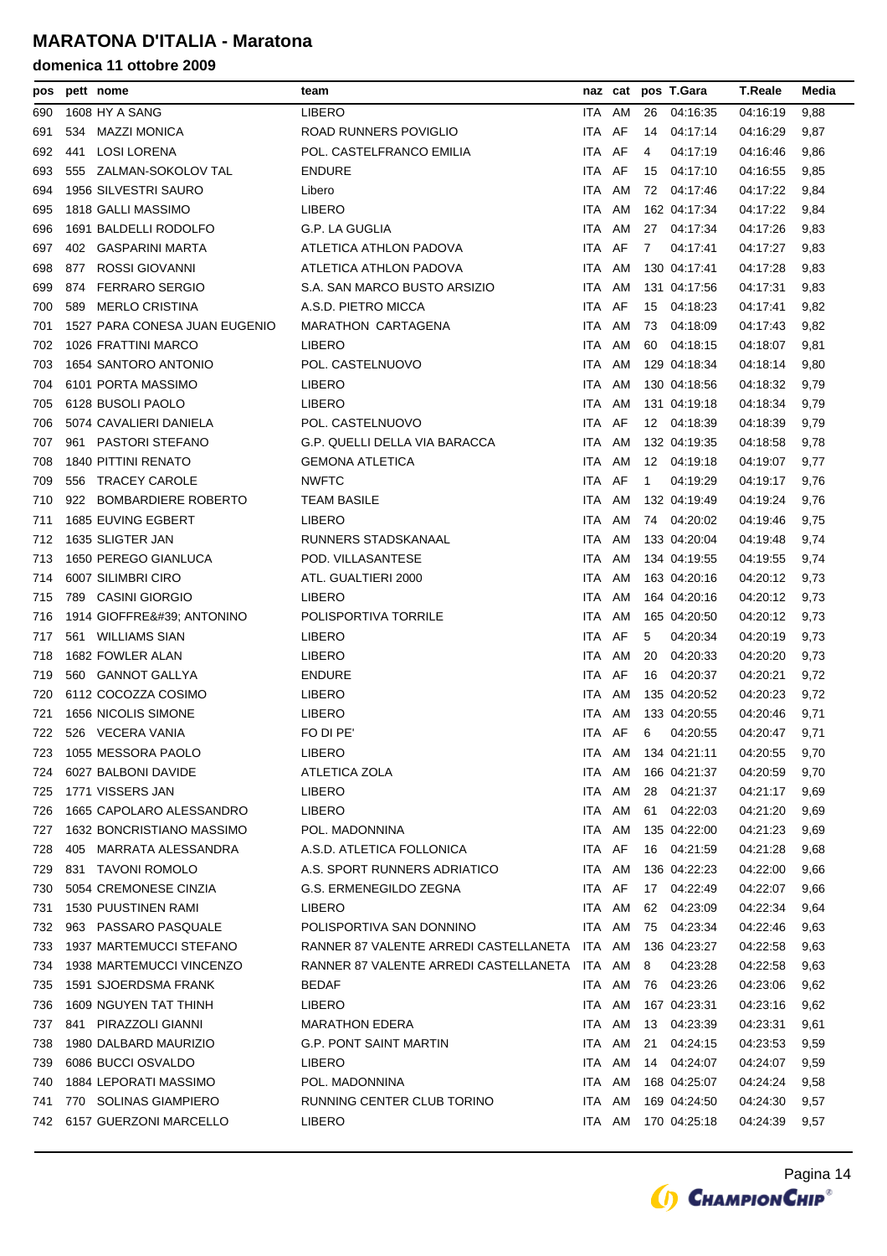| pos |     | pett nome                     | team                                         |        | naz cat |              | pos T.Gara          | <b>T.Reale</b> | Media |
|-----|-----|-------------------------------|----------------------------------------------|--------|---------|--------------|---------------------|----------------|-------|
| 690 |     | 1608 HY A SANG                | LIBERO                                       |        | ITA AM  | 26           | 04:16:35            | 04:16:19       | 9,88  |
| 691 | 534 | <b>MAZZI MONICA</b>           | ROAD RUNNERS POVIGLIO                        | ITA.   | AF      | 14           | 04:17:14            | 04:16:29       | 9,87  |
| 692 | 441 | <b>LOSI LORENA</b>            | POL. CASTELFRANCO EMILIA                     | ITA.   | AF      | 4            | 04:17:19            | 04:16:46       | 9,86  |
| 693 | 555 | ZALMAN-SOKOLOV TAL            | <b>ENDURE</b>                                | ITA AF |         | 15           | 04:17:10            | 04:16:55       | 9,85  |
| 694 |     | 1956 SILVESTRI SAURO          | Libero                                       | ITA.   | AM      | 72           | 04:17:46            | 04:17:22       | 9,84  |
| 695 |     | 1818 GALLI MASSIMO            | LIBERO                                       | ITA.   | AM      |              | 162 04:17:34        | 04:17:22       | 9,84  |
| 696 |     | 1691 BALDELLI RODOLFO         | G.P. LA GUGLIA                               | ITA.   | AM      | 27           | 04:17:34            | 04:17:26       | 9,83  |
| 697 | 402 | <b>GASPARINI MARTA</b>        | ATLETICA ATHLON PADOVA                       | ITA.   | AF      | 7            | 04:17:41            | 04:17:27       | 9,83  |
| 698 | 877 | ROSSI GIOVANNI                | ATLETICA ATHLON PADOVA                       | ITA.   | AM      |              | 130 04:17:41        | 04:17:28       | 9,83  |
| 699 | 874 | <b>FERRARO SERGIO</b>         | S.A. SAN MARCO BUSTO ARSIZIO                 | ITA    | AM      |              | 131 04:17:56        | 04:17:31       | 9,83  |
| 700 | 589 | <b>MERLO CRISTINA</b>         | A.S.D. PIETRO MICCA                          | ITA.   | AF      | 15           | 04:18:23            | 04:17:41       | 9,82  |
| 701 |     | 1527 PARA CONESA JUAN EUGENIO | <b>MARATHON CARTAGENA</b>                    | ITA.   | AM      | 73           | 04:18:09            | 04:17:43       | 9,82  |
| 702 |     | 1026 FRATTINI MARCO           | <b>LIBERO</b>                                | ITA AM |         | 60           | 04:18:15            | 04:18:07       | 9,81  |
| 703 |     | 1654 SANTORO ANTONIO          | POL. CASTELNUOVO                             | ITA.   | AM      |              | 129 04:18:34        | 04:18:14       | 9,80  |
| 704 |     | 6101 PORTA MASSIMO            | <b>LIBERO</b>                                | ITA.   | AM      |              | 130 04:18:56        | 04:18:32       | 9,79  |
| 705 |     | 6128 BUSOLI PAOLO             | <b>LIBERO</b>                                | ITA.   | AM      |              | 131 04:19:18        | 04:18:34       | 9,79  |
| 706 |     | 5074 CAVALIERI DANIELA        | POL. CASTELNUOVO                             | ITA    | AF      | 12           | 04:18:39            | 04:18:39       | 9,79  |
| 707 |     | 961 PASTORI STEFANO           | G.P. QUELLI DELLA VIA BARACCA                | ITA.   | AM      |              | 132 04:19:35        | 04:18:58       | 9,78  |
| 708 |     | <b>1840 PITTINI RENATO</b>    | <b>GEMONA ATLETICA</b>                       | ITA.   | AM      |              | 12 04:19:18         | 04:19:07       | 9,77  |
| 709 |     | 556 TRACEY CAROLE             | <b>NWFTC</b>                                 | ITA.   | AF      | $\mathbf{1}$ | 04:19:29            | 04:19:17       | 9,76  |
| 710 |     | 922 BOMBARDIERE ROBERTO       | <b>TEAM BASILE</b>                           | ITA.   | AM      |              | 132 04:19:49        | 04:19:24       | 9,76  |
| 711 |     | 1685 EUVING EGBERT            | <b>LIBERO</b>                                | ITA.   | AM      |              | 74 04:20:02         | 04:19:46       | 9,75  |
| 712 |     | 1635 SLIGTER JAN              | RUNNERS STADSKANAAL                          | ITA    | AM      |              | 133 04:20:04        | 04:19:48       | 9,74  |
| 713 |     | 1650 PEREGO GIANLUCA          | POD. VILLASANTESE                            | ITA.   | AM      |              | 134 04:19:55        | 04:19:55       | 9,74  |
| 714 |     | 6007 SILIMBRI CIRO            | ATL. GUALTIERI 2000                          | ITA.   | AM      |              | 163 04:20:16        | 04:20:12       | 9,73  |
| 715 | 789 | <b>CASINI GIORGIO</b>         | <b>LIBERO</b>                                | ITA.   | AM      |              | 164 04:20:16        | 04:20:12       | 9,73  |
| 716 |     | 1914 GIOFFRE' ANTONINO        | POLISPORTIVA TORRILE                         | ITA.   | AM      |              | 165 04:20:50        | 04:20:12       | 9,73  |
| 717 |     | 561 WILLIAMS SIAN             | <b>LIBERO</b>                                | ITA AF |         | 5            | 04.20:34            | 04:20:19       | 9,73  |
| 718 |     | 1682 FOWLER ALAN              | <b>LIBERO</b>                                | ITA    | AM      | 20           | 04:20:33            | 04:20:20       | 9,73  |
| 719 |     | 560 GANNOT GALLYA             | <b>ENDURE</b>                                | ITA.   | AF      | 16           | 04:20:37            | 04:20:21       | 9,72  |
| 720 |     | 6112 COCOZZA COSIMO           | LIBERO                                       | ITA    | AM      |              | 135 04:20:52        | 04:20:23       | 9,72  |
| 721 |     | 1656 NICOLIS SIMONE           | LIBERO                                       | ITA.   | AM      |              | 133 04:20:55        | 04:20:46       | 9,71  |
| 722 |     | 526 VECERA VANIA              | FO DI PE'                                    | ITA AF |         | 6            | 04:20:55            | 04:20:47       | 9,71  |
| 723 |     | 1055 MESSORA PAOLO            | LIBERO                                       |        |         |              | ITA AM 134 04:21:11 | 04:20:55       | 9,70  |
| 724 |     | 6027 BALBONI DAVIDE           | ATLETICA ZOLA                                | ITA.   | AM      |              | 166 04:21:37        | 04:20:59       | 9,70  |
| 725 |     | 1771 VISSERS JAN              | LIBERO                                       | ITA AM |         | 28           | 04:21:37            | 04:21:17       | 9,69  |
| 726 |     | 1665 CAPOLARO ALESSANDRO      | LIBERO                                       | ITA AM |         | 61           | 04:22:03            | 04:21:20       | 9,69  |
| 727 |     | 1632 BONCRISTIANO MASSIMO     | POL. MADONNINA                               | ITA AM |         |              | 135 04:22:00        | 04:21:23       | 9,69  |
| 728 |     | 405 MARRATA ALESSANDRA        | A.S.D. ATLETICA FOLLONICA                    | ITA AF |         |              | 16 04:21:59         | 04:21:28       | 9,68  |
| 729 |     | 831 TAVONI ROMOLO             | A.S. SPORT RUNNERS ADRIATICO                 | ITA AM |         |              | 136 04:22:23        | 04:22:00       | 9,66  |
| 730 |     | 5054 CREMONESE CINZIA         | G.S. ERMENEGILDO ZEGNA                       | ITA AF |         | 17           | 04:22:49            | 04:22:07       | 9,66  |
| 731 |     | 1530 PUUSTINEN RAMI           | LIBERO                                       | ITA AM |         | 62           | 04:23:09            | 04:22:34       | 9,64  |
| 732 |     | 963 PASSARO PASQUALE          | POLISPORTIVA SAN DONNINO                     | ITA AM |         | 75           | 04:23:34            | 04:22:46       | 9,63  |
| 733 |     | 1937 MARTEMUCCI STEFANO       | RANNER 87 VALENTE ARREDI CASTELLANETA        | ITA AM |         |              | 136 04:23:27        | 04:22:58       | 9,63  |
| 734 |     | 1938 MARTEMUCCI VINCENZO      | RANNER 87 VALENTE ARREDI CASTELLANETA ITA AM |        |         | 8            | 04:23:28            | 04:22:58       | 9,63  |
| 735 |     | 1591 SJOERDSMA FRANK          | <b>BEDAF</b>                                 | ITA AM |         | 76           | 04:23:26            | 04:23:06       | 9,62  |
| 736 |     | 1609 NGUYEN TAT THINH         | LIBERO                                       | ITA    | AM      |              | 167 04:23:31        | 04:23:16       | 9,62  |
| 737 |     | 841 PIRAZZOLI GIANNI          | <b>MARATHON EDERA</b>                        | ITA AM |         | 13           | 04:23:39            | 04:23:31       | 9,61  |
| 738 |     | 1980 DALBARD MAURIZIO         | <b>G.P. PONT SAINT MARTIN</b>                | ITA AM |         | 21           | 04:24:15            | 04:23:53       | 9,59  |
| 739 |     | 6086 BUCCI OSVALDO            | LIBERO                                       | ITA AM |         | 14           | 04:24:07            | 04:24:07       | 9,59  |
| 740 |     | 1884 LEPORATI MASSIMO         | POL. MADONNINA                               | ITA AM |         |              | 168 04:25:07        | 04:24:24       | 9,58  |
| 741 |     | 770 SOLINAS GIAMPIERO         | RUNNING CENTER CLUB TORINO                   | ITA AM |         |              | 169 04:24:50        | 04:24:30       | 9,57  |
| 742 |     | 6157 GUERZONI MARCELLO        | LIBERO                                       | ITA AM |         |              | 170 04:25:18        | 04:24:39       | 9,57  |
|     |     |                               |                                              |        |         |              |                     |                |       |

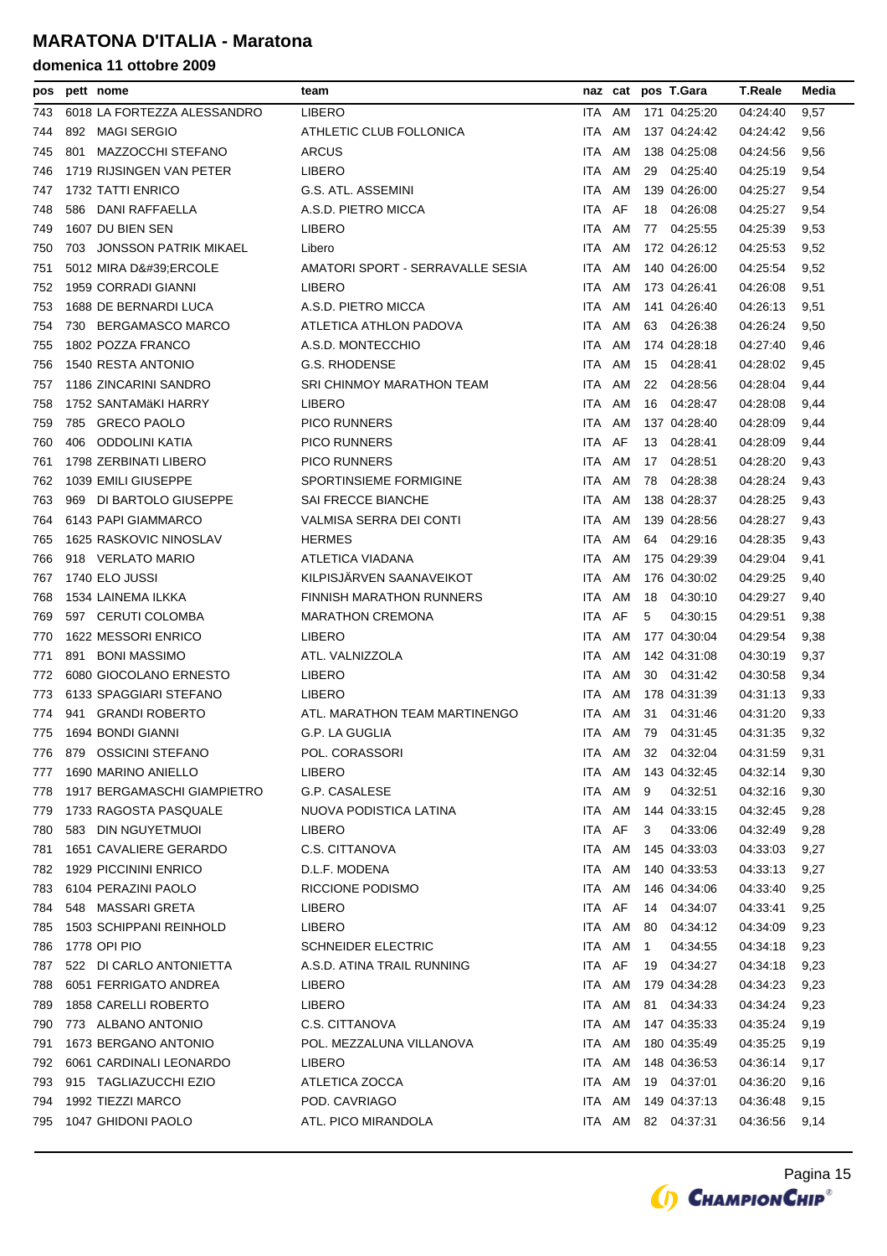| pos |     | pett nome                   | team                             |            |        |              | naz cat pos T.Gara | <b>T.Reale</b> | Media |
|-----|-----|-----------------------------|----------------------------------|------------|--------|--------------|--------------------|----------------|-------|
| 743 |     | 6018 LA FORTEZZA ALESSANDRO | <b>LIBERO</b>                    | ITA.       | AM     |              | 171 04:25:20       | 04:24:40       | 9,57  |
| 744 | 892 | <b>MAGI SERGIO</b>          | ATHLETIC CLUB FOLLONICA          | <b>ITA</b> | AM     |              | 137 04:24:42       | 04:24:42       | 9,56  |
| 745 | 801 | MAZZOCCHI STEFANO           | <b>ARCUS</b>                     | ITA.       | AM     |              | 138 04:25:08       | 04:24:56       | 9,56  |
| 746 |     | 1719 RIJSINGEN VAN PETER    | <b>LIBERO</b>                    | ITA.       | AM     | 29           | 04:25:40           | 04:25:19       | 9,54  |
| 747 |     | 1732 TATTI ENRICO           | G.S. ATL. ASSEMINI               | <b>ITA</b> | AM     |              | 139 04:26:00       | 04:25:27       | 9,54  |
| 748 |     | 586 DANI RAFFAELLA          | A.S.D. PIETRO MICCA              | ITA AF     |        | 18           | 04:26:08           | 04:25:27       | 9,54  |
| 749 |     | 1607 DU BIEN SEN            | <b>LIBERO</b>                    | ITA        | AM     | 77           | 04:25:55           | 04:25:39       | 9,53  |
| 750 |     | 703 JONSSON PATRIK MIKAEL   | Libero                           | <b>ITA</b> | AM     |              | 172 04:26:12       | 04:25:53       | 9,52  |
| 751 |     | 5012 MIRA D'ERCOLE          | AMATORI SPORT - SERRAVALLE SESIA | <b>ITA</b> | AM     |              | 140 04:26:00       | 04:25:54       | 9,52  |
| 752 |     | 1959 CORRADI GIANNI         | <b>LIBERO</b>                    | ITA.       | AM     |              | 173 04:26:41       | 04:26:08       | 9,51  |
| 753 |     | 1688 DE BERNARDI LUCA       | A.S.D. PIETRO MICCA              | ITA.       | AM     |              | 141 04:26:40       | 04:26:13       | 9,51  |
| 754 |     | 730 BERGAMASCO MARCO        | ATLETICA ATHLON PADOVA           | ITA.       | AM     |              | 63 04:26:38        | 04:26:24       | 9,50  |
| 755 |     | 1802 POZZA FRANCO           | A.S.D. MONTECCHIO                | ITA.       | AM     |              | 174 04:28:18       | 04:27:40       | 9,46  |
| 756 |     | 1540 RESTA ANTONIO          | G.S. RHODENSE                    | ITA.       | AM     | 15           | 04:28:41           | 04:28:02       | 9,45  |
| 757 |     | 1186 ZINCARINI SANDRO       | SRI CHINMOY MARATHON TEAM        | ITA.       | AM     | 22           | 04:28:56           | 04:28:04       | 9,44  |
| 758 |     | 1752 SANTAMÄKI HARRY        | <b>LIBERO</b>                    | ITA.       | AM     | 16           | 04:28:47           | 04:28:08       | 9,44  |
| 759 |     | 785 GRECO PAOLO             | <b>PICO RUNNERS</b>              | <b>ITA</b> | AM     |              | 137 04:28:40       | 04:28:09       | 9,44  |
| 760 | 406 | ODDOLINI KATIA              | <b>PICO RUNNERS</b>              | ITA.       | AF     | 13           | 04:28:41           | 04:28:09       | 9,44  |
| 761 |     | 1798 ZERBINATI LIBERO       | <b>PICO RUNNERS</b>              | ITA.       | AM     | 17           | 04:28:51           | 04:28:20       | 9,43  |
| 762 |     | 1039 EMILI GIUSEPPE         | SPORTINSIEME FORMIGINE           | <b>ITA</b> | AM     | 78           | 04:28:38           | 04:28:24       | 9,43  |
| 763 |     | 969 DI BARTOLO GIUSEPPE     | SAI FRECCE BIANCHE               | <b>ITA</b> | AM     |              | 138 04:28:37       | 04:28:25       | 9,43  |
| 764 |     | 6143 PAPI GIAMMARCO         | VALMISA SERRA DEI CONTI          | ITA        | AM     |              | 139 04:28:56       | 04:28:27       | 9,43  |
| 765 |     | 1625 RASKOVIC NINOSLAV      | <b>HERMES</b>                    | ITA.       | AM     |              | 64 04:29:16        | 04:28:35       | 9,43  |
| 766 |     | 918 VERLATO MARIO           | ATLETICA VIADANA                 | ITA.       | AM     |              | 175 04:29:39       | 04:29:04       | 9,41  |
| 767 |     | 1740 ELO JUSSI              | KILPISJÄRVEN SAANAVEIKOT         | ITA.       | AM     |              | 176 04:30:02       | 04:29:25       | 9,40  |
| 768 |     | 1534 LAINEMA ILKKA          | <b>FINNISH MARATHON RUNNERS</b>  | <b>ITA</b> | AM     | 18           | 04:30:10           | 04:29:27       | 9,40  |
| 769 |     | 597 CERUTI COLOMBA          | <b>MARATHON CREMONA</b>          | ITA.       | AF     | 5            | 04:30:15           | 04:29:51       | 9,38  |
| 770 |     | 1622 MESSORI ENRICO         | <b>LIBERO</b>                    | ITA.       | AM     |              | 177 04:30:04       | 04:29:54       | 9,38  |
| 771 | 891 | <b>BONI MASSIMO</b>         | ATL. VALNIZZOLA                  | <b>ITA</b> | AM     |              | 142 04:31:08       | 04:30:19       | 9,37  |
| 772 |     | 6080 GIOCOLANO ERNESTO      | <b>LIBERO</b>                    | ITA.       | AM     |              | 30 04:31:42        | 04:30:58       | 9,34  |
| 773 |     | 6133 SPAGGIARI STEFANO      | <b>LIBERO</b>                    | <b>ITA</b> | AM     |              | 178 04:31:39       | 04:31:13       | 9,33  |
| 774 |     | 941 GRANDI ROBERTO          | ATL. MARATHON TEAM MARTINENGO    | <b>ITA</b> | AM     | 31           | 04:31:46           | 04:31:20       | 9,33  |
| 775 |     | 1694 BONDI GIANNI           | G.P. LA GUGLIA                   |            | ITA AM |              | 79 04:31:45        | 04:31:35       | 9,32  |
| 776 |     | 879 OSSICINI STEFANO        | POL. CORASSORI                   |            |        |              | ITA AM 32 04:32:04 | 04:31:59       | 9,31  |
| 777 |     | 1690 MARINO ANIELLO         | <b>LIBERO</b>                    | ITA.       | AM     |              | 143 04:32:45       | 04:32:14       | 9,30  |
| 778 |     | 1917 BERGAMASCHI GIAMPIETRO | G.P. CASALESE                    | ITA        | AM     | 9            | 04:32:51           | 04:32:16       | 9,30  |
| 779 |     | 1733 RAGOSTA PASQUALE       | NUOVA PODISTICA LATINA           | ITA.       | AM     |              | 144 04:33:15       | 04:32:45       | 9,28  |
| 780 |     | 583 DIN NGUYETMUOI          | LIBERO                           | ITA.       | AF     | 3            | 04:33:06           | 04:32:49       | 9,28  |
| 781 |     | 1651 CAVALIERE GERARDO      | C.S. CITTANOVA                   | ITA.       | AM     |              | 145 04:33:03       | 04:33:03       | 9,27  |
| 782 |     | 1929 PICCININI ENRICO       | D.L.F. MODENA                    | ITA        | AM     |              | 140 04:33:53       | 04:33:13       | 9,27  |
| 783 |     | 6104 PERAZINI PAOLO         | <b>RICCIONE PODISMO</b>          | ITA.       | AM     |              | 146 04:34:06       | 04:33:40       | 9,25  |
| 784 |     | 548 MASSARI GRETA           | LIBERO                           | ITA AF     |        |              | 14 04:34:07        | 04:33:41       | 9,25  |
| 785 |     | 1503 SCHIPPANI REINHOLD     | LIBERO                           | ITA AM     |        | 80           | 04:34:12           | 04:34:09       | 9,23  |
| 786 |     | 1778 OPI PIO                | <b>SCHNEIDER ELECTRIC</b>        | ITA.       | AM     | $\mathbf{1}$ | 04:34:55           | 04:34:18       | 9,23  |
| 787 |     | 522 DI CARLO ANTONIETTA     | A.S.D. ATINA TRAIL RUNNING       | ITA AF     |        | 19           | 04:34:27           | 04:34:18       | 9,23  |
| 788 |     | 6051 FERRIGATO ANDREA       | LIBERO                           | ITA AM     |        |              | 179 04:34:28       | 04:34:23       | 9,23  |
| 789 |     | 1858 CARELLI ROBERTO        | <b>LIBERO</b>                    | ITA.       | AM     | 81           | 04:34:33           | 04:34:24       | 9,23  |
| 790 |     | 773 ALBANO ANTONIO          | C.S. CITTANOVA                   | ITA        | AM     |              | 147 04:35:33       | 04:35:24       | 9,19  |
| 791 |     | 1673 BERGANO ANTONIO        | POL. MEZZALUNA VILLANOVA         | ITA        | AM     |              | 180 04:35:49       | 04:35:25       | 9,19  |
| 792 |     | 6061 CARDINALI LEONARDO     | LIBERO                           | ITA.       | AM     |              | 148 04:36:53       | 04:36:14       | 9,17  |
| 793 |     | 915 TAGLIAZUCCHI EZIO       | ATLETICA ZOCCA                   | ITA        | AM     |              | 19 04:37:01        | 04:36:20       | 9,16  |
| 794 |     | 1992 TIEZZI MARCO           | POD. CAVRIAGO                    | ITA AM     |        |              | 149 04:37:13       | 04:36:48       | 9,15  |
| 795 |     | 1047 GHIDONI PAOLO          | ATL. PICO MIRANDOLA              |            | ITA AM |              | 82 04:37:31        | 04:36:56       |       |
|     |     |                             |                                  |            |        |              |                    |                | 9,14  |

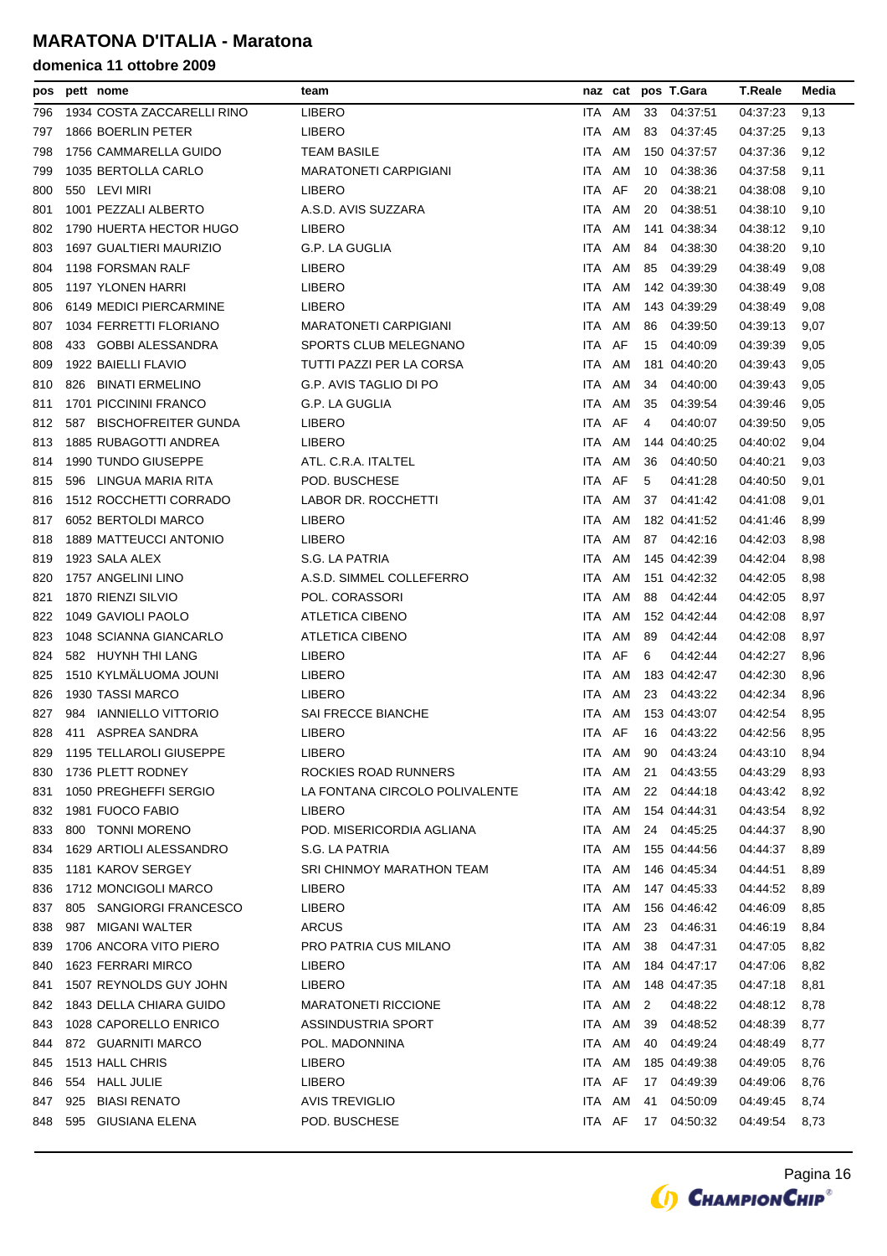| pos |     | pett nome                     | team                           |            | naz cat |    | pos T.Gara   | <b>T.Reale</b> | Media |
|-----|-----|-------------------------------|--------------------------------|------------|---------|----|--------------|----------------|-------|
| 796 |     | 1934 COSTA ZACCARELLI RINO    | <b>LIBERO</b>                  | ITA.       | AM      | 33 | 04:37:51     | 04:37:23       | 9,13  |
| 797 |     | 1866 BOERLIN PETER            | <b>LIBERO</b>                  | <b>ITA</b> | AM      | 83 | 04:37:45     | 04:37:25       | 9,13  |
| 798 |     | 1756 CAMMARELLA GUIDO         | <b>TEAM BASILE</b>             | <b>ITA</b> | AM      |    | 150 04:37:57 | 04:37:36       | 9,12  |
| 799 |     | 1035 BERTOLLA CARLO           | <b>MARATONETI CARPIGIANI</b>   | <b>ITA</b> | AM      | 10 | 04:38:36     | 04:37:58       | 9,11  |
| 800 |     | 550 LEVI MIRI                 | <b>LIBERO</b>                  | <b>ITA</b> | AF      | 20 | 04:38:21     | 04:38:08       | 9,10  |
| 801 |     | 1001 PEZZALI ALBERTO          | A.S.D. AVIS SUZZARA            | <b>ITA</b> | AM      | 20 | 04:38:51     | 04:38:10       | 9,10  |
| 802 |     | 1790 HUERTA HECTOR HUGO       | <b>LIBERO</b>                  | <b>ITA</b> | AM      |    | 141 04:38:34 | 04:38:12       | 9,10  |
| 803 |     | 1697 GUALTIERI MAURIZIO       | G.P. LA GUGLIA                 | ITA        | AM      | 84 | 04:38:30     | 04:38:20       | 9,10  |
| 804 |     | 1198 FORSMAN RALF             | <b>LIBERO</b>                  | ITA        | AM      | 85 | 04:39:29     | 04:38:49       | 9,08  |
| 805 |     | 1197 YLONEN HARRI             | <b>LIBERO</b>                  | <b>ITA</b> | AM      |    | 142 04:39:30 | 04:38:49       | 9,08  |
| 806 |     | 6149 MEDICI PIERCARMINE       | <b>LIBERO</b>                  | <b>ITA</b> | AM      |    | 143 04:39:29 | 04:38:49       | 9,08  |
| 807 |     | 1034 FERRETTI FLORIANO        | <b>MARATONETI CARPIGIANI</b>   | <b>ITA</b> | AM      | 86 | 04:39:50     | 04:39:13       | 9,07  |
| 808 |     | 433 GOBBI ALESSANDRA          | SPORTS CLUB MELEGNANO          | ITA.       | AF      | 15 | 04:40:09     | 04:39:39       | 9,05  |
| 809 |     | 1922 BAIELLI FLAVIO           | TUTTI PAZZI PER LA CORSA       | <b>ITA</b> | AM      |    | 181 04:40:20 | 04:39:43       | 9,05  |
| 810 | 826 | <b>BINATI ERMELINO</b>        | G.P. AVIS TAGLIO DI PO         | <b>ITA</b> | AM      | 34 | 04:40:00     | 04:39:43       | 9,05  |
| 811 |     | 1701 PICCININI FRANCO         | G.P. LA GUGLIA                 | <b>ITA</b> | AM      | 35 | 04:39:54     | 04:39:46       | 9,05  |
| 812 | 587 | <b>BISCHOFREITER GUNDA</b>    | <b>LIBERO</b>                  | <b>ITA</b> | AF      | 4  | 04:40:07     | 04:39:50       | 9,05  |
| 813 |     | 1885 RUBAGOTTI ANDREA         | <b>LIBERO</b>                  | <b>ITA</b> | AM      |    | 144 04:40:25 | 04:40:02       | 9,04  |
| 814 |     | 1990 TUNDO GIUSEPPE           | ATL. C.R.A. ITALTEL            | <b>ITA</b> | AM      | 36 | 04:40:50     | 04:40:21       | 9,03  |
| 815 |     | 596 LINGUA MARIA RITA         | POD. BUSCHESE                  | <b>ITA</b> | AF      | 5  | 04:41:28     | 04:40:50       | 9,01  |
| 816 |     | <b>1512 ROCCHETTI CORRADO</b> | LABOR DR. ROCCHETTI            | ITA        | AM      | 37 | 04:41:42     | 04:41:08       | 9,01  |
| 817 |     | 6052 BERTOLDI MARCO           | <b>LIBERO</b>                  | <b>ITA</b> | AM      |    | 182 04:41:52 | 04:41:46       | 8,99  |
| 818 |     | 1889 MATTEUCCI ANTONIO        | <b>LIBERO</b>                  | <b>ITA</b> | AM      |    | 87 04:42:16  | 04:42:03       | 8,98  |
| 819 |     | 1923 SALA ALEX                | S.G. LA PATRIA                 | <b>ITA</b> | AM      |    | 145 04:42:39 | 04:42:04       | 8,98  |
| 820 |     | 1757 ANGELINI LINO            | A.S.D. SIMMEL COLLEFERRO       | <b>ITA</b> | AM      |    | 151 04:42:32 | 04:42:05       | 8,98  |
| 821 |     | 1870 RIENZI SILVIO            | POL. CORASSORI                 | ITA        | AM      | 88 | 04:42:44     | 04:42:05       | 8,97  |
| 822 |     | 1049 GAVIOLI PAOLO            | <b>ATLETICA CIBENO</b>         | <b>ITA</b> | AM      |    | 152 04:42:44 | 04:42:08       | 8,97  |
| 823 |     | 1048 SCIANNA GIANCARLO        | <b>ATLETICA CIBENO</b>         | <b>ITA</b> | AM      | 89 | 04:42:44     | 04:42:08       | 8,97  |
| 824 |     | 582 HUYNH THI LANG            | <b>LIBERO</b>                  | <b>ITA</b> | AF      | 6  | 04:42:44     | 04:42:27       | 8,96  |
| 825 |     | 1510 KYLMÄLUOMA JOUNI         | <b>LIBERO</b>                  | <b>ITA</b> | AM      |    | 183 04:42:47 | 04:42:30       | 8,96  |
| 826 |     | 1930 TASSI MARCO              | <b>LIBERO</b>                  | <b>ITA</b> | AM      | 23 | 04:43:22     | 04:42:34       | 8,96  |
| 827 | 984 | <b>IANNIELLO VITTORIO</b>     | <b>SAI FRECCE BIANCHE</b>      | ITA        | AM      |    | 153 04:43:07 | 04:42:54       | 8,95  |
| 828 |     | 411 ASPREA SANDRA             | <b>LIBERO</b>                  | ITA.       | AF      |    | 16 04:43:22  | 04:42:56       | 8,95  |
| 829 |     | 1195 TELLAROLI GIUSEPPE       | LIBERO                         |            | ITA AM  |    | 90 04:43:24  | 04:43:10       | 8,94  |
| 830 |     | 1736 PLETT RODNEY             | ROCKIES ROAD RUNNERS           | ITA AM     |         | 21 | 04:43:55     | 04:43:29       | 8,93  |
| 831 |     | 1050 PREGHEFFI SERGIO         | LA FONTANA CIRCOLO POLIVALENTE | ITA        | AM      |    | 22 04:44:18  | 04:43:42       | 8,92  |
| 832 |     | 1981 FUOCO FABIO              | <b>LIBERO</b>                  | ITA AM     |         |    | 154 04:44:31 | 04:43:54       | 8,92  |
| 833 |     | 800 TONNI MORENO              | POD. MISERICORDIA AGLIANA      | ITA        | AM      |    | 24 04:45:25  | 04:44:37       | 8,90  |
| 834 |     | 1629 ARTIOLI ALESSANDRO       | S.G. LA PATRIA                 | ITA        | AM      |    | 155 04:44:56 | 04:44:37       | 8,89  |
| 835 |     | 1181 KAROV SERGEY             | SRI CHINMOY MARATHON TEAM      | ITA        | AM      |    | 146 04:45:34 | 04:44:51       | 8,89  |
| 836 |     | 1712 MONCIGOLI MARCO          | <b>LIBERO</b>                  | ITA        | AM      |    | 147 04:45:33 | 04:44:52       | 8,89  |
| 837 |     | 805 SANGIORGI FRANCESCO       | <b>LIBERO</b>                  | ITA        | AM      |    | 156 04:46:42 | 04:46:09       | 8,85  |
| 838 |     | 987 MIGANI WALTER             | <b>ARCUS</b>                   | ITA AM     |         | 23 | 04:46:31     | 04:46:19       | 8,84  |
| 839 |     | 1706 ANCORA VITO PIERO        | PRO PATRIA CUS MILANO          | ITA AM     |         | 38 | 04:47:31     | 04:47:05       | 8,82  |
| 840 |     | 1623 FERRARI MIRCO            | <b>LIBERO</b>                  | ITA        | AM      |    | 184 04:47:17 | 04:47:06       | 8,82  |
| 841 |     | 1507 REYNOLDS GUY JOHN        | LIBERO                         | ITA.       | AM      |    | 148 04:47:35 | 04:47:18       | 8,81  |
| 842 |     | 1843 DELLA CHIARA GUIDO       | <b>MARATONETI RICCIONE</b>     | ITA AM     |         | 2  | 04:48:22     | 04:48:12       | 8,78  |
| 843 |     | 1028 CAPORELLO ENRICO         | ASSINDUSTRIA SPORT             | ITA        | AM      | 39 | 04:48:52     | 04:48:39       | 8,77  |
| 844 |     | 872 GUARNITI MARCO            | POL. MADONNINA                 | ITA AM     |         | 40 | 04:49:24     | 04:48:49       | 8,77  |
| 845 |     | 1513 HALL CHRIS               | LIBERO                         | ITA        | AM      |    | 185 04:49:38 | 04:49:05       | 8,76  |
| 846 |     | 554 HALL JULIE                | LIBERO                         | ITA        | AF      |    | 17 04:49:39  | 04:49:06       | 8,76  |
| 847 | 925 | <b>BIASI RENATO</b>           | AVIS TREVIGLIO                 | ITA AM     |         | 41 | 04:50:09     | 04:49:45       | 8,74  |
| 848 |     | 595 GIUSIANA ELENA            | POD. BUSCHESE                  | ITA AF     |         |    | 17 04:50:32  | 04:49:54       | 8,73  |
|     |     |                               |                                |            |         |    |              |                |       |

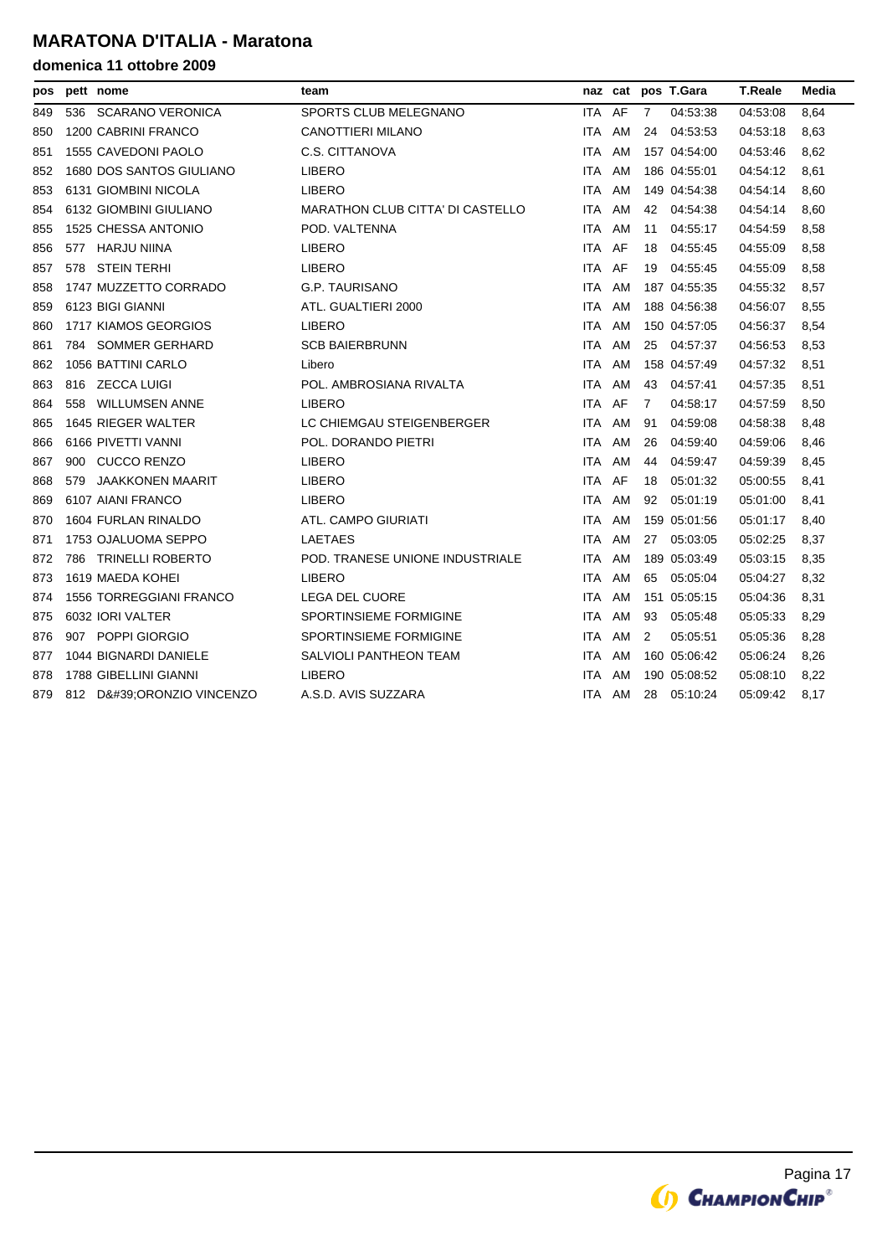| pos |     | pett nome                      | team                                    |            |    |    | naz cat pos T.Gara | T.Reale  | Media |
|-----|-----|--------------------------------|-----------------------------------------|------------|----|----|--------------------|----------|-------|
| 849 | 536 | <b>SCARANO VERONICA</b>        | SPORTS CLUB MELEGNANO                   | ITA.       | AF | 7  | 04:53:38           | 04.53.08 | 8,64  |
| 850 |     | 1200 CABRINI FRANCO            | <b>CANOTTIERI MILANO</b>                | ITA.       | AM | 24 | 04:53:53           | 04:53:18 | 8,63  |
| 851 |     | 1555 CAVEDONI PAOLO            | C.S. CITTANOVA                          | ITA        | AM |    | 157 04:54:00       | 04:53:46 | 8,62  |
| 852 |     | 1680 DOS SANTOS GIULIANO       | <b>LIBERO</b>                           | ITA.       | AM |    | 186 04:55:01       | 04 54:12 | 8,61  |
| 853 |     | 6131 GIOMBINI NICOLA           | <b>LIBERO</b>                           | ITA.       | AM |    | 149 04:54:38       | 04:54:14 | 8,60  |
| 854 |     | 6132 GIOMBINI GIULIANO         | <b>MARATHON CLUB CITTA' DI CASTELLO</b> | ITA        | AM | 42 | 04:54:38           | 04:54:14 | 8,60  |
| 855 |     | 1525 CHESSA ANTONIO            | POD. VALTENNA                           | <b>ITA</b> | AM | 11 | 04:55:17           | 04 54 59 | 8,58  |
| 856 | 577 | HARJU NIINA                    | <b>LIBERO</b>                           | ITA.       | AF | 18 | 04:55:45           | 04:55:09 | 8,58  |
| 857 | 578 | <b>STEIN TERHI</b>             | <b>LIBERO</b>                           | ITA        | AF | 19 | 04:55:45           | 04:55:09 | 8,58  |
| 858 |     | 1747 MUZZETTO CORRADO          | <b>G.P. TAURISANO</b>                   | ITA        | AM |    | 187 04:55:35       | 04:55:32 | 8,57  |
| 859 |     | 6123 BIGI GIANNI               | ATL. GUALTIERI 2000                     | ITA        | AM |    | 188 04:56:38       | 04:56:07 | 8,55  |
| 860 |     | 1717 KIAMOS GEORGIOS           | <b>LIBERO</b>                           | <b>ITA</b> | AM |    | 150 04:57:05       | 04:56:37 | 8,54  |
| 861 |     | 784 SOMMER GERHARD             | <b>SCB BAIERBRUNN</b>                   | ITA.       | AM | 25 | 04:57:37           | 04 56 53 | 8,53  |
| 862 |     | 1056 BATTINI CARLO             | Libero                                  | ITA        | AM |    | 158 04:57:49       | 04 57 32 | 8,51  |
| 863 |     | 816 ZECCA LUIGI                | POL. AMBROSIANA RIVALTA                 | ITA        | AM | 43 | 04:57:41           | 04:57:35 | 8,51  |
| 864 |     | 558 WILLUMSEN ANNE             | <b>LIBERO</b>                           | ITA        | AF | 7  | 04:58:17           | 04 57 59 | 8,50  |
| 865 |     | 1645 RIEGER WALTER             | LC CHIEMGAU STEIGENBERGER               | ITA        | AM | 91 | 04:59:08           | 04 58 38 | 8,48  |
| 866 |     | 6166 PIVETTI VANNI             | POL. DORANDO PIETRI                     | ITA.       | AM | 26 | 04:59:40           | 04:59:06 | 8,46  |
| 867 | 900 | <b>CUCCO RENZO</b>             | <b>LIBERO</b>                           | ITA        | AM | 44 | 04:59:47           | 04 59 39 | 8,45  |
| 868 | 579 | <b>JAAKKONEN MAARIT</b>        | <b>LIBERO</b>                           | ITA.       | AF | 18 | 05:01:32           | 05:00:55 | 8,41  |
| 869 |     | 6107 AIANI FRANCO              | <b>LIBERO</b>                           | ITA        | AM | 92 | 05:01:19           | 05:01:00 | 8,41  |
| 870 |     | 1604 FURLAN RINALDO            | ATL. CAMPO GIURIATI                     | ITA        | AM |    | 159 05:01:56       | 05:01:17 | 8,40  |
| 871 |     | 1753 OJALUOMA SEPPO            | <b>LAETAES</b>                          | ITA.       | AM | 27 | 05:03:05           | 05:02:25 | 8,37  |
| 872 |     | 786 TRINELLI ROBERTO           | POD. TRANESE UNIONE INDUSTRIALE         | ITA.       | AM |    | 189 05:03:49       | 05:03:15 | 8,35  |
| 873 |     | 1619 MAEDA KOHEI               | <b>LIBERO</b>                           | <b>ITA</b> | AM | 65 | 05:05:04           | 05:04:27 | 8,32  |
| 874 |     | <b>1556 TORREGGIANI FRANCO</b> | <b>LEGA DEL CUORE</b>                   | ITA        | AM |    | 151 05:05:15       | 05:04:36 | 8,31  |
| 875 |     | 6032 IORI VALTER               | <b>SPORTINSIEME FORMIGINE</b>           | ITA        | AM | 93 | 05:05:48           | 05:05:33 | 8,29  |
| 876 |     | 907 POPPI GIORGIO              | <b>SPORTINSIEME FORMIGINE</b>           | <b>ITA</b> | AM | 2  | 05:05:51           | 05:05:36 | 8,28  |
| 877 |     | 1044 BIGNARDI DANIELE          | <b>SALVIOLI PANTHEON TEAM</b>           | ITA        | AM |    | 160 05:06:42       | 05:06:24 | 8,26  |
| 878 |     | 1788 GIBELLINI GIANNI          | <b>LIBERO</b>                           | ITA        | AM |    | 190 05:08:52       | 05:08:10 | 8,22  |
| 879 |     | 812 D'ORONZIO VINCENZO         | A.S.D. AVIS SUZZARA                     | ITA.       | AM | 28 | 05:10:24           | 05:09:42 | 8,17  |

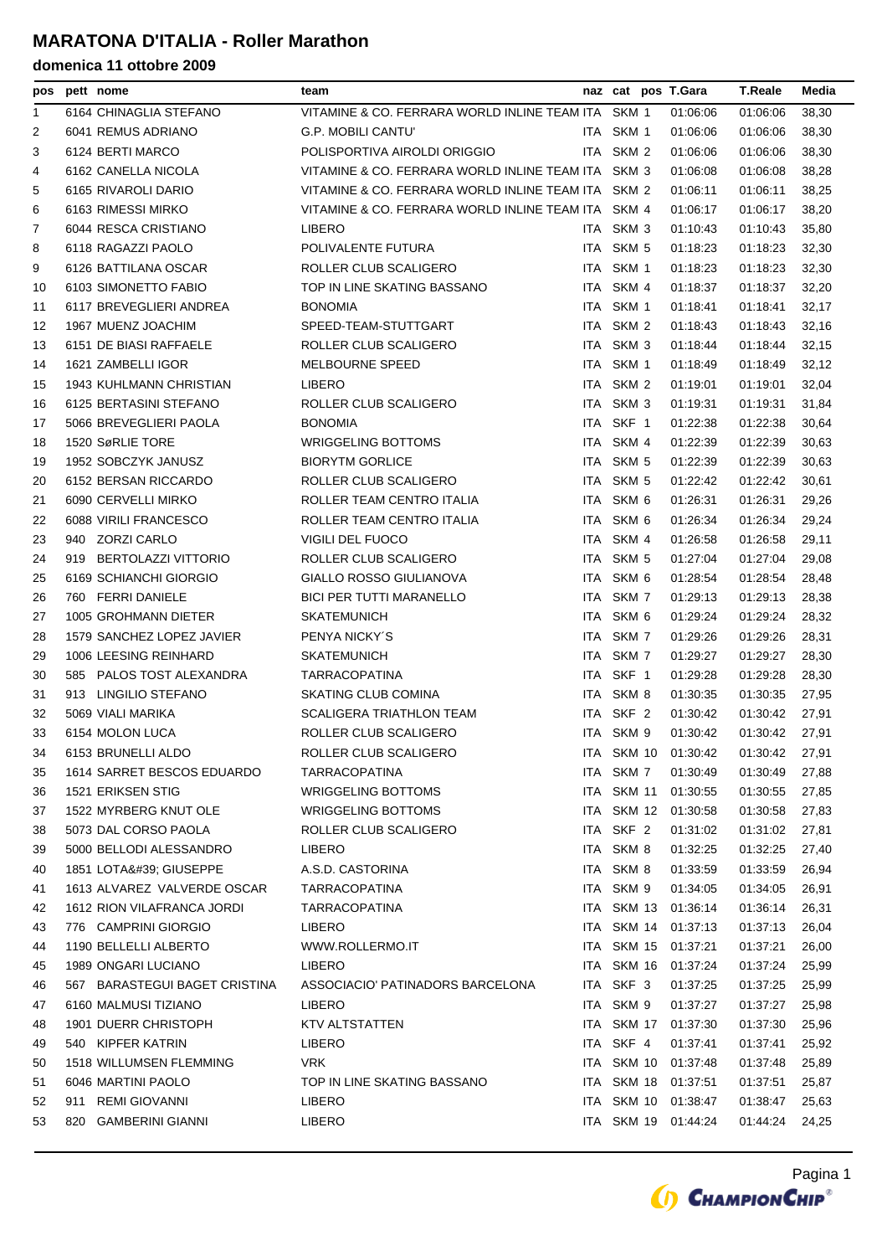### **MARATONA D'ITALIA - Roller Marathon**

| pos      | pett nome                      | team                                               |       |                  | naz cat pos T.Gara           | T.Reale              | Media |
|----------|--------------------------------|----------------------------------------------------|-------|------------------|------------------------------|----------------------|-------|
| 1        | 6164 CHINAGLIA STEFANO         | VITAMINE & CO. FERRARA WORLD INLINE TEAM ITA       |       | SKM 1            | 01:06:06                     | 01:06:06             | 38,30 |
| 2        | 6041 REMUS ADRIANO             | <b>G.P. MOBILI CANTU'</b>                          |       | ITA SKM 1        | 01:06:06                     | 01:06:06             | 38,30 |
| 3        | 6124 BERTI MARCO               | POLISPORTIVA AIROLDI ORIGGIO                       |       | ITA SKM 2        | 01:06:06                     | 01:06:06             | 38,30 |
| 4        | 6162 CANELLA NICOLA            | VITAMINE & CO. FERRARA WORLD INLINE TEAM ITA SKM 3 |       |                  | 01:06:08                     | 01:06:08             | 38,28 |
| 5        | 6165 RIVAROLI DARIO            | VITAMINE & CO. FERRARA WORLD INLINE TEAM ITA SKM 2 |       |                  | 01:06:11                     | 01:06:11             | 38,25 |
| 6        | 6163 RIMESSI MIRKO             | VITAMINE & CO. FERRARA WORLD INLINE TEAM ITA SKM 4 |       |                  | 01:06:17                     | 01:06:17             | 38,20 |
| 7        | 6044 RESCA CRISTIANO           | <b>LIBERO</b>                                      |       | ITA SKM 3        | 01:10:43                     | 01:10:43             | 35,80 |
| 8        | 6118 RAGAZZI PAOLO             | POLIVALENTE FUTURA                                 |       | ITA SKM 5        | 01:18:23                     | 01:18:23             | 32,30 |
| 9        | 6126 BATTILANA OSCAR           | ROLLER CLUB SCALIGERO                              |       | ITA SKM 1        | 01:18:23                     | 01:18:23             | 32,30 |
| 10       | 6103 SIMONETTO FABIO           | TOP IN LINE SKATING BASSANO                        | ITA.  | SKM 4            | 01:18:37                     | 01:18:37             | 32,20 |
| 11       | 6117 BREVEGLIERI ANDREA        | <b>BONOMIA</b>                                     |       | ITA SKM 1        | 01:18:41                     | 01:18:41             | 32,17 |
| 12       | 1967 MUENZ JOACHIM             | SPEED-TEAM-STUTTGART                               | ITA I | SKM 2            | 01:18:43                     | 01:18:43             | 32,16 |
| 13       | 6151 DE BIASI RAFFAELE         | ROLLER CLUB SCALIGERO                              | ITA   | SKM <sub>3</sub> | 01:18:44                     | 01:18:44             | 32,15 |
| 14       | 1621 ZAMBELLI IGOR             | <b>MELBOURNE SPEED</b>                             |       | ITA SKM 1        | 01:18:49                     | 01:18:49             | 32,12 |
| 15       | <b>1943 KUHLMANN CHRISTIAN</b> | <b>LIBERO</b>                                      |       | ITA SKM 2        | 01:19:01                     | 01:19:01             | 32,04 |
| 16       | 6125 BERTASINI STEFANO         | ROLLER CLUB SCALIGERO                              | ITA   | SKM <sub>3</sub> | 01:19:31                     | 01:19:31             | 31,84 |
| 17       | 5066 BREVEGLIERI PAOLA         | <b>BONOMIA</b>                                     |       | ITA SKF 1        | 01:22:38                     | 01:22:38             | 30,64 |
| 18       | 1520 SøRLIE TORE               | WRIGGELING BOTTOMS                                 | ITA   | SKM 4            | 01:22:39                     | 01:22:39             | 30,63 |
| 19       | 1952 SOBCZYK JANUSZ            | <b>BIORYTM GORLICE</b>                             |       | ITA SKM 5        | 01:22:39                     | 01:22:39             | 30,63 |
| 20       | 6152 BERSAN RICCARDO           | ROLLER CLUB SCALIGERO                              |       | ITA SKM 5        | 01:22:42                     | 01:22:42             | 30,61 |
| 21       | 6090 CERVELLI MIRKO            | ROLLER TEAM CENTRO ITALIA                          |       | ITA SKM 6        | 01:26:31                     | 01:26:31             | 29,26 |
| 22       | 6088 VIRILI FRANCESCO          | ROLLER TEAM CENTRO ITALIA                          |       | ITA SKM 6        | 01:26:34                     | 01:26:34             | 29,24 |
| 23       | 940 ZORZI CARLO                | <b>VIGILI DEL FUOCO</b>                            |       | ITA SKM 4        | 01:26:58                     | 01:26:58             | 29,11 |
| 24       | 919 BERTOLAZZI VITTORIO        | ROLLER CLUB SCALIGERO                              | ITA I | SKM 5            | 01:27:04                     | 01:27:04             | 29,08 |
| 25       | 6169 SCHIANCHI GIORGIO         | GIALLO ROSSO GIULIANOVA                            |       | ITA SKM 6        | 01:28:54                     | 01:28:54             | 28,48 |
| 26       | 760 FERRI DANIELE              | <b>BICI PER TUTTI MARANELLO</b>                    |       | ITA SKM 7        | 01:29:13                     | 01:29:13             | 28,38 |
| 27       | 1005 GROHMANN DIETER           | <b>SKATEMUNICH</b>                                 |       | ITA SKM 6        | 01:29:24                     | 01:29:24             | 28,32 |
| 28       | 1579 SANCHEZ LOPEZ JAVIER      | PENYA NICKY'S                                      |       | ITA SKM 7        | 01:29:26                     | 01:29:26             | 28,31 |
| 29       | 1006 LEESING REINHARD          | <b>SKATEMUNICH</b>                                 |       | ITA SKM 7        | 01:29:27                     | 01:29:27             | 28,30 |
| 30       | 585 PALOS TOST ALEXANDRA       | <b>TARRACOPATINA</b>                               | ITA I | SKF 1            | 01:29:28                     | 01:29:28             | 28,30 |
|          | 913 LINGILIO STEFANO           | SKATING CLUB COMINA                                |       | ITA SKM 8        |                              |                      |       |
| 31<br>32 | 5069 VIALI MARIKA              | <b>SCALIGERA TRIATHLON TEAM</b>                    |       | ITA SKF 2        | 01:30:35                     | 01:30:35<br>01:30:42 | 27,95 |
|          |                                |                                                    |       |                  | 01:30:42<br>01:30:42         |                      | 27,91 |
| 33       | 6154 MOLON LUCA                | ROLLER CLUB SCALIGERO                              |       | ITA SKM 9        |                              | 01:30:42             | 27,91 |
| 34       | 6153 BRUNELLI ALDO             | ROLLER CLUB SCALIGERO                              |       |                  | ITA SKM 10 01:30:42 01:30:42 |                      | 27,91 |
| 35       | 1614 SARRET BESCOS EDUARDO     | <b>TARRACOPATINA</b>                               |       | ITA SKM 7        | 01:30:49                     | 01:30:49             | 27,88 |
| 36       | 1521 ERIKSEN STIG              | WRIGGELING BOTTOMS                                 |       | ITA SKM 11       | 01:30:55                     | 01:30:55             | 27,85 |
| 37       | 1522 MYRBERG KNUT OLE          | WRIGGELING BOTTOMS                                 |       | ITA SKM 12       | 01:30:58                     | 01:30:58             | 27,83 |
| 38       | 5073 DAL CORSO PAOLA           | ROLLER CLUB SCALIGERO                              |       | ITA SKF 2        | 01:31:02                     | 01:31:02             | 27,81 |
| 39       | 5000 BELLODI ALESSANDRO        | <b>LIBERO</b>                                      |       | ITA SKM 8        | 01:32:25                     | 01:32:25             | 27,40 |
| 40       | 1851 LOTA' GIUSEPPE            | A.S.D. CASTORINA                                   |       | ITA SKM 8        | 01:33:59                     | 01:33:59             | 26,94 |
| 41       | 1613 ALVAREZ VALVERDE OSCAR    | TARRACOPATINA                                      |       | ITA SKM 9        | 01:34:05                     | 01:34:05             | 26,91 |
| 42       | 1612 RION VILAFRANCA JORDI     | <b>TARRACOPATINA</b>                               |       | ITA SKM 13       | 01:36:14                     | 01:36:14             | 26,31 |
| 43       | 776 CAMPRINI GIORGIO           | <b>LIBERO</b>                                      |       |                  | ITA SKM 14 01:37:13          | 01:37:13             | 26,04 |
| 44       | 1190 BELLELLI ALBERTO          | WWW.ROLLERMO.IT                                    |       | ITA SKM 15       | 01:37:21                     | 01:37:21             | 26,00 |
| 45       | 1989 ONGARI LUCIANO            | <b>LIBERO</b>                                      |       | ITA SKM 16       | 01:37:24                     | 01:37:24             | 25,99 |
| 46       | 567 BARASTEGUI BAGET CRISTINA  | ASSOCIACIO' PATINADORS BARCELONA                   |       | ITA SKF 3        | 01:37:25                     | 01:37:25             | 25,99 |
| 47       | 6160 MALMUSI TIZIANO           | LIBERO                                             |       | ITA SKM 9        | 01:37:27                     | 01:37:27             | 25,98 |
| 48       | 1901 DUERR CHRISTOPH           | KTV ALTSTATTEN                                     |       | ITA SKM 17       | 01:37:30                     | 01:37:30             | 25,96 |
| 49       | 540 KIPFER KATRIN              | <b>LIBERO</b>                                      |       | ITA SKF 4        | 01:37:41                     | 01:37:41             | 25,92 |
| 50       | 1518 WILLUMSEN FLEMMING        | VRK.                                               |       |                  | ITA SKM 10 01:37:48          | 01:37:48             | 25,89 |
| 51       | 6046 MARTINI PAOLO             | TOP IN LINE SKATING BASSANO                        |       | ITA SKM 18       | 01:37:51                     | 01:37:51             | 25,87 |
| 52       | 911 REMI GIOVANNI              | <b>LIBERO</b>                                      |       |                  | ITA SKM 10 01:38:47          | 01:38:47             | 25,63 |
| 53       | 820 GAMBERINI GIANNI           | <b>LIBERO</b>                                      |       |                  | ITA SKM 19 01:44:24          | 01:44:24             | 24,25 |
|          |                                |                                                    |       |                  |                              |                      |       |

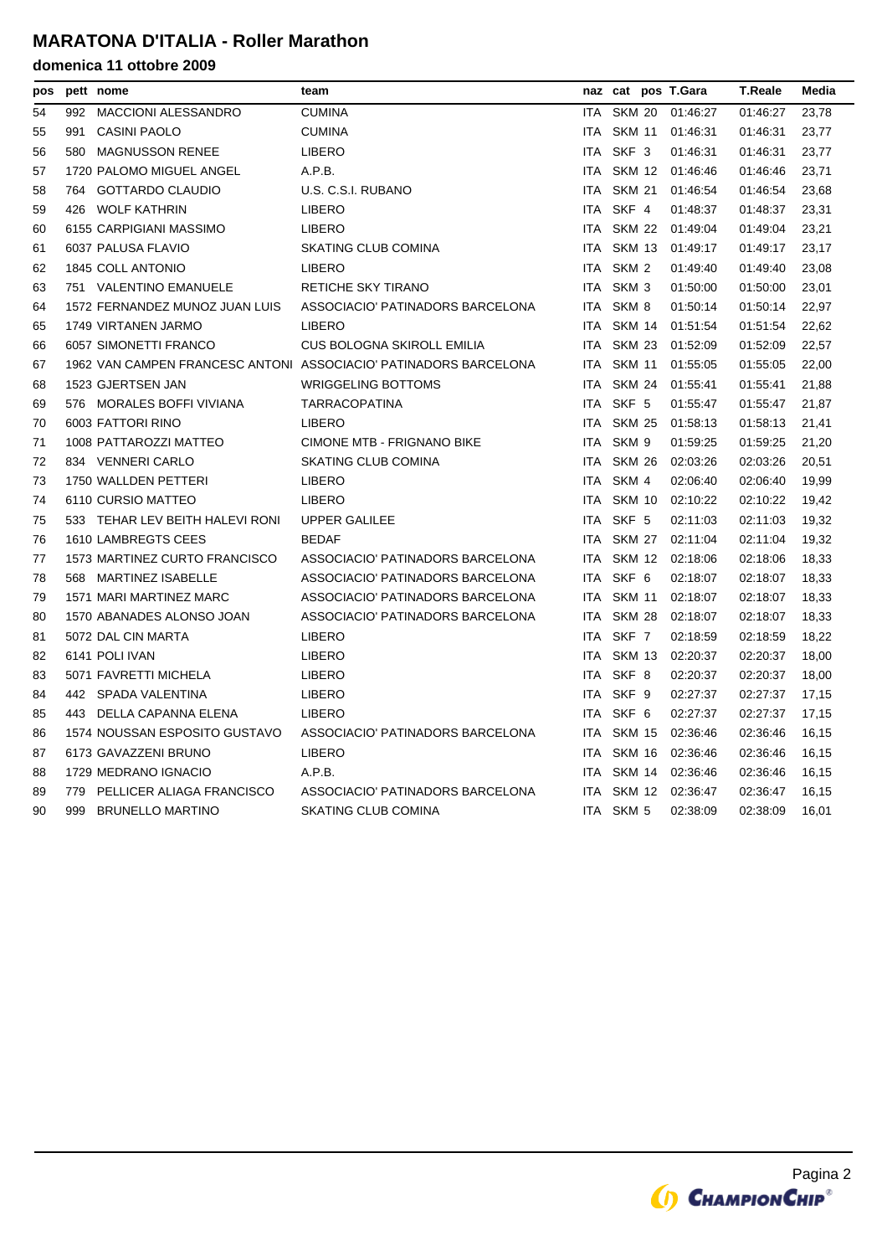### **MARATONA D'ITALIA - Roller Marathon**

| pos |     | pett nome                       | team                                                             |            |                  | naz cat pos T.Gara  | <b>T.Reale</b> | Media |
|-----|-----|---------------------------------|------------------------------------------------------------------|------------|------------------|---------------------|----------------|-------|
| 54  | 992 | <b>MACCIONI ALESSANDRO</b>      | <b>CUMINA</b>                                                    | <b>ITA</b> | <b>SKM 20</b>    | 01:46:27            | 01:46:27       | 23,78 |
| 55  | 991 | <b>CASINI PAOLO</b>             | <b>CUMINA</b>                                                    |            | ITA SKM 11       | 01:46:31            | 01:46:31       | 23,77 |
| 56  |     | 580 MAGNUSSON RENEE             | <b>LIBERO</b>                                                    |            | ITA SKF 3        | 01:46:31            | 01:46:31       | 23,77 |
| 57  |     | 1720 PALOMO MIGUEL ANGEL        | A.P.B.                                                           |            |                  | ITA SKM 12 01:46:46 | 01:46:46       | 23,71 |
| 58  |     | 764 GOTTARDO CLAUDIO            | U.S. C.S.I. RUBANO                                               | <b>ITA</b> | <b>SKM 21</b>    | 01:46:54            | 01:46:54       | 23,68 |
| 59  |     | 426 WOLF KATHRIN                | <b>LIBERO</b>                                                    |            | ITA SKF 4        | 01:48:37            | 01:48:37       | 23,31 |
| 60  |     | 6155 CARPIGIANI MASSIMO         | <b>LIBERO</b>                                                    | ITA.       | SKM 22           | 01:49:04            | 01:49:04       | 23,21 |
| 61  |     | 6037 PALUSA FLAVIO              | <b>SKATING CLUB COMINA</b>                                       | <b>ITA</b> | <b>SKM 13</b>    | 01:49:17            | 01:49:17       | 23,17 |
| 62  |     | 1845 COLL ANTONIO               | <b>LIBERO</b>                                                    | ITA        | SKM <sub>2</sub> | 01:49:40            | 01:49:40       | 23,08 |
| 63  |     | 751 VALENTINO EMANUELE          | RETICHE SKY TIRANO                                               | ITA        | SKM <sub>3</sub> | 01:50:00            | 01:50:00       | 23,01 |
| 64  |     | 1572 FERNANDEZ MUNOZ JUAN LUIS  | ASSOCIACIO' PATINADORS BARCELONA                                 | ITA.       | SKM 8            | 01:50:14            | 01:50:14       | 22,97 |
| 65  |     | 1749 VIRTANEN JARMO             | <b>LIBERO</b>                                                    | ITA.       | SKM 14           | 01:51:54            | 01:51:54       | 22,62 |
| 66  |     | 6057 SIMONETTI FRANCO           | <b>CUS BOLOGNA SKIROLL EMILIA</b>                                | <b>ITA</b> | <b>SKM 23</b>    | 01:52:09            | 01:52:09       | 22,57 |
| 67  |     |                                 | 1962 VAN CAMPEN FRANCESC ANTONI ASSOCIACIO' PATINADORS BARCELONA | <b>ITA</b> | <b>SKM 11</b>    | 01:55:05            | 01:55:05       | 22,00 |
| 68  |     | 1523 GJERTSEN JAN               | <b>WRIGGELING BOTTOMS</b>                                        | <b>ITA</b> | <b>SKM 24</b>    | 01:55:41            | 01:55:41       | 21,88 |
| 69  |     | 576 MORALES BOFFI VIVIANA       | <b>TARRACOPATINA</b>                                             |            | ITA SKF 5        | 01:55:47            | 01:55:47       | 21,87 |
| 70  |     | 6003 FATTORI RINO               | <b>LIBERO</b>                                                    | <b>ITA</b> | <b>SKM 25</b>    | 01:58:13            | 01:58:13       | 21,41 |
| 71  |     | 1008 PATTAROZZI MATTEO          | <b>CIMONE MTB - FRIGNANO BIKE</b>                                | ITA.       | SKM 9            | 01:59:25            | 01:59:25       | 21,20 |
| 72  |     | 834 VENNERI CARLO               | <b>SKATING CLUB COMINA</b>                                       | ITA.       | <b>SKM 26</b>    | 02:03:26            | 02:03:26       | 20,51 |
| 73  |     | 1750 WALLDEN PETTERI            | <b>LIBERO</b>                                                    | ITA.       | SKM 4            | 02:06:40            | 02:06:40       | 19,99 |
| 74  |     | 6110 CURSIO MATTEO              | <b>LIBERO</b>                                                    | ITA.       | SKM 10           | 02:10:22            | 02:10:22       | 19,42 |
| 75  |     | 533 TEHAR LEV BEITH HALEVI RONI | <b>UPPER GALILEE</b>                                             |            | ITA SKF 5        | 02:11:03            | 02:11:03       | 19,32 |
| 76  |     | 1610 LAMBREGTS CEES             | <b>BEDAF</b>                                                     | ITA        | SKM 27           | 02:11:04            | 02:11:04       | 19,32 |
| 77  |     | 1573 MARTINEZ CURTO FRANCISCO   | ASSOCIACIO' PATINADORS BARCELONA                                 | ITA.       | SKM 12           | 02:18:06            | 02:18:06       | 18,33 |
| 78  |     | 568 MARTINEZ ISABELLE           | ASSOCIACIO' PATINADORS BARCELONA                                 | ITA.       | SKF 6            | 02:18:07            | 02:18:07       | 18,33 |
| 79  |     | 1571 MARI MARTINEZ MARC         | ASSOCIACIO' PATINADORS BARCELONA                                 | <b>ITA</b> | <b>SKM 11</b>    | 02:18:07            | 02:18:07       | 18,33 |
| 80  |     | 1570 ABANADES ALONSO JOAN       | ASSOCIACIO' PATINADORS BARCELONA                                 | ITA.       | <b>SKM 28</b>    | 02:18:07            | 02:18:07       | 18,33 |
| 81  |     | 5072 DAL CIN MARTA              | <b>LIBERO</b>                                                    |            | ITA SKF 7        | 02:18:59            | 02:18:59       | 18,22 |
| 82  |     | 6141 POLI IVAN                  | <b>LIBERO</b>                                                    | ITA.       | SKM 13           | 02:20:37            | 02:20:37       | 18,00 |
| 83  |     | 5071 FAVRETTI MICHELA           | <b>LIBERO</b>                                                    | ITA        | SKF 8            | 02:20:37            | 02:20:37       | 18,00 |
| 84  |     | 442 SPADA VALENTINA             | <b>LIBERO</b>                                                    | ITA.       | SKF 9            | 02:27:37            | 02:27:37       | 17,15 |
| 85  |     | 443 DELLA CAPANNA ELENA         | <b>LIBERO</b>                                                    |            | ITA SKF 6        | 02:27:37            | 02:27:37       | 17,15 |
| 86  |     | 1574 NOUSSAN ESPOSITO GUSTAVO   | ASSOCIACIO' PATINADORS BARCELONA                                 | ITA.       | SKM 15           | 02:36:46            | 02:36:46       | 16,15 |
| 87  |     | 6173 GAVAZZENI BRUNO            | <b>LIBERO</b>                                                    | ITA.       | SKM 16           | 02:36:46            | 02:36:46       | 16,15 |
| 88  |     | 1729 MEDRANO IGNACIO            | A.P.B.                                                           | ITA        | SKM 14           | 02:36:46            | 02:36:46       | 16,15 |
| 89  | 779 | PELLICER ALIAGA FRANCISCO       | ASSOCIACIO' PATINADORS BARCELONA                                 | <b>ITA</b> | SKM 12           | 02:36:47            | 02:36:47       | 16,15 |
| 90  | 999 | <b>BRUNELLO MARTINO</b>         | SKATING CLUB COMINA                                              |            | ITA SKM 5        | 02:38:09            | 02:38:09       | 16,01 |